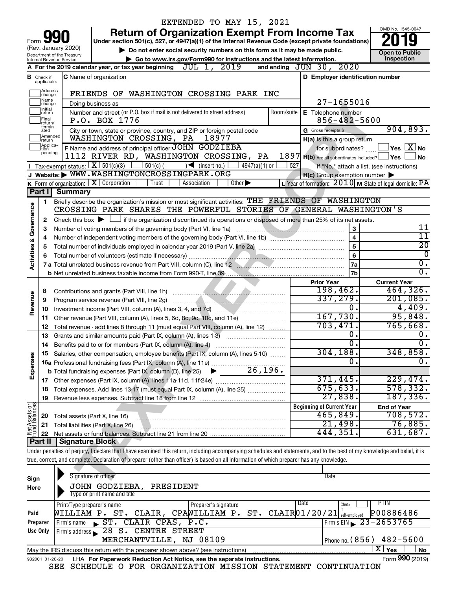|                                |                               |                                                        | EXTENDED TO MAY 15, 2021                                                                                                                                                   |            |                                                     |                                                                        |
|--------------------------------|-------------------------------|--------------------------------------------------------|----------------------------------------------------------------------------------------------------------------------------------------------------------------------------|------------|-----------------------------------------------------|------------------------------------------------------------------------|
|                                |                               |                                                        | <b>Return of Organization Exempt From Income Tax</b>                                                                                                                       |            |                                                     | OMB No. 1545-0047                                                      |
| Form                           |                               |                                                        | Under section 501(c), 527, or 4947(a)(1) of the Internal Revenue Code (except private foundations)                                                                         |            |                                                     |                                                                        |
|                                |                               | (Rev. January 2020)                                    | Do not enter social security numbers on this form as it may be made public.                                                                                                |            |                                                     | <b>Open to Public</b>                                                  |
|                                |                               | Department of the Treasury<br>Internal Revenue Service | Go to www.irs.gov/Form990 for instructions and the latest information.                                                                                                     |            |                                                     | Inspection                                                             |
|                                |                               |                                                        | JUL 1, 2019<br>A For the 2019 calendar year, or tax year beginning                                                                                                         |            | and ending JUN 30, 2020                             |                                                                        |
|                                |                               |                                                        | <b>C</b> Name of organization                                                                                                                                              |            | D Employer identification number                    |                                                                        |
|                                | <b>B</b> Check if applicable: |                                                        |                                                                                                                                                                            |            |                                                     |                                                                        |
|                                | Address<br>change             |                                                        | FRIENDS OF WASHINGTON CROSSING PARK INC                                                                                                                                    |            |                                                     |                                                                        |
|                                | Name<br>change                |                                                        | Doing business as                                                                                                                                                          |            | $27 - 1655016$                                      |                                                                        |
|                                | Ilnitial<br> return           |                                                        | Number and street (or P.O. box if mail is not delivered to street address)                                                                                                 | Room/suite | E Telephone number                                  |                                                                        |
|                                | Final                         |                                                        | P.O. BOX 1776                                                                                                                                                              |            | $856 - 482 - 5600$                                  |                                                                        |
|                                | return/<br>termin-<br>ated    |                                                        | City or town, state or province, country, and ZIP or foreign postal code                                                                                                   |            | <b>G</b> Gross receipts \$                          | 904,893.                                                               |
|                                | Amended<br>Ireturn            |                                                        | WASHINGTON CROSSING, PA<br>18977                                                                                                                                           |            | H(a) Is this a group return                         |                                                                        |
|                                | Applica-<br>ltion             |                                                        | F Name and address of principal officer: JOHN GODZIEBA                                                                                                                     |            | for subordinates?                                   | $\,$ Yes $\,$ $\,$ $\rm X$ $\,$ No $\,$                                |
|                                | pending                       |                                                        | 1112 RIVER RD, WASHINGTON CROSSING, PA                                                                                                                                     |            | 1897 H(b) Are all subordinates included? Ves        | No                                                                     |
|                                |                               |                                                        | Tax-exempt status: $X \over 301(c)(3)$<br>$501(c)$ (<br>$\sqrt{\bullet}$ (insert no.)<br>$4947(a)(1)$ or                                                                   | 527        |                                                     | If "No," attach a list. (see instructions)                             |
|                                |                               |                                                        | J Website: WWW.WASHINGTONCROSSINGPARK.ORG                                                                                                                                  |            | $H(c)$ Group exemption number $\blacktriangleright$ |                                                                        |
|                                |                               |                                                        | K Form of organization: $X$ Corporation<br>Other $\blacktriangleright$<br>Trust<br>Association                                                                             |            |                                                     | L Year of formation: $2010$ M State of legal domicile: $\overline{PA}$ |
|                                | Part I                        | <b>Summary</b>                                         |                                                                                                                                                                            |            |                                                     |                                                                        |
|                                | 1                             |                                                        | Briefly describe the organization's mission or most significant activities: THE FRIENDS OF WASHINGTON                                                                      |            |                                                     |                                                                        |
|                                |                               |                                                        | CROSSING PARK SHARES THE POWERFUL STORIES OF GENERAL WASHINGTON'S                                                                                                          |            |                                                     |                                                                        |
| Governance                     | 2                             |                                                        | Check this box $\blacktriangleright$ $\Box$ if the organization discontinued its operations or disposed of more than 25% of its net assets.                                |            |                                                     |                                                                        |
|                                | 3                             |                                                        | Number of voting members of the governing body (Part VI, line 1a)                                                                                                          |            | 3                                                   | 11                                                                     |
|                                | 4                             |                                                        |                                                                                                                                                                            |            | 4                                                   | $\overline{11}$                                                        |
|                                | 5                             |                                                        |                                                                                                                                                                            |            | 5                                                   | $\overline{20}$                                                        |
| <b>Activities &amp;</b>        | 6                             |                                                        |                                                                                                                                                                            |            | 6                                                   | $\overline{0}$                                                         |
|                                |                               |                                                        | 7 a Total unrelated business revenue from Part VIII, column (C), line 12                                                                                                   |            | 7a                                                  | $\overline{0}$ .                                                       |
|                                |                               |                                                        |                                                                                                                                                                            |            | 7 <sub>b</sub>                                      | $\overline{0}$ .                                                       |
|                                |                               |                                                        |                                                                                                                                                                            |            | <b>Prior Year</b>                                   | <b>Current Year</b>                                                    |
|                                | 8                             |                                                        |                                                                                                                                                                            |            | 198,462.                                            | 464,326.                                                               |
| Revenue                        | 9                             |                                                        | Program service revenue (Part VIII, line 2g)                                                                                                                               |            | 337,279.                                            | 201,085.                                                               |
|                                | 10                            |                                                        |                                                                                                                                                                            |            | О.                                                  | 4,409.                                                                 |
|                                | 11                            |                                                        | Other revenue (Part VIII, column (A), lines 5, 6d, 8c, 9c, 10c, and 11e)                                                                                                   |            | 167,730.                                            | 95,848.                                                                |
|                                | 12                            |                                                        | Total revenue - add lines 8 through 11 (must equal Part VIII, column (A), line 12)                                                                                         |            | 703,471.                                            | 765,668.                                                               |
|                                | 13                            |                                                        | Grants and similar amounts paid (Part IX, column (A), lines 1-3)                                                                                                           |            | 0.                                                  | Ο.                                                                     |
|                                | 14                            |                                                        | Benefits paid to or for members (Part IX, column (A), line 4)                                                                                                              |            | σ.                                                  | $\overline{0}$ .                                                       |
|                                |                               |                                                        | Salaries, other compensation, employee benefits (Part IX, column (A), lines 5-10)                                                                                          |            | 304,188 <b>.</b>                                    | 348,858.                                                               |
| Expenses                       |                               |                                                        |                                                                                                                                                                            |            | $\overline{0}$                                      | σ.                                                                     |
|                                |                               |                                                        | 26,196.<br><b>b</b> Total fundraising expenses (Part IX, column (D), line 25)                                                                                              |            |                                                     |                                                                        |
|                                |                               |                                                        |                                                                                                                                                                            |            | 371,445.                                            | 229,474.                                                               |
|                                | 18                            |                                                        |                                                                                                                                                                            |            | 675, 633.                                           | 578, 332.                                                              |
|                                | 19                            |                                                        |                                                                                                                                                                            |            | 27,838.                                             | 187, 336.                                                              |
| Net Assets or<br>Fund Balances |                               |                                                        |                                                                                                                                                                            |            | <b>Beginning of Current Year</b>                    | <b>End of Year</b>                                                     |
|                                | 20                            |                                                        | Total assets (Part X, line 16)                                                                                                                                             |            | 465,849.                                            | 708,572.                                                               |
|                                | 21                            |                                                        | Total liabilities (Part X, line 26)                                                                                                                                        |            | 21,498.                                             | 76,885.                                                                |
|                                | 22                            |                                                        |                                                                                                                                                                            |            | 444,351.                                            | 631,687.                                                               |
|                                | Part II                       | Signature Block                                        |                                                                                                                                                                            |            |                                                     |                                                                        |
|                                |                               |                                                        | Under penalties of perjury, I declare that I have examined this return, including accompanying schedules and statements, and to the best of my knowledge and belief, it is |            |                                                     |                                                                        |
|                                |                               |                                                        | true, correct, and complete. Declaration of preparer (other than officer) is based on all information of which preparer has any knowledge.                                 |            |                                                     |                                                                        |
|                                |                               |                                                        |                                                                                                                                                                            |            |                                                     |                                                                        |
| Sign                           |                               |                                                        | Signature of officer                                                                                                                                                       |            | Date                                                |                                                                        |
| Here                           |                               |                                                        | JOHN GODZIEBA, PRESIDENT                                                                                                                                                   |            |                                                     |                                                                        |
|                                |                               |                                                        | Type or print name and title                                                                                                                                               |            |                                                     |                                                                        |
|                                |                               | Print/Type preparer's name                             | Preparer's signature                                                                                                                                                       |            | Date<br>Check                                       | PTIN                                                                   |
| Paid                           |                               |                                                        | WILLIAM P. ST. CLAIR, CPAWILLIAM P.<br>ST.                                                                                                                                 |            | $CLAIR$ $01/20/21$ self-employed                    | P00886486                                                              |
|                                | Preparer                      |                                                        | Firm's name ST. CLAIR CPAS, P.C.                                                                                                                                           |            |                                                     | Firm's EIN $\triangleright$ 23-2653765                                 |
|                                | Use Only                      |                                                        | Firm's address 28 S. CENTRE STREET                                                                                                                                         |            |                                                     |                                                                        |
|                                |                               |                                                        | MERCHANTVILLE, NJ 08109                                                                                                                                                    |            | Phone no. (856)                                     | $482 - 5600$                                                           |
|                                |                               |                                                        | May the IRS discuss this return with the preparer shown above? (see instructions)                                                                                          |            |                                                     | $\overline{\text{X}}$ Yes<br>No                                        |

|  |  | 932001 01-20-20 LHA For Paperwork Reduction Act Notice, see the separate instructions. |  | Form 990 (2019) |
|--|--|----------------------------------------------------------------------------------------|--|-----------------|
|  |  | SEE SCHEDULE O FOR ORGANIZATION MISSION STATEMENT CONTINUATION                         |  |                 |

**990**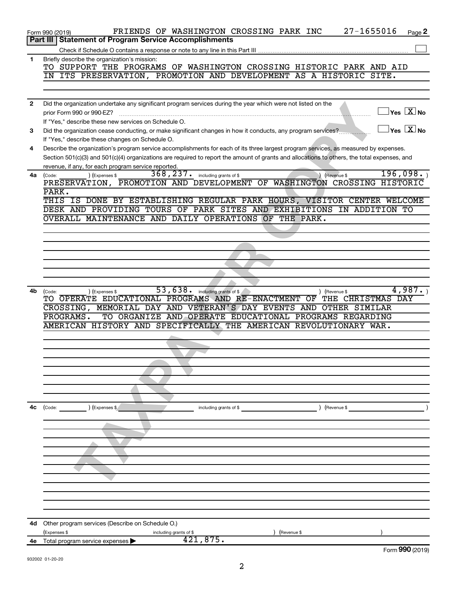|              | 27-1655016<br>FRIENDS OF WASHINGTON CROSSING PARK INC<br>Page 2<br>Form 990 (2019)                                                                                |
|--------------|-------------------------------------------------------------------------------------------------------------------------------------------------------------------|
|              | Part III   Statement of Program Service Accomplishments                                                                                                           |
|              |                                                                                                                                                                   |
| 1            | Briefly describe the organization's mission:                                                                                                                      |
|              | TO SUPPORT THE PROGRAMS OF WASHINGTON CROSSING HISTORIC PARK AND AID                                                                                              |
|              | IN ITS PRESERVATION, PROMOTION AND DEVELOPMENT AS A HISTORIC SITE.                                                                                                |
|              |                                                                                                                                                                   |
|              |                                                                                                                                                                   |
| $\mathbf{2}$ | Did the organization undertake any significant program services during the year which were not listed on the                                                      |
|              | $\vert$ Yes $\boxed{\text{X}}$ No<br>prior Form 990 or 990-EZ?                                                                                                    |
|              | If "Yes," describe these new services on Schedule O.                                                                                                              |
| 3            | $\vert$ Yes $\vert$ $\mathrm{X}$ $\vert$ No<br>Did the organization cease conducting, or make significant changes in how it conducts, any program services?       |
|              | If "Yes," describe these changes on Schedule O.                                                                                                                   |
| 4            | Describe the organization's program service accomplishments for each of its three largest program services, as measured by expenses.                              |
|              | Section 501(c)(3) and 501(c)(4) organizations are required to report the amount of grants and allocations to others, the total expenses, and                      |
|              | revenue, if any, for each program service reported.<br>196,098.                                                                                                   |
| 4a           | $\overline{368}$ , 237. including grants of \$<br>(Expenses \$<br>Revenue \$<br>(Code:<br>PRESERVATION, PROMOTION AND DEVELOPMENT OF WASHINGTON CROSSING HISTORIC |
|              | PARK.                                                                                                                                                             |
|              | THIS IS DONE BY ESTABLISHING REGULAR PARK HOURS, VISITOR CENTER WELCOME                                                                                           |
|              | DESK AND PROVIDING TOURS OF PARK SITES AND EXHIBITIONS IN ADDITION TO                                                                                             |
|              | OVERALL MAINTENANCE AND DAILY OPERATIONS OF THE PARK.                                                                                                             |
|              |                                                                                                                                                                   |
|              |                                                                                                                                                                   |
|              |                                                                                                                                                                   |
|              |                                                                                                                                                                   |
|              |                                                                                                                                                                   |
|              |                                                                                                                                                                   |
|              |                                                                                                                                                                   |
| 4b           | 53, 638 . including grants of \$<br>4,987.<br>(Expenses \$<br>Revenue \$<br>(Code:                                                                                |
|              | TO OPERATE EDUCATIONAL PROGRAMS AND RE-ENACTMENT OF THE CHRISTMAS DAY                                                                                             |
|              | CROSSING, MEMORIAL DAY AND VETERAN'S DAY EVENTS AND OTHER SIMILAR                                                                                                 |
|              | TO ORGANIZE AND OPERATE EDUCATIONAL PROGRAMS REGARDING<br>PROGRAMS.                                                                                               |
|              | AMERICAN HISTORY AND SPECIFICALLY THE AMERICAN REVOLUTIONARY WAR.                                                                                                 |
|              |                                                                                                                                                                   |
|              |                                                                                                                                                                   |
|              |                                                                                                                                                                   |
|              |                                                                                                                                                                   |
|              |                                                                                                                                                                   |
|              |                                                                                                                                                                   |
|              |                                                                                                                                                                   |
|              |                                                                                                                                                                   |
| 4c           | ) (Expenses \$<br>(Revenue \$<br>(Code:<br>including grants of \$                                                                                                 |
|              |                                                                                                                                                                   |
|              |                                                                                                                                                                   |
|              |                                                                                                                                                                   |
|              |                                                                                                                                                                   |
|              |                                                                                                                                                                   |
|              |                                                                                                                                                                   |
|              |                                                                                                                                                                   |
|              |                                                                                                                                                                   |
|              |                                                                                                                                                                   |
|              |                                                                                                                                                                   |
|              |                                                                                                                                                                   |
|              |                                                                                                                                                                   |
| 4d           | Other program services (Describe on Schedule O.)                                                                                                                  |
|              | (Expenses \$<br>including grants of \$<br>(Revenue \$                                                                                                             |
| 4е           | 421,875.<br>Total program service expenses ><br>Form 990 (2019)                                                                                                   |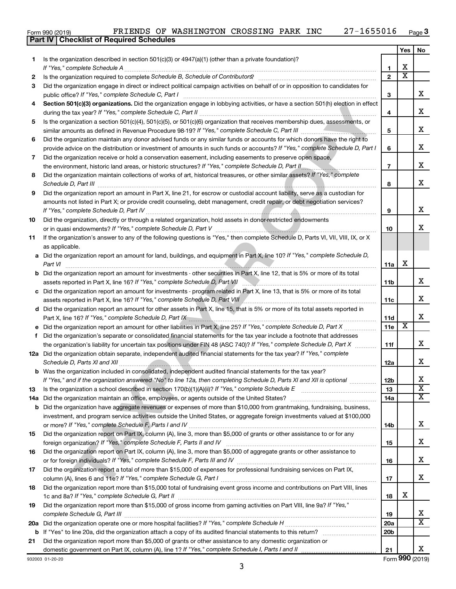|  | Form 990 (2019) |  |
|--|-----------------|--|

**Part IV Checklist of Required Schedules**

#### $\epsilon$  Form 990 (2019) FRIENDS OF WASHINGTON CROSSING PARK INC 27-1655016 Page FRIENDS OF WASHINGTON CROSSING PARK INC 27-1655016

|     |                                                                                                                                                                                                                               |                 | Yes                     | <b>No</b>               |
|-----|-------------------------------------------------------------------------------------------------------------------------------------------------------------------------------------------------------------------------------|-----------------|-------------------------|-------------------------|
| 1   | Is the organization described in section 501(c)(3) or $4947(a)(1)$ (other than a private foundation)?                                                                                                                         |                 |                         |                         |
|     |                                                                                                                                                                                                                               | 1               | x                       |                         |
| 2   |                                                                                                                                                                                                                               | $\mathbf{2}$    | $\overline{\texttt{x}}$ |                         |
| 3   | Did the organization engage in direct or indirect political campaign activities on behalf of or in opposition to candidates for                                                                                               |                 |                         |                         |
|     |                                                                                                                                                                                                                               | З               |                         | x                       |
| 4   | Section 501(c)(3) organizations. Did the organization engage in lobbying activities, or have a section 501(h) election in effect                                                                                              |                 |                         |                         |
|     |                                                                                                                                                                                                                               | 4               |                         | x                       |
| 5   | Is the organization a section 501(c)(4), 501(c)(5), or 501(c)(6) organization that receives membership dues, assessments, or                                                                                                  |                 |                         |                         |
|     |                                                                                                                                                                                                                               | 5               |                         | x                       |
| 6   | Did the organization maintain any donor advised funds or any similar funds or accounts for which donors have the right to                                                                                                     |                 |                         |                         |
|     | provide advice on the distribution or investment of amounts in such funds or accounts? If "Yes," complete Schedule D, Part I                                                                                                  | 6               |                         | x                       |
| 7   | Did the organization receive or hold a conservation easement, including easements to preserve open space,                                                                                                                     |                 |                         |                         |
|     |                                                                                                                                                                                                                               | $\overline{7}$  |                         | х                       |
| 8   | Did the organization maintain collections of works of art, historical treasures, or other similar assets? If "Yes," complete                                                                                                  |                 |                         |                         |
|     |                                                                                                                                                                                                                               | 8               |                         | x                       |
| 9   | Did the organization report an amount in Part X, line 21, for escrow or custodial account liability, serve as a custodian for                                                                                                 |                 |                         |                         |
|     | amounts not listed in Part X; or provide credit counseling, debt management, credit repair, or debt negotiation services?                                                                                                     |                 |                         |                         |
|     |                                                                                                                                                                                                                               | 9               |                         | x                       |
| 10  | Did the organization, directly or through a related organization, hold assets in donor-restricted endowments                                                                                                                  |                 |                         | x                       |
|     |                                                                                                                                                                                                                               | 10              |                         |                         |
| 11  | If the organization's answer to any of the following questions is "Yes," then complete Schedule D, Parts VI, VII, VIII, IX, or X                                                                                              |                 |                         |                         |
|     | as applicable.                                                                                                                                                                                                                |                 |                         |                         |
|     | a Did the organization report an amount for land, buildings, and equipment in Part X, line 10? If "Yes," complete Schedule D,                                                                                                 |                 | x                       |                         |
|     | Part VI                                                                                                                                                                                                                       | 11a             |                         |                         |
|     | <b>b</b> Did the organization report an amount for investments - other securities in Part X, line 12, that is 5% or more of its total                                                                                         |                 |                         | х                       |
|     |                                                                                                                                                                                                                               | 11b             |                         |                         |
|     | c Did the organization report an amount for investments - program related in Part X, line 13, that is 5% or more of its total                                                                                                 | 11c             |                         | x                       |
|     | d Did the organization report an amount for other assets in Part X, line 15, that is 5% or more of its total assets reported in                                                                                               |                 |                         |                         |
|     | Part X, line 16? If "Yes," complete Schedule D, Part IX [19] Part 19 [19] Part IX [19] Part IX [19] Part IX [19] Part IX [19] Part IX [19] Part IX [19] Part IX [19] Part IX [19] Part IX [19] Part IX [19] Part IX [19] Part | 11d             |                         | x                       |
|     |                                                                                                                                                                                                                               | 11e             | $\overline{\textbf{x}}$ |                         |
| f   | Did the organization's separate or consolidated financial statements for the tax year include a footnote that addresses                                                                                                       |                 |                         |                         |
|     | the organization's liability for uncertain tax positions under FIN 48 (ASC 740)? If "Yes," complete Schedule D, Part X                                                                                                        | 11f             |                         | x                       |
|     | 12a Did the organization obtain separate, independent audited financial statements for the tax year? If "Yes," complete                                                                                                       |                 |                         |                         |
|     |                                                                                                                                                                                                                               | 12a             |                         | x                       |
|     | <b>b</b> Was the organization included in consolidated, independent audited financial statements for the tax year?                                                                                                            |                 |                         |                         |
|     | If "Yes," and if the organization answered "No" to line 12a, then completing Schedule D, Parts XI and XII is optional                                                                                                         | 12b             |                         | X                       |
| 13  | Is the organization a school described in section 170(b)(1)(A)(ii)? If "Yes," complete Schedule E [ [ [ [ [ [ [ [ ] ]]]                                                                                                       | 13              |                         | $\overline{\texttt{x}}$ |
| 14a |                                                                                                                                                                                                                               | 14a             |                         | $\overline{\mathbf{X}}$ |
|     | <b>b</b> Did the organization have aggregate revenues or expenses of more than \$10,000 from grantmaking, fundraising, business,                                                                                              |                 |                         |                         |
|     | investment, and program service activities outside the United States, or aggregate foreign investments valued at \$100,000                                                                                                    |                 |                         |                         |
|     |                                                                                                                                                                                                                               | 14b             |                         | х                       |
| 15  | Did the organization report on Part IX, column (A), line 3, more than \$5,000 of grants or other assistance to or for any                                                                                                     |                 |                         |                         |
|     |                                                                                                                                                                                                                               | 15              |                         | x                       |
| 16  | Did the organization report on Part IX, column (A), line 3, more than \$5,000 of aggregate grants or other assistance to                                                                                                      |                 |                         |                         |
|     |                                                                                                                                                                                                                               | 16              |                         | х                       |
| 17  | Did the organization report a total of more than \$15,000 of expenses for professional fundraising services on Part IX,                                                                                                       |                 |                         |                         |
|     |                                                                                                                                                                                                                               | 17              |                         | x                       |
| 18  | Did the organization report more than \$15,000 total of fundraising event gross income and contributions on Part VIII, lines                                                                                                  |                 |                         |                         |
|     |                                                                                                                                                                                                                               | 18              | х                       |                         |
| 19  | Did the organization report more than \$15,000 of gross income from gaming activities on Part VIII, line 9a? If "Yes,"                                                                                                        |                 |                         |                         |
|     |                                                                                                                                                                                                                               | 19              |                         | x                       |
|     |                                                                                                                                                                                                                               | <b>20a</b>      |                         | $\overline{\texttt{x}}$ |
|     |                                                                                                                                                                                                                               | 20 <sub>b</sub> |                         |                         |
| 21  | Did the organization report more than \$5,000 of grants or other assistance to any domestic organization or                                                                                                                   |                 |                         |                         |
|     | domestic government on Part IX, column (A), line 1? If "Yes," complete Schedule I, Parts I and II                                                                                                                             | 21              |                         | X                       |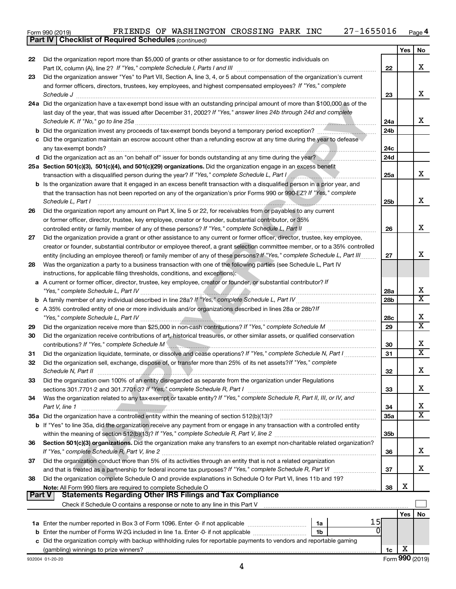|  | Form 990 (2019) | FRIENDS | ΟF | WASHINGTON | CROSSING | PARK | INC | 501 | Page <del>4</del> |
|--|-----------------|---------|----|------------|----------|------|-----|-----|-------------------|
|--|-----------------|---------|----|------------|----------|------|-----|-----|-------------------|

|               | <b>Part IV   Checklist of Required Schedules (continued)</b>                                                                                                                                                                         |                        |     |                         |
|---------------|--------------------------------------------------------------------------------------------------------------------------------------------------------------------------------------------------------------------------------------|------------------------|-----|-------------------------|
|               |                                                                                                                                                                                                                                      |                        | Yes | No                      |
| 22            | Did the organization report more than \$5,000 of grants or other assistance to or for domestic individuals on                                                                                                                        |                        |     |                         |
|               |                                                                                                                                                                                                                                      | 22                     |     | х                       |
| 23            | Did the organization answer "Yes" to Part VII, Section A, line 3, 4, or 5 about compensation of the organization's current                                                                                                           |                        |     |                         |
|               | and former officers, directors, trustees, key employees, and highest compensated employees? If "Yes," complete                                                                                                                       |                        |     |                         |
|               |                                                                                                                                                                                                                                      | 23                     |     | х                       |
|               | Schedule J <b>Execute Schedule J Execute Schedule J Execute Schedule J Execute Schedule J</b><br>24a Did the organization have a tax-exempt bond issue with an outstanding principal amount of more than \$100,000 as of the         |                        |     |                         |
|               | last day of the year, that was issued after December 31, 2002? If "Yes," answer lines 24b through 24d and complete                                                                                                                   |                        |     |                         |
|               |                                                                                                                                                                                                                                      |                        |     | x                       |
|               |                                                                                                                                                                                                                                      | 24a<br>24 <sub>b</sub> |     |                         |
|               | b Did the organization invest any proceeds of tax-exempt bonds beyond a temporary period exception?                                                                                                                                  |                        |     |                         |
|               | c Did the organization maintain an escrow account other than a refunding escrow at any time during the year to defease                                                                                                               |                        |     |                         |
|               |                                                                                                                                                                                                                                      | 24c                    |     |                         |
|               | d Did the organization act as an "on behalf of" issuer for bonds outstanding at any time during the year?                                                                                                                            | 24d                    |     |                         |
|               | 25a Section 501(c)(3), 501(c)(4), and 501(c)(29) organizations. Did the organization engage in an excess benefit                                                                                                                     |                        |     |                         |
|               | transaction with a disqualified person during the year? If "Yes," complete Schedule L, Part I                                                                                                                                        | 25a                    |     | x                       |
|               | <b>b</b> Is the organization aware that it engaged in an excess benefit transaction with a disqualified person in a prior year, and                                                                                                  |                        |     |                         |
|               | that the transaction has not been reported on any of the organization's prior Forms 990 or 990-EZ? If "Yes," complete                                                                                                                |                        |     |                         |
|               | Schedule L, Part I                                                                                                                                                                                                                   | 25b                    |     | X                       |
| 26            | Did the organization report any amount on Part X, line 5 or 22, for receivables from or payables to any current                                                                                                                      |                        |     |                         |
|               | or former officer, director, trustee, key employee, creator or founder, substantial contributor, or 35%                                                                                                                              |                        |     |                         |
|               | controlled entity or family member of any of these persons? If "Yes," complete Schedule L, Part II                                                                                                                                   | 26                     |     | X                       |
| 27            | Did the organization provide a grant or other assistance to any current or former officer, director, trustee, key employee,                                                                                                          |                        |     |                         |
|               | creator or founder, substantial contributor or employee thereof, a grant selection committee member, or to a 35% controlled                                                                                                          |                        |     |                         |
|               | entity (including an employee thereof) or family member of any of these persons? If "Yes," complete Schedule L, Part III                                                                                                             | 27                     |     | X                       |
| 28            | Was the organization a party to a business transaction with one of the following parties (see Schedule L, Part IV                                                                                                                    |                        |     |                         |
|               | instructions, for applicable filing thresholds, conditions, and exceptions):                                                                                                                                                         |                        |     |                         |
|               | a A current or former officer, director, trustee, key employee, creator or founder, or substantial contributor? If                                                                                                                   |                        |     |                         |
|               |                                                                                                                                                                                                                                      | 28a                    |     | X                       |
|               |                                                                                                                                                                                                                                      | 28 <sub>b</sub>        |     | $\overline{\mathbf{x}}$ |
|               | c A 35% controlled entity of one or more individuals and/or organizations described in lines 28a or 28b?/f                                                                                                                           |                        |     |                         |
|               |                                                                                                                                                                                                                                      | 28c                    |     | X                       |
| 29            |                                                                                                                                                                                                                                      | 29                     |     | $\overline{\mathtt{x}}$ |
|               | Did the organization receive contributions of art, historical treasures, or other similar assets, or qualified conservation                                                                                                          |                        |     |                         |
| 30            |                                                                                                                                                                                                                                      |                        |     | х                       |
|               |                                                                                                                                                                                                                                      | 30                     |     | $\overline{\mathbf{x}}$ |
| 31            | Did the organization liquidate, terminate, or dissolve and cease operations? If "Yes," complete Schedule N, Part I                                                                                                                   | 31                     |     |                         |
| 32            | Did the organization sell, exchange, dispose of, or transfer more than 25% of its net assets?If "Yes," complete                                                                                                                      |                        |     |                         |
|               | Schedule N, Part II <b>Martin Martin Martin Martin Martin Martin Martin Martin Martin Martin Martin Martin Martin Martin Martin Martin Martin Martin Martin Martin Martin Martin Martin Martin Martin Martin Martin Martin Marti</b> | 32                     |     | Χ                       |
| 33            | Did the organization own 100% of an entity disregarded as separate from the organization under Regulations                                                                                                                           |                        |     |                         |
|               |                                                                                                                                                                                                                                      | 33                     |     | х                       |
| 34            | Was the organization related to any tax-exempt or taxable entity? If "Yes," complete Schedule R, Part II, III, or IV, and                                                                                                            |                        |     |                         |
|               | Part V, line 1                                                                                                                                                                                                                       | 34                     |     | х                       |
|               |                                                                                                                                                                                                                                      | 35a                    |     | $\overline{\mathbf{x}}$ |
|               | b If "Yes" to line 35a, did the organization receive any payment from or engage in any transaction with a controlled entity                                                                                                          |                        |     |                         |
|               |                                                                                                                                                                                                                                      | 35 <sub>b</sub>        |     |                         |
| 36            | Section 501(c)(3) organizations. Did the organization make any transfers to an exempt non-charitable related organization?                                                                                                           |                        |     |                         |
|               |                                                                                                                                                                                                                                      | 36                     |     | х                       |
| 37            | Did the organization conduct more than 5% of its activities through an entity that is not a related organization                                                                                                                     |                        |     |                         |
|               |                                                                                                                                                                                                                                      | 37                     |     | х                       |
| 38            | Did the organization complete Schedule O and provide explanations in Schedule O for Part VI, lines 11b and 19?                                                                                                                       |                        |     |                         |
|               | Note: All Form 990 filers are required to complete Schedule O.                                                                                                                                                                       | 38                     | X   |                         |
| <b>Part V</b> | <b>Statements Regarding Other IRS Filings and Tax Compliance</b>                                                                                                                                                                     |                        |     |                         |
|               | Check if Schedule O contains a response or note to any line in this Part V [11] [12] Check if Schedule O contains a response or note to any line in this Part V                                                                      |                        |     |                         |
|               |                                                                                                                                                                                                                                      |                        | Yes | No                      |
|               | 15<br>1a                                                                                                                                                                                                                             |                        |     |                         |
|               | 1b                                                                                                                                                                                                                                   |                        |     |                         |
|               | c Did the organization comply with backup withholding rules for reportable payments to vendors and reportable gaming                                                                                                                 |                        |     |                         |
|               |                                                                                                                                                                                                                                      | 1c                     | х   |                         |
|               | 932004 01-20-20                                                                                                                                                                                                                      |                        |     | Form 990 (2019)         |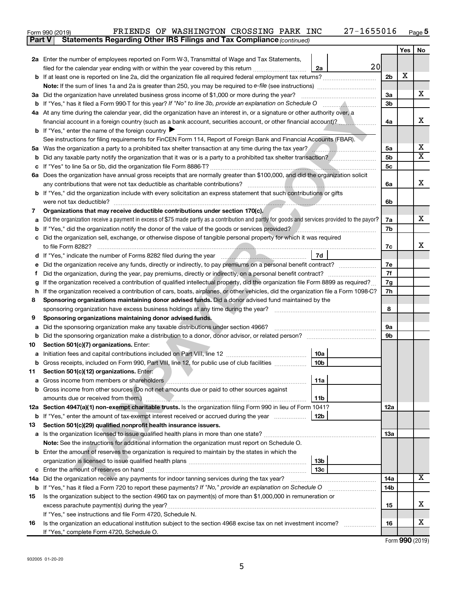| Form 990 (2019) |  | FRIENDS OF WASHINGTON CROSSING PARK INC                                             |  | 27-1655016 | Page |
|-----------------|--|-------------------------------------------------------------------------------------|--|------------|------|
|                 |  | <b>Part V</b> Statements Regarding Other IRS Filings and Tax Compliance (continued) |  |            |      |

|    |                                                                                                                                                 |                      | Yes | No                           |  |  |  |  |
|----|-------------------------------------------------------------------------------------------------------------------------------------------------|----------------------|-----|------------------------------|--|--|--|--|
|    | <b>2a</b> Enter the number of employees reported on Form W-3, Transmittal of Wage and Tax Statements,                                           |                      |     |                              |  |  |  |  |
|    | 20<br>filed for the calendar year ending with or within the year covered by this return<br>2a                                                   |                      |     |                              |  |  |  |  |
| b  |                                                                                                                                                 | 2 <sub>b</sub>       | X   |                              |  |  |  |  |
|    | <b>Note:</b> If the sum of lines 1a and 2a is greater than 250, you may be required to e-file (see instructions) <i></i>                        |                      |     |                              |  |  |  |  |
| За | Did the organization have unrelated business gross income of \$1,000 or more during the year?                                                   |                      |     |                              |  |  |  |  |
| b  |                                                                                                                                                 |                      |     |                              |  |  |  |  |
|    | 4a At any time during the calendar year, did the organization have an interest in, or a signature or other authority over, a                    |                      |     |                              |  |  |  |  |
|    | financial account in a foreign country (such as a bank account, securities account, or other financial account)?                                | 4a                   |     | X                            |  |  |  |  |
|    | <b>b</b> If "Yes," enter the name of the foreign country $\blacktriangleright$                                                                  |                      |     |                              |  |  |  |  |
|    | See instructions for filing requirements for FinCEN Form 114, Report of Foreign Bank and Financial Accounts (FBAR).                             |                      |     |                              |  |  |  |  |
| ьa | Was the organization a party to a prohibited tax shelter transaction at any time during the tax year?                                           | 5a                   |     | x<br>$\overline{\texttt{X}}$ |  |  |  |  |
| b  | Did any taxable party notify the organization that it was or is a party to a prohibited tax shelter transaction?                                | 5 <sub>b</sub><br>5c |     |                              |  |  |  |  |
| с  | Does the organization have annual gross receipts that are normally greater than \$100,000, and did the organization solicit                     |                      |     |                              |  |  |  |  |
| ба |                                                                                                                                                 | 6a                   |     | x                            |  |  |  |  |
|    | <b>b</b> If "Yes," did the organization include with every solicitation an express statement that such contributions or gifts                   |                      |     |                              |  |  |  |  |
|    |                                                                                                                                                 | 6b                   |     |                              |  |  |  |  |
| 7  | Organizations that may receive deductible contributions under section 170(c).                                                                   |                      |     |                              |  |  |  |  |
| а  | Did the organization receive a payment in excess of \$75 made partly as a contribution and partly for goods and services provided to the payor? | 7a                   |     | x                            |  |  |  |  |
| b  | If "Yes," did the organization notify the donor of the value of the goods or services provided?                                                 | 7b                   |     |                              |  |  |  |  |
| с  | Did the organization sell, exchange, or otherwise dispose of tangible personal property for which it was required                               |                      |     |                              |  |  |  |  |
|    | to file Form 8282?                                                                                                                              | 7c                   |     | X                            |  |  |  |  |
|    | 7d                                                                                                                                              |                      |     |                              |  |  |  |  |
| е  | Did the organization receive any funds, directly or indirectly, to pay premiums on a personal benefit contract?                                 | 7е                   |     |                              |  |  |  |  |
| Ť. |                                                                                                                                                 |                      |     |                              |  |  |  |  |
| g  | If the organization received a contribution of qualified intellectual property, did the organization file Form 8899 as required?                |                      |     |                              |  |  |  |  |
| h  | If the organization received a contribution of cars, boats, airplanes, or other vehicles, did the organization file a Form 1098-C?              |                      |     |                              |  |  |  |  |
| 8  | Sponsoring organizations maintaining donor advised funds. Did a donor advised fund maintained by the                                            |                      |     |                              |  |  |  |  |
|    | sponsoring organization have excess business holdings at any time during the year?                                                              | 8                    |     |                              |  |  |  |  |
| 9  | Sponsoring organizations maintaining donor advised funds.                                                                                       |                      |     |                              |  |  |  |  |
| а  | Did the sponsoring organization make any taxable distributions under section 4966?                                                              | 9а                   |     |                              |  |  |  |  |
| b  | Did the sponsoring organization make a distribution to a donor, donor advisor, or related person?                                               | 9b                   |     |                              |  |  |  |  |
| 10 | Section 501(c)(7) organizations. Enter:                                                                                                         |                      |     |                              |  |  |  |  |
| а  | 10a<br>10 <sub>b</sub>                                                                                                                          |                      |     |                              |  |  |  |  |
| 11 | Gross receipts, included on Form 990, Part VIII, line 12, for public use of club facilities<br>Section 501(c)(12) organizations. Enter:         |                      |     |                              |  |  |  |  |
|    | 11a                                                                                                                                             |                      |     |                              |  |  |  |  |
|    | <b>b</b> Gross income from other sources (Do not net amounts due or paid to other sources against                                               |                      |     |                              |  |  |  |  |
|    | 11 <sub>b</sub><br>amounts due or received from them.)                                                                                          |                      |     |                              |  |  |  |  |
|    | 12a Section 4947(a)(1) non-exempt charitable trusts. Is the organization filing Form 990 in lieu of Form 1041?                                  | 12a                  |     |                              |  |  |  |  |
|    | 12 <sub>b</sub><br><b>b</b> If "Yes," enter the amount of tax-exempt interest received or accrued during the year                               |                      |     |                              |  |  |  |  |
| 13 | Section 501(c)(29) qualified nonprofit health insurance issuers.                                                                                |                      |     |                              |  |  |  |  |
| а  | Is the organization licensed to issue qualified health plans in more than one state?                                                            | 1За                  |     |                              |  |  |  |  |
|    | Note: See the instructions for additional information the organization must report on Schedule O.                                               |                      |     |                              |  |  |  |  |
|    | <b>b</b> Enter the amount of reserves the organization is required to maintain by the states in which the                                       |                      |     |                              |  |  |  |  |
|    | 13b                                                                                                                                             |                      |     |                              |  |  |  |  |
| с  | 13 <sub>c</sub>                                                                                                                                 |                      |     |                              |  |  |  |  |
|    | 14a Did the organization receive any payments for indoor tanning services during the tax year?                                                  | 14a                  |     | $\overline{\text{X}}$        |  |  |  |  |
| b  | If "Yes," has it filed a Form 720 to report these payments? If "No," provide an explanation on Schedule O                                       | 14b                  |     |                              |  |  |  |  |
| 15 | Is the organization subject to the section 4960 tax on payment(s) of more than \$1,000,000 in remuneration or                                   |                      |     |                              |  |  |  |  |
|    | excess parachute payment(s) during the year?                                                                                                    | 15                   |     | x                            |  |  |  |  |
|    | If "Yes," see instructions and file Form 4720, Schedule N.                                                                                      |                      |     |                              |  |  |  |  |
| 16 | Is the organization an educational institution subject to the section 4968 excise tax on net investment income?                                 | 16                   |     | x                            |  |  |  |  |
|    | If "Yes," complete Form 4720, Schedule O.                                                                                                       |                      |     |                              |  |  |  |  |

Form (2019) **990**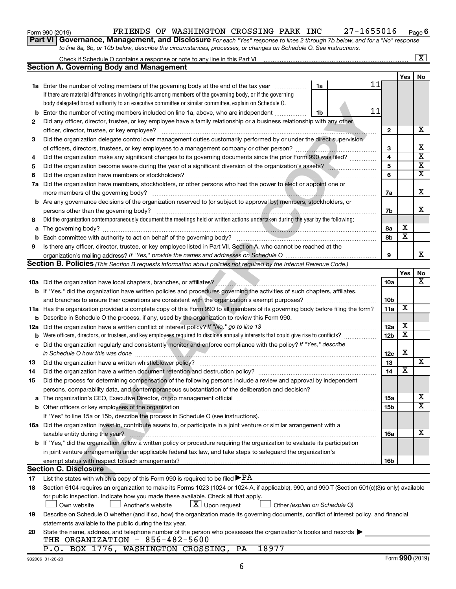| Form 990 (2019) |  |
|-----------------|--|
|-----------------|--|

#### Form 990 (2019) **PRIENDS OF WASHINGTON CROSSING PARK INC**  $27-1655016$  Page

**Part VI** Governance, Management, and Disclosure For each "Yes" response to lines 2 through 7b below, and for a "No" response *to line 8a, 8b, or 10b below, describe the circumstances, processes, or changes on Schedule O. See instructions.*

|             | Check if Schedule O contains a response or note to any line in this Part VI                                                                      |                 |                         | $\overline{\text{X}}$   |
|-------------|--------------------------------------------------------------------------------------------------------------------------------------------------|-----------------|-------------------------|-------------------------|
|             | <b>Section A. Governing Body and Management</b>                                                                                                  |                 |                         |                         |
|             |                                                                                                                                                  |                 | Yes                     | No                      |
|             | 11<br><b>1a</b> Enter the number of voting members of the governing body at the end of the tax year<br>1a                                        |                 |                         |                         |
|             | If there are material differences in voting rights among members of the governing body, or if the governing                                      |                 |                         |                         |
|             | body delegated broad authority to an executive committee or similar committee, explain on Schedule O.                                            |                 |                         |                         |
| b           | 11<br>Enter the number of voting members included on line 1a, above, who are independent<br>1b                                                   |                 |                         |                         |
| 2           | Did any officer, director, trustee, or key employee have a family relationship or a business relationship with any other                         |                 |                         |                         |
|             | officer, director, trustee, or key employee?                                                                                                     | $\mathbf{2}$    |                         | х                       |
| 3           | Did the organization delegate control over management duties customarily performed by or under the direct supervision                            |                 |                         |                         |
|             |                                                                                                                                                  | 3               |                         | х                       |
| 4           | Did the organization make any significant changes to its governing documents since the prior Form 990 was filed?                                 | 4               |                         | $\overline{\textbf{x}}$ |
| 5           |                                                                                                                                                  | 5               |                         | $\overline{\mathbf{x}}$ |
| 6           | Did the organization have members or stockholders?                                                                                               | 6               |                         | $\overline{\mathbf{x}}$ |
| 7a          | Did the organization have members, stockholders, or other persons who had the power to elect or appoint one or                                   |                 |                         |                         |
|             |                                                                                                                                                  | 7a              |                         | х                       |
| b           | Are any governance decisions of the organization reserved to (or subject to approval by) members, stockholders, or                               |                 |                         |                         |
|             | persons other than the governing body?                                                                                                           | 7b              |                         | x                       |
| 8           | Did the organization contemporaneously document the meetings held or written actions undertaken during the year by the following:                |                 |                         |                         |
| a           |                                                                                                                                                  | 8а              | х                       |                         |
| $\mathbf b$ |                                                                                                                                                  | 8b              | $\overline{\mathbf{x}}$ |                         |
| 9           | Is there any officer, director, trustee, or key employee listed in Part VII, Section A, who cannot be reached at the                             |                 |                         |                         |
|             |                                                                                                                                                  | 9               |                         | x                       |
|             | <b>Section B. Policies</b> (This Section B requests information about policies not required by the Internal Revenue Code.)                       |                 |                         |                         |
|             |                                                                                                                                                  |                 | Yes                     | No                      |
|             |                                                                                                                                                  | 10a             |                         | x                       |
|             | b If "Yes," did the organization have written policies and procedures governing the activities of such chapters, affiliates,                     |                 |                         |                         |
|             |                                                                                                                                                  | 10 <sub>b</sub> |                         |                         |
| 11a         | Has the organization provided a complete copy of this Form 990 to all members of its governing body before filing the form?                      | 11a             | х                       |                         |
| b           | Describe in Schedule O the process, if any, used by the organization to review this Form 990.                                                    |                 |                         |                         |
| 12a         | Did the organization have a written conflict of interest policy? If "No," go to line 13                                                          | 12a             | X                       |                         |
| b           | Were officers, directors, or trustees, and key employees required to disclose annually interests that could give rise to conflicts?              | 12 <sub>b</sub> | $\overline{\textbf{x}}$ |                         |
| с           | Did the organization regularly and consistently monitor and enforce compliance with the policy? If "Yes," describe                               |                 |                         |                         |
|             | in Schedule O how this was done                                                                                                                  | 12c             | х                       |                         |
| 13          | Did the organization have a written whistleblower policy?                                                                                        | 13              |                         | х                       |
| 14          |                                                                                                                                                  | 14              | X                       |                         |
| 15          | Did the process for determining compensation of the following persons include a review and approval by independent                               |                 |                         |                         |
|             | persons, comparability data, and contemporaneous substantiation of the deliberation and decision?                                                |                 |                         |                         |
| a           |                                                                                                                                                  | <b>15a</b>      |                         | x                       |
| b           |                                                                                                                                                  | <b>15b</b>      |                         | $\overline{\textbf{X}}$ |
|             | If "Yes" to line 15a or 15b, describe the process in Schedule O (see instructions).                                                              |                 |                         |                         |
|             | 16a Did the organization invest in, contribute assets to, or participate in a joint venture or similar arrangement with a                        |                 |                         |                         |
|             | taxable entity during the year?                                                                                                                  | 16a             |                         | х                       |
|             | b If "Yes," did the organization follow a written policy or procedure requiring the organization to evaluate its participation                   |                 |                         |                         |
|             | in joint venture arrangements under applicable federal tax law, and take steps to safeguard the organization's                                   |                 |                         |                         |
|             | exempt status with respect to such arrangements?                                                                                                 | 16b             |                         |                         |
|             | <b>Section C. Disclosure</b>                                                                                                                     |                 |                         |                         |
| 17          | List the states with which a copy of this Form 990 is required to be filed $\blacktriangleright$ PA                                              |                 |                         |                         |
| 18          | Section 6104 requires an organization to make its Forms 1023 (1024 or 1024-A, if applicable), 990, and 990-T (Section 501(c)(3)s only) available |                 |                         |                         |
|             | for public inspection. Indicate how you made these available. Check all that apply.                                                              |                 |                         |                         |
|             | $\lfloor \underline{X} \rfloor$ Upon request<br>Own website<br>Another's website<br>Other (explain on Schedule O)                                |                 |                         |                         |
| 19          | Describe on Schedule O whether (and if so, how) the organization made its governing documents, conflict of interest policy, and financial        |                 |                         |                         |
|             | statements available to the public during the tax year.                                                                                          |                 |                         |                         |
| 20          | State the name, address, and telephone number of the person who possesses the organization's books and records                                   |                 |                         |                         |
|             | THE ORGANIZATION - 856-482-5600                                                                                                                  |                 |                         |                         |
|             | P.O. BOX 1776, WASHINGTON CROSSING,<br>18977<br>PA                                                                                               |                 |                         |                         |

**6**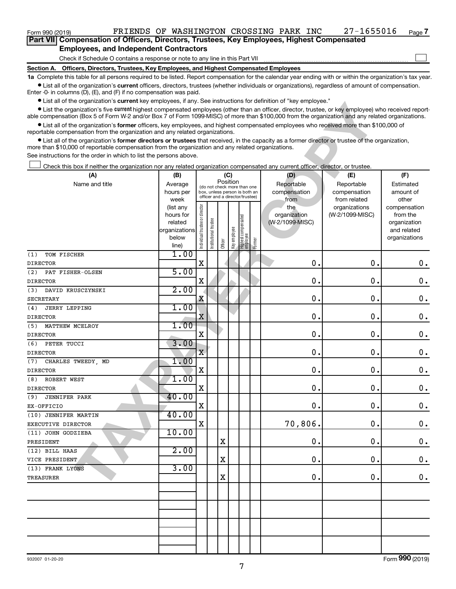| Form 990 (2019)                                                                                   |  |  | FRIENDS OF WASHINGTON CROSSING PARK INC |  |  |  | 27-1655016 | Page 7 |  |  |  |
|---------------------------------------------------------------------------------------------------|--|--|-----------------------------------------|--|--|--|------------|--------|--|--|--|
| <b>Part VII</b> Compensation of Officers, Directors, Trustees, Key Employees, Highest Compensated |  |  |                                         |  |  |  |            |        |  |  |  |
| <b>Employees, and Independent Contractors</b>                                                     |  |  |                                         |  |  |  |            |        |  |  |  |

Check if Schedule O contains a response or note to any line in this Part VII

**Section A. Officers, Directors, Trustees, Key Employees, and Highest Compensated Employees**

**1a**  Complete this table for all persons required to be listed. Report compensation for the calendar year ending with or within the organization's tax year.  $\bullet$  List all of the organization's current officers, directors, trustees (whether individuals or organizations), regardless of amount of compensation.

Enter -0- in columns (D), (E), and (F) if no compensation was paid.

**•** List all of the organization's current key employees, if any. See instructions for definition of "key employee."

| LIST AN UI THE ORGANIZATION IS CULLENT NEW CHIPIOVECS, HAITY. OCC INSTRUCTIONS TON GENERION TOP NEW CHIPIOVECT                                                                                                                                                                                            |                          |                                |                                                              |          |              |                                 |        |                 |                 |                             |
|-----------------------------------------------------------------------------------------------------------------------------------------------------------------------------------------------------------------------------------------------------------------------------------------------------------|--------------------------|--------------------------------|--------------------------------------------------------------|----------|--------------|---------------------------------|--------|-----------------|-----------------|-----------------------------|
| • List the organization's five current highest compensated employees (other than an officer, director, trustee, or key employee) who received report-<br>able compensation (Box 5 of Form W-2 and/or Box 7 of Form 1099 MISC) of more than \$100,000 from the organization and any related organizations. |                          |                                |                                                              |          |              |                                 |        |                 |                 |                             |
| • List all of the organization's former officers, key employees, and highest compensated employees who received more than \$100,000 of                                                                                                                                                                    |                          |                                |                                                              |          |              |                                 |        |                 |                 |                             |
| reportable compensation from the organization and any related organizations.                                                                                                                                                                                                                              |                          |                                |                                                              |          |              |                                 |        |                 |                 |                             |
| • List all of the organization's former directors or trustees that received, in the capacity as a former director or trustee of the organization,<br>more than \$10,000 of reportable compensation from the organization and any related organizations.                                                   |                          |                                |                                                              |          |              |                                 |        |                 |                 |                             |
| See instructions for the order in which to list the persons above.                                                                                                                                                                                                                                        |                          |                                |                                                              |          |              |                                 |        |                 |                 |                             |
| Check this box if neither the organization nor any related organization compensated any current officer, director, or trustee.                                                                                                                                                                            |                          |                                |                                                              |          |              |                                 |        |                 |                 |                             |
| (A)                                                                                                                                                                                                                                                                                                       | (B)                      |                                |                                                              |          | (C)          |                                 |        | (D)             | (E)             | (F)                         |
| Name and title                                                                                                                                                                                                                                                                                            | Average                  |                                |                                                              | Position |              |                                 |        | Reportable      | Reportable      | Estimated                   |
|                                                                                                                                                                                                                                                                                                           | hours per                |                                | (do not check more than one<br>box, unless person is both an |          |              |                                 |        | compensation    | compensation    | amount of                   |
|                                                                                                                                                                                                                                                                                                           | week                     |                                | officer and a director/trustee)                              |          |              |                                 |        | from            | from related    | other                       |
|                                                                                                                                                                                                                                                                                                           | (list any                |                                |                                                              |          |              |                                 |        | the             | organizations   | compensation                |
|                                                                                                                                                                                                                                                                                                           | hours for                |                                |                                                              |          |              |                                 |        | organization    | (W-2/1099-MISC) | from the                    |
|                                                                                                                                                                                                                                                                                                           | related<br>organizations | Individual trustee or director | trustee                                                      |          |              | Highest compensated<br>employee |        | (W-2/1099-MISC) |                 | organization<br>and related |
|                                                                                                                                                                                                                                                                                                           | below                    |                                |                                                              |          |              |                                 |        |                 |                 | organizations               |
|                                                                                                                                                                                                                                                                                                           | line)                    |                                | Institutional t                                              | Officer  | Key employee |                                 | Former |                 |                 |                             |
| TOM FISCHER<br>(1)                                                                                                                                                                                                                                                                                        | 1.00                     |                                |                                                              |          |              |                                 |        |                 |                 |                             |
| <b>DIRECTOR</b>                                                                                                                                                                                                                                                                                           |                          | X                              |                                                              |          |              |                                 |        | 0               | $\mathbf 0$     | 0.                          |
| (2)<br>PAT FISHER-OLSEN                                                                                                                                                                                                                                                                                   | 5.00                     |                                |                                                              |          |              |                                 |        |                 |                 |                             |
| <b>DIRECTOR</b>                                                                                                                                                                                                                                                                                           |                          | X                              |                                                              |          |              |                                 |        | 0               | $\mathbf 0$     | 0.                          |
| (3)<br>DAVID KRUSCZYNSKI                                                                                                                                                                                                                                                                                  | 2.00                     |                                |                                                              |          |              |                                 |        |                 |                 |                             |
| <b>SECRETARY</b>                                                                                                                                                                                                                                                                                          |                          | X                              |                                                              |          |              |                                 |        | 0               | $\mathbf 0$     | 0.                          |
| (4)<br><b>JERRY LEPPING</b>                                                                                                                                                                                                                                                                               | 1.00                     |                                |                                                              |          |              |                                 |        |                 |                 |                             |
| <b>DIRECTOR</b>                                                                                                                                                                                                                                                                                           |                          | $\bar{\text{x}}$               |                                                              |          |              |                                 |        | 0               | $\mathbf 0$     | 0.                          |
| (5)<br>MATTHEW MCELROY                                                                                                                                                                                                                                                                                    | 1.00                     |                                |                                                              |          |              |                                 |        |                 |                 |                             |
| <b>DIRECTOR</b>                                                                                                                                                                                                                                                                                           |                          | X                              |                                                              |          |              |                                 |        | 0               | $\mathbf 0$     | $\mathbf 0$ .               |
| PETER TUCCI<br>(6)                                                                                                                                                                                                                                                                                        | 3.00                     |                                |                                                              |          |              |                                 |        |                 |                 |                             |
| <b>DIRECTOR</b>                                                                                                                                                                                                                                                                                           |                          | X                              |                                                              |          |              |                                 |        | 0               | $\mathbf 0$     | $\mathbf 0$ .               |
| CHARLES TWEEDY, MD<br>(7)                                                                                                                                                                                                                                                                                 | 1.00                     |                                |                                                              |          |              |                                 |        |                 |                 |                             |
| <b>DIRECTOR</b>                                                                                                                                                                                                                                                                                           |                          | Χ                              |                                                              |          |              |                                 |        | 0               | $\mathbf 0$     | $\mathbf 0$ .               |
| ROBERT WEST<br>(8)                                                                                                                                                                                                                                                                                        | 1.00                     |                                |                                                              |          |              |                                 |        |                 |                 |                             |
| <b>DIRECTOR</b>                                                                                                                                                                                                                                                                                           |                          | X                              |                                                              |          |              |                                 |        | 0               | $\mathbf 0$ .   | $\mathbf 0$ .               |
| <b>JENNIFER PARK</b><br>(9)                                                                                                                                                                                                                                                                               | 40.00                    |                                |                                                              |          |              |                                 |        |                 |                 |                             |
| EX-OFFICIO                                                                                                                                                                                                                                                                                                | 40.00                    | X                              |                                                              |          |              |                                 |        | 0               | $\mathbf 0$     | $\mathbf 0$ .               |
| (10) JENNIFER MARTIN                                                                                                                                                                                                                                                                                      |                          | X                              |                                                              |          |              |                                 |        | 70,806.         | $\mathbf 0$     | 0.                          |
| EXECUTIVE DIRECTOR                                                                                                                                                                                                                                                                                        | 10.00                    |                                |                                                              |          |              |                                 |        |                 |                 |                             |
| (11) JOHN GODZIEBA<br>PRESIDENT                                                                                                                                                                                                                                                                           |                          |                                |                                                              | Χ        |              |                                 |        | 0.              | 0.              | 0.                          |
| (12) BILL HAAS                                                                                                                                                                                                                                                                                            | 2.00                     |                                |                                                              |          |              |                                 |        |                 |                 |                             |
| VICE PRESIDENT                                                                                                                                                                                                                                                                                            |                          |                                |                                                              | Χ        |              |                                 |        | 0.              | 0.              | 0.                          |
| (13) FRANK LYONS                                                                                                                                                                                                                                                                                          | 3.00                     |                                |                                                              |          |              |                                 |        |                 |                 |                             |
| TREASURER                                                                                                                                                                                                                                                                                                 |                          |                                |                                                              | Χ        |              |                                 |        | 0.              | 0.              | 0.                          |
|                                                                                                                                                                                                                                                                                                           |                          |                                |                                                              |          |              |                                 |        |                 |                 |                             |
|                                                                                                                                                                                                                                                                                                           |                          |                                |                                                              |          |              |                                 |        |                 |                 |                             |
|                                                                                                                                                                                                                                                                                                           |                          |                                |                                                              |          |              |                                 |        |                 |                 |                             |
|                                                                                                                                                                                                                                                                                                           |                          |                                |                                                              |          |              |                                 |        |                 |                 |                             |
|                                                                                                                                                                                                                                                                                                           |                          |                                |                                                              |          |              |                                 |        |                 |                 |                             |
|                                                                                                                                                                                                                                                                                                           |                          |                                |                                                              |          |              |                                 |        |                 |                 |                             |
|                                                                                                                                                                                                                                                                                                           |                          |                                |                                                              |          |              |                                 |        |                 |                 |                             |
|                                                                                                                                                                                                                                                                                                           |                          |                                |                                                              |          |              |                                 |        |                 |                 |                             |
|                                                                                                                                                                                                                                                                                                           |                          |                                |                                                              |          |              |                                 |        |                 |                 |                             |

Form (2019) **990**

 $\Box$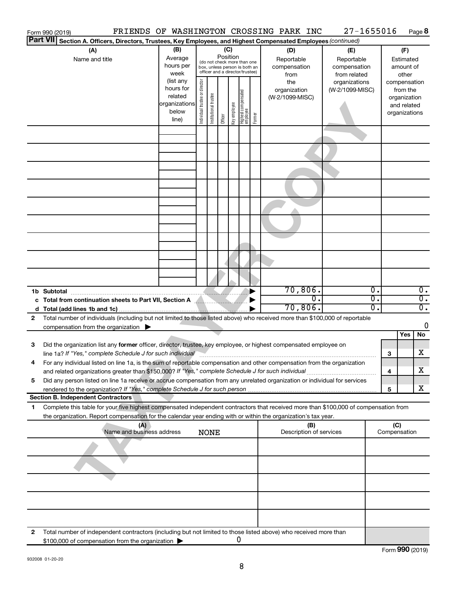| Form 990 (2019)                                                                                                                           |                           |                                |                       |                                                              |                                   |        | FRIENDS OF WASHINGTON CROSSING PARK INC | 27-1655016                 |              |                          | Page 8           |
|-------------------------------------------------------------------------------------------------------------------------------------------|---------------------------|--------------------------------|-----------------------|--------------------------------------------------------------|-----------------------------------|--------|-----------------------------------------|----------------------------|--------------|--------------------------|------------------|
| <b>Part VII</b><br>Section A. Officers, Directors, Trustees, Key Employees, and Highest Compensated Employees (continued)                 |                           |                                |                       |                                                              |                                   |        |                                         |                            |              |                          |                  |
| (A)                                                                                                                                       | (B)<br>Average            |                                |                       | (C)<br>Position                                              |                                   |        | (D)                                     | (E)                        |              | (F)                      |                  |
| Name and title                                                                                                                            | hours per                 |                                |                       | (do not check more than one<br>box, unless person is both an |                                   |        | Reportable<br>compensation              | Reportable<br>compensation |              | Estimated<br>amount of   |                  |
|                                                                                                                                           | week                      |                                |                       | officer and a director/trustee)                              |                                   |        | from                                    | from related               |              | other                    |                  |
|                                                                                                                                           | (list any<br>hours for    |                                |                       |                                                              |                                   |        | the                                     | organizations              |              | compensation             |                  |
|                                                                                                                                           | related                   |                                |                       |                                                              |                                   |        | organization<br>(W-2/1099-MISC)         | (W-2/1099-MISC)            |              | from the<br>organization |                  |
|                                                                                                                                           | organizations             |                                |                       |                                                              |                                   |        |                                         |                            |              | and related              |                  |
|                                                                                                                                           | below<br>line)            | Individual trustee or director | Institutional trustee | Key employee<br>Officer                                      | Highest compensated<br>  employee | Former |                                         |                            |              | organizations            |                  |
|                                                                                                                                           |                           |                                |                       |                                                              |                                   |        |                                         |                            |              |                          |                  |
|                                                                                                                                           |                           |                                |                       |                                                              |                                   |        |                                         |                            |              |                          |                  |
|                                                                                                                                           |                           |                                |                       |                                                              |                                   |        |                                         |                            |              |                          |                  |
|                                                                                                                                           |                           |                                |                       |                                                              |                                   |        |                                         |                            |              |                          |                  |
|                                                                                                                                           |                           |                                |                       |                                                              |                                   |        |                                         |                            |              |                          |                  |
|                                                                                                                                           |                           |                                |                       |                                                              |                                   |        |                                         |                            |              |                          |                  |
|                                                                                                                                           |                           |                                |                       |                                                              |                                   |        |                                         |                            |              |                          |                  |
|                                                                                                                                           |                           |                                |                       |                                                              |                                   |        |                                         |                            |              |                          |                  |
|                                                                                                                                           |                           |                                |                       |                                                              |                                   |        |                                         |                            |              |                          |                  |
|                                                                                                                                           |                           |                                |                       |                                                              |                                   |        |                                         |                            |              |                          |                  |
|                                                                                                                                           |                           |                                |                       |                                                              |                                   |        |                                         |                            |              |                          |                  |
|                                                                                                                                           |                           |                                |                       |                                                              |                                   |        |                                         |                            |              |                          |                  |
|                                                                                                                                           |                           |                                |                       |                                                              |                                   |        |                                         |                            |              |                          |                  |
|                                                                                                                                           |                           |                                |                       |                                                              |                                   |        |                                         |                            |              |                          |                  |
|                                                                                                                                           |                           |                                |                       |                                                              |                                   |        |                                         |                            |              |                          |                  |
|                                                                                                                                           |                           |                                |                       |                                                              |                                   |        |                                         |                            |              |                          |                  |
| 1b Subtotal                                                                                                                               |                           |                                |                       |                                                              |                                   |        | 70,806.                                 | $\overline{0}$ .           |              |                          | $\overline{0}$ . |
| c Total from continuation sheets to Part VII, Section A MARITARY                                                                          |                           |                                |                       |                                                              |                                   |        | $\overline{0}$ .                        | $\overline{0}$ .           |              |                          | $\overline{0}$ . |
|                                                                                                                                           |                           |                                |                       |                                                              |                                   |        | 70,806.                                 | 0.                         |              |                          | $\overline{0}$ . |
| Total number of individuals (including but not limited to those listed above) who received more than \$100,000 of reportable<br>2         |                           |                                |                       |                                                              |                                   |        |                                         |                            |              |                          | $\mathbf 0$      |
| compensation from the organization $\Box$                                                                                                 |                           |                                |                       |                                                              |                                   |        |                                         |                            |              | Yes                      | No               |
| Did the organization list any former officer, director, trustee, key employee, or highest compensated employee on<br>3                    |                           |                                |                       |                                                              |                                   |        |                                         |                            |              |                          |                  |
| line 1a? If "Yes," complete Schedule J for such individual manufacture communities and the Schedule J for such                            |                           |                                |                       |                                                              |                                   |        |                                         |                            | З            |                          | х                |
| For any individual listed on line 1a, is the sum of reportable compensation and other compensation from the organization                  |                           |                                |                       |                                                              |                                   |        |                                         |                            |              |                          |                  |
| and related organizations greater than \$150,000? If "Yes," complete Schedule J for such individual                                       |                           |                                |                       |                                                              |                                   |        |                                         |                            | 4            |                          | х                |
| Did any person listed on line 1a receive or accrue compensation from any unrelated organization or individual for services<br>5           |                           |                                |                       |                                                              |                                   |        |                                         |                            |              |                          |                  |
| <b>Section B. Independent Contractors</b>                                                                                                 |                           |                                |                       |                                                              |                                   |        |                                         |                            | 5            |                          | x                |
| Complete this table for your five highest compensated independent contractors that received more than \$100,000 of compensation from<br>1 |                           |                                |                       |                                                              |                                   |        |                                         |                            |              |                          |                  |
| the organization. Report compensation for the calendar year ending with or within the organization's tax year.                            |                           |                                |                       |                                                              |                                   |        |                                         |                            |              |                          |                  |
|                                                                                                                                           | (A)                       |                                |                       |                                                              |                                   |        | (B)                                     |                            | (C)          |                          |                  |
|                                                                                                                                           | Name and business address | <b>NONE</b>                    |                       |                                                              |                                   |        | Description of services                 |                            | Compensation |                          |                  |
|                                                                                                                                           |                           |                                |                       |                                                              |                                   |        |                                         |                            |              |                          |                  |
|                                                                                                                                           |                           |                                |                       |                                                              |                                   |        |                                         |                            |              |                          |                  |
|                                                                                                                                           |                           |                                |                       |                                                              |                                   |        |                                         |                            |              |                          |                  |
|                                                                                                                                           |                           |                                |                       |                                                              |                                   |        |                                         |                            |              |                          |                  |
|                                                                                                                                           |                           |                                |                       |                                                              |                                   |        |                                         |                            |              |                          |                  |
|                                                                                                                                           |                           |                                |                       |                                                              |                                   |        |                                         |                            |              |                          |                  |
|                                                                                                                                           |                           |                                |                       |                                                              |                                   |        |                                         |                            |              |                          |                  |
|                                                                                                                                           |                           |                                |                       |                                                              |                                   |        |                                         |                            |              |                          |                  |
| Total number of independent contractors (including but not limited to those listed above) who received more than<br>2                     |                           |                                |                       |                                                              |                                   |        |                                         |                            |              |                          |                  |
| \$100,000 of compensation from the organization                                                                                           |                           |                                |                       |                                                              | 0                                 |        |                                         |                            |              |                          |                  |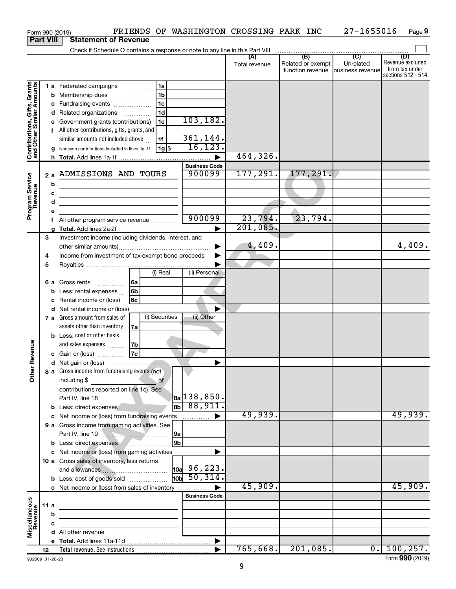|                                                           |                  | FRIENDS OF WASHINGTON CROSSING PARK INC<br>Form 990 (2019)                                                                                                                        |                                                      |                      |                                                               | 27-1655016                  | Page 9                                                          |
|-----------------------------------------------------------|------------------|-----------------------------------------------------------------------------------------------------------------------------------------------------------------------------------|------------------------------------------------------|----------------------|---------------------------------------------------------------|-----------------------------|-----------------------------------------------------------------|
|                                                           | <b>Part VIII</b> | <b>Statement of Revenue</b>                                                                                                                                                       |                                                      |                      |                                                               |                             |                                                                 |
|                                                           |                  |                                                                                                                                                                                   |                                                      |                      |                                                               |                             |                                                                 |
|                                                           |                  |                                                                                                                                                                                   |                                                      | (A)<br>Total revenue | (B)<br>Related or exempt<br>function revenue business revenue | $\overline{C}$<br>Unrelated | (D)<br>Revenue excluded<br>from tax under<br>sections 512 - 514 |
|                                                           |                  | 1a<br>1 a Federated campaigns                                                                                                                                                     |                                                      |                      |                                                               |                             |                                                                 |
| Contributions, Gifts, Grants<br>and Other Similar Amounts |                  | 1 <sub>b</sub><br><b>b</b> Membership dues<br>$\ldots \ldots \ldots \ldots \ldots$                                                                                                |                                                      |                      |                                                               |                             |                                                                 |
|                                                           | с                | 1 <sub>c</sub><br>Fundraising events                                                                                                                                              |                                                      |                      |                                                               |                             |                                                                 |
|                                                           |                  | 1 <sub>d</sub><br>d Related organizations                                                                                                                                         |                                                      |                      |                                                               |                             |                                                                 |
|                                                           | е                | 1e<br>Government grants (contributions)                                                                                                                                           | 103, 182.                                            |                      |                                                               |                             |                                                                 |
|                                                           | f                | All other contributions, gifts, grants, and                                                                                                                                       |                                                      |                      |                                                               |                             |                                                                 |
|                                                           |                  | similar amounts not included above<br>1f                                                                                                                                          | 361,144.                                             |                      |                                                               |                             |                                                                 |
|                                                           |                  | l 1g  \$<br>Noncash contributions included in lines 1a-1f                                                                                                                         | 16, 123.                                             | 464,326.             |                                                               |                             |                                                                 |
|                                                           |                  |                                                                                                                                                                                   |                                                      |                      |                                                               |                             |                                                                 |
|                                                           | 2a               | ADMISSIONS AND TOURS                                                                                                                                                              | <b>Business Code</b><br>900099                       | 177, 291.            | 177, 291.                                                     |                             |                                                                 |
| Program Service<br>Revenue                                | b                |                                                                                                                                                                                   |                                                      |                      |                                                               |                             |                                                                 |
|                                                           | c                | <u> 1980 - Johann Barn, mars ann an t-Amhain Aonaich an t-Aonaich an t-Aonaich ann an t-Aonaich ann an t-Aonaich</u>                                                              |                                                      |                      |                                                               |                             |                                                                 |
|                                                           | d                | <u> 1989 - Johann Barbara, martin amerikan basal da</u><br><u> 1989 - Johann Barbara, martin amerikan basar dan bagi dan bagi dalam basar dalam bagi dalam bagi dalam bagi da</u> |                                                      |                      |                                                               |                             |                                                                 |
|                                                           | e                |                                                                                                                                                                                   |                                                      |                      |                                                               |                             |                                                                 |
|                                                           | f                | All other program service revenue                                                                                                                                                 | 900099                                               | 23,794.              | 23,794.                                                       |                             |                                                                 |
|                                                           |                  |                                                                                                                                                                                   | ▶                                                    | 201,085.             |                                                               |                             |                                                                 |
|                                                           | 3                | Investment income (including dividends, interest, and                                                                                                                             |                                                      |                      |                                                               |                             |                                                                 |
|                                                           |                  |                                                                                                                                                                                   |                                                      | 4,409.               |                                                               |                             | 4,409.                                                          |
|                                                           | 4                | Income from investment of tax-exempt bond proceeds                                                                                                                                |                                                      |                      |                                                               |                             |                                                                 |
|                                                           | 5                |                                                                                                                                                                                   |                                                      |                      |                                                               |                             |                                                                 |
|                                                           |                  | (i) Real                                                                                                                                                                          | (ii) Personal                                        |                      |                                                               |                             |                                                                 |
|                                                           |                  | 6a<br>6 a Gross rents                                                                                                                                                             |                                                      |                      |                                                               |                             |                                                                 |
|                                                           | b                | 6 <sub>b</sub><br>Less: rental expenses                                                                                                                                           |                                                      |                      |                                                               |                             |                                                                 |
|                                                           | c                | 6c<br>Rental income or (loss)                                                                                                                                                     |                                                      |                      |                                                               |                             |                                                                 |
|                                                           |                  | d Net rental income or (loss)<br>(i) Securities<br>7 a Gross amount from sales of                                                                                                 | (ii) Other                                           |                      |                                                               |                             |                                                                 |
|                                                           |                  | assets other than inventory<br><b>7a</b>                                                                                                                                          |                                                      |                      |                                                               |                             |                                                                 |
|                                                           |                  | <b>b</b> Less: cost or other basis                                                                                                                                                |                                                      |                      |                                                               |                             |                                                                 |
|                                                           |                  | and sales expenses<br>7b                                                                                                                                                          |                                                      |                      |                                                               |                             |                                                                 |
| evenue                                                    |                  | 7c<br>c Gain or (loss)                                                                                                                                                            |                                                      |                      |                                                               |                             |                                                                 |
|                                                           |                  |                                                                                                                                                                                   |                                                      |                      |                                                               |                             |                                                                 |
| Other F                                                   |                  | 8 a Gross income from fundraising events (not<br>including \$<br>of                                                                                                               |                                                      |                      |                                                               |                             |                                                                 |
|                                                           |                  | contributions reported on line 1c). See                                                                                                                                           |                                                      |                      |                                                               |                             |                                                                 |
|                                                           |                  |                                                                                                                                                                                   | $ a_2 $ 138,850.                                     |                      |                                                               |                             |                                                                 |
|                                                           |                  | $ _{8b} $<br>b Less: direct expenses                                                                                                                                              | 88,911.                                              |                      |                                                               |                             |                                                                 |
|                                                           |                  |                                                                                                                                                                                   |                                                      | 49,939.              |                                                               |                             | 49,939.                                                         |
|                                                           |                  | 9 a Gross income from gaming activities. See                                                                                                                                      |                                                      |                      |                                                               |                             |                                                                 |
|                                                           |                  | Part IV, line 19<br> 9a<br>l 9b                                                                                                                                                   |                                                      |                      |                                                               |                             |                                                                 |
|                                                           |                  | <b>b</b> Less: direct expenses                                                                                                                                                    |                                                      |                      |                                                               |                             |                                                                 |
|                                                           |                  | 10 a Gross sales of inventory, less returns                                                                                                                                       |                                                      |                      |                                                               |                             |                                                                 |
|                                                           |                  |                                                                                                                                                                                   | $\begin{vmatrix} 10a & 96 \\ 223 & 11 \end{vmatrix}$ |                      |                                                               |                             |                                                                 |
|                                                           |                  | <b>b</b> Less: cost of goods sold                                                                                                                                                 | $\frac{1}{10}$ 50, 314.                              |                      |                                                               |                             |                                                                 |
|                                                           |                  |                                                                                                                                                                                   |                                                      | 45,909.              |                                                               |                             | 45,909.                                                         |
|                                                           |                  |                                                                                                                                                                                   | <b>Business Code</b>                                 |                      |                                                               |                             |                                                                 |
|                                                           | 11 a             | <u> 1980 - Johann Barbara, martxa alemaniar arg</u>                                                                                                                               |                                                      |                      |                                                               |                             |                                                                 |
|                                                           | b                |                                                                                                                                                                                   |                                                      |                      |                                                               |                             |                                                                 |
|                                                           | c                | the control of the control of the control of the control of                                                                                                                       |                                                      |                      |                                                               |                             |                                                                 |
| Miscellaneous<br>Revenue                                  |                  |                                                                                                                                                                                   |                                                      |                      |                                                               |                             |                                                                 |
|                                                           |                  |                                                                                                                                                                                   |                                                      |                      |                                                               |                             |                                                                 |
|                                                           | 12               |                                                                                                                                                                                   |                                                      | 765,668.             | 201,085.                                                      |                             | 0.100, 257.                                                     |

932009 01-20-20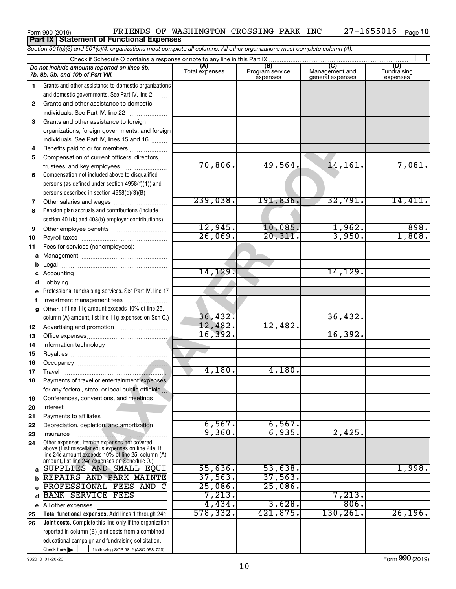#### often assistance to convention:<br>
The Park Munch of the S2<br>
See Park Munch of Sec 16<br>
See Park Munch of Sec 16<br>
See Park Munch of Sec 16<br>
See Park Munch of Correlations:<br>
and correlations:<br>
and correlations:<br>
and correlati Check here if following SOP 98-2 (ASC 958-720) **Total functional expenses.**  Add lines 1 through 24e **Joint costs.** Complete this line only if the organization **(A) (B) (C) (D)** Management and general expenses **1 2 3** Grants and other assistance to foreign **4 5 6 7 8 9 10 11 a** Management ~~~~~~~~~~~~~~~~ **b c** Accounting ~~~~~~~~~~~~~~~~~ **d e f g 12 13 14 15 16 17 18 19 20 21 22 23 24 a b c** d BANK SERVICE FEES 7,213. 7,213. **e** All other expenses **25 26** *Section 501(c)(3) and 501(c)(4) organizations must complete all columns. All other organizations must complete column (A).* Grants and other assistance to domestic organizations and domestic governments. See Part IV, line 21 Compensation not included above to disqualified persons (as defined under section 4958(f)(1)) and persons described in section  $4958(c)(3)(B)$   $\ldots$ Pension plan accruals and contributions (include section 401(k) and 403(b) employer contributions) Professional fundraising services. See Part IV, line 17 Other. (If line 11g amount exceeds 10% of line 25, column (A) amount, list line 11g expenses on Sch O.) Other expenses. Itemize expenses not covered above (List miscellaneous expenses on line 24e. If line 24e amount exceeds 10% of line 25, column (A) amount, list line 24e expenses on Schedule O.) reported in column (B) joint costs from a combined educational campaign and fundraising solicitation. Check if Schedule O contains a response or note to any line in this Part IX Total expenses Program service expenses **(D)**<br>Fundraising expenses .<br>... Grants and other assistance to domestic individuals. See Part IV, line 22 ~~~~~~~ organizations, foreign governments, and foreign individuals. See Part IV, lines 15 and 16  $\ldots$ Benefits paid to or for members ................... Compensation of current officers, directors, trustees, and key employees ......................... Other salaries and wages ~~~~~~~~~~ Other employee benefits ~~~~~~~~~~ Payroll taxes ~~~~~~~~~~~~~~~~ Fees for services (nonemployees): Legal ~~~~~~~~~~~~~~~~~~~~ Lobbying ~~~~~~~~~~~~~~~~~~ Investment management fees ....................... Advertising and promotion .......................... Office expenses ~~~~~~~~~~~~~~~ Information technology ~~~~~~~~~~~ Royalties ~~~~~~~~~~~~~~~~~~ Occupancy ~~~~~~~~~~~~~~~~~ Travel ~~~~~~~~~~~~~~~~~~~ Payments of travel or entertainment expenses for any federal, state, or local public officials ... Conferences, conventions, and meetings Interest ~~~~~~~~~~~~~~~~~~ Payments to affiliates ~~~~~~~~~~~~ Depreciation, depletion, and amortization ...... Insurance ~~~~~~~~~~~~~~~~~ *Do not include amounts reported on lines 6b, 7b, 8b, 9b, and 10b of Part VIII.* **Part IX Statement of Functional Expenses**  $\Box$ 70,806. 49,564. 14,161. 7,081. 239,038. 191,836. 32,791. 14,411.  $12,945.$   $10,085.$   $1,962.$  898. 26,069. 20,311. 3,950. 1,808. 14,129. 14,129. 36,432. 36,432. 12,482. 12,482. 16,392. 16,392. 4,180. 4,180. 6,567. 6,567. 9,360. 6,935. 2,425. SUPPLIES AND SMALL EQUI 55,636. 53,638. 1,998. REPAIRS AND PARK MAINTE 37,563. 37,563. PROFESSIONAL FEES AND C 25,086. 25,086. 4,434. 3,628. 806. 578,332. 421,875. 130,261. 26,196.

Form 990 (2019)  $\qquad$  FRIENDS OF WASHINGTON CROSSING PARK INC  $\qquad$  27-1655016  $\qquad$   $_{\text{Page}}$ 

27-1655016 <sub>Page</sub> 10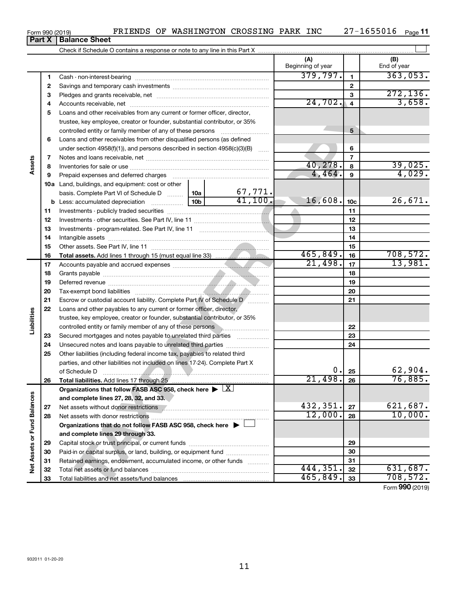| Form 990 (2019)               |  | F |
|-------------------------------|--|---|
| <b>Part X   Balance Sheet</b> |  |   |

|  | FRIENDS OF WASHINGTON CROSSING PARK INC |  | $27 - 1655016$ |
|--|-----------------------------------------|--|----------------|
|  |                                         |  |                |

|                             |          |                                                                                                                                |                 |                           | (A)<br>Beginning of year |                         | (B)<br>End of year |
|-----------------------------|----------|--------------------------------------------------------------------------------------------------------------------------------|-----------------|---------------------------|--------------------------|-------------------------|--------------------|
|                             | 1        |                                                                                                                                |                 |                           | 379,797.                 | $\mathbf{1}$            | 363,053.           |
|                             | 2        |                                                                                                                                |                 |                           |                          | $\mathbf{2}$            |                    |
|                             | 3        |                                                                                                                                |                 |                           |                          | 3                       | 272, 136.          |
|                             | 4        |                                                                                                                                |                 |                           | 24,702.                  | $\overline{\mathbf{4}}$ | 3,658.             |
|                             | 5        | Loans and other receivables from any current or former officer, director,                                                      |                 |                           |                          |                         |                    |
|                             |          | trustee, key employee, creator or founder, substantial contributor, or 35%                                                     |                 |                           |                          |                         |                    |
|                             |          | controlled entity or family member of any of these persons                                                                     |                 |                           |                          | 5                       |                    |
|                             | 6        | Loans and other receivables from other disqualified persons (as defined                                                        |                 |                           |                          |                         |                    |
|                             |          | under section 4958(f)(1)), and persons described in section 4958(c)(3)(B)                                                      |                 | <b>Contract</b>           |                          | 6                       |                    |
|                             | 7        |                                                                                                                                |                 |                           |                          | $\overline{7}$          |                    |
| Assets                      | 8        |                                                                                                                                |                 |                           | 40, 278.                 | 8                       | 39,025.            |
|                             | 9        | Prepaid expenses and deferred charges                                                                                          |                 |                           | 4,464.                   | 9                       | 4,029.             |
|                             |          | 10a Land, buildings, and equipment: cost or other                                                                              |                 |                           |                          |                         |                    |
|                             |          | basis. Complete Part VI of Schedule D  10a                                                                                     |                 | $\frac{67,771.}{41,100.}$ |                          |                         |                    |
|                             |          | <b>b</b> Less: accumulated depreciation <i></i>                                                                                | 10 <sub>b</sub> |                           | 16,608.                  | 10 <sub>c</sub>         | 26,671.            |
|                             | 11       |                                                                                                                                |                 |                           |                          | 11                      |                    |
|                             | 12       |                                                                                                                                |                 |                           |                          | 12                      |                    |
|                             | 13       |                                                                                                                                |                 |                           |                          | 13                      |                    |
|                             | 14       |                                                                                                                                |                 |                           |                          | 14                      |                    |
|                             | 15       |                                                                                                                                |                 |                           | 465,849.                 | 15                      | 708,572.           |
|                             | 16       |                                                                                                                                |                 |                           | 21,498.                  | 16                      | 13,981.            |
|                             | 17       |                                                                                                                                |                 |                           |                          | 17                      |                    |
|                             | 18       |                                                                                                                                |                 |                           | 18<br>19                 |                         |                    |
|                             | 19<br>20 |                                                                                                                                |                 | 20                        |                          |                         |                    |
|                             | 21       | Escrow or custodial account liability. Complete Part IV of Schedule D [                                                        |                 | 21                        |                          |                         |                    |
|                             | 22       | Loans and other payables to any current or former officer, director,                                                           |                 |                           |                          |                         |                    |
| Liabilities                 |          | trustee, key employee, creator or founder, substantial contributor, or 35%                                                     |                 |                           |                          |                         |                    |
|                             |          | controlled entity or family member of any of these persons memorant controlled entity or family member of any of these persons |                 |                           |                          | 22                      |                    |
|                             | 23       | Secured mortgages and notes payable to unrelated third parties                                                                 |                 |                           |                          | 23                      |                    |
|                             | 24       | Unsecured notes and loans payable to unrelated third parties                                                                   |                 |                           |                          | 24                      |                    |
|                             | 25       | Other liabilities (including federal income tax, payables to related third                                                     |                 |                           |                          |                         |                    |
|                             |          | parties, and other liabilities not included on lines 17-24). Complete Part X                                                   |                 |                           |                          |                         |                    |
|                             |          |                                                                                                                                |                 |                           | $0$ .                    | 25                      | 62,904.            |
|                             | 26       |                                                                                                                                |                 |                           | 21,498.                  | 26                      | 76,885.            |
|                             |          | Organizations that follow FASB ASC 958, check here $\blacktriangleright \lfloor \underline{X} \rfloor$                         |                 |                           |                          |                         |                    |
|                             |          | and complete lines 27, 28, 32, and 33.                                                                                         |                 |                           |                          |                         |                    |
|                             | 27       |                                                                                                                                |                 |                           | 432,351.                 | 27                      | 621,687.           |
|                             | 28       |                                                                                                                                |                 |                           | 12,000.                  | 28                      | 10,000.            |
|                             |          | Organizations that do not follow FASB ASC 958, check here $\blacktriangleright$                                                |                 |                           |                          |                         |                    |
|                             |          | and complete lines 29 through 33.                                                                                              |                 |                           |                          |                         |                    |
|                             | 29       |                                                                                                                                |                 |                           |                          | 29                      |                    |
|                             | 30       | Paid-in or capital surplus, or land, building, or equipment fund                                                               |                 |                           |                          | 30                      |                    |
| Net Assets or Fund Balances | 31       | Retained earnings, endowment, accumulated income, or other funds                                                               |                 |                           |                          | 31                      |                    |
|                             | 32       |                                                                                                                                |                 | 444,351.                  | 32                       | 631,687.                |                    |
|                             | 33       |                                                                                                                                |                 |                           | 465,849.                 | 33                      | 708,572.           |
|                             |          |                                                                                                                                |                 |                           |                          |                         | Form 990 (2019)    |

Form (2019) **990**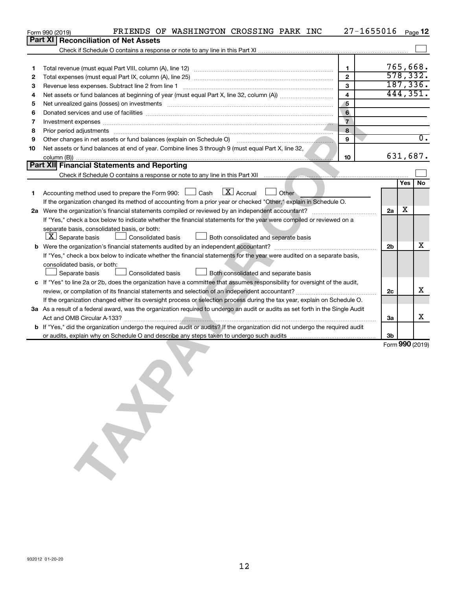|                                                                                                                         | FRIENDS OF WASHINGTON CROSSING PARK INC<br>Form 990 (2019)                                                                                                                                                                     |                         | $27 - 1655016$ |    |     | Page 12         |  |
|-------------------------------------------------------------------------------------------------------------------------|--------------------------------------------------------------------------------------------------------------------------------------------------------------------------------------------------------------------------------|-------------------------|----------------|----|-----|-----------------|--|
|                                                                                                                         | Part XI<br><b>Reconciliation of Net Assets</b>                                                                                                                                                                                 |                         |                |    |     |                 |  |
|                                                                                                                         |                                                                                                                                                                                                                                |                         |                |    |     |                 |  |
|                                                                                                                         |                                                                                                                                                                                                                                |                         |                |    |     |                 |  |
| 1                                                                                                                       |                                                                                                                                                                                                                                | 1                       |                |    |     | 765,668.        |  |
| 2                                                                                                                       |                                                                                                                                                                                                                                | $\mathbf{2}$            |                |    |     | 578, 332.       |  |
| 3                                                                                                                       |                                                                                                                                                                                                                                | 3                       |                |    |     | 187, 336.       |  |
| 4                                                                                                                       |                                                                                                                                                                                                                                | $\overline{\mathbf{4}}$ |                |    |     | 444,351.        |  |
| 5                                                                                                                       | Net unrealized gains (losses) on investments [11] matter continuum matter is a set of the set of the set of the                                                                                                                | $\sqrt{5}$              |                |    |     |                 |  |
| 6                                                                                                                       |                                                                                                                                                                                                                                | $6\phantom{1}$          |                |    |     |                 |  |
| 7                                                                                                                       | Investment expenses www.communication.com/www.communication.com/www.communication.com/www.com                                                                                                                                  | $\overline{7}$          |                |    |     |                 |  |
| 8                                                                                                                       |                                                                                                                                                                                                                                | 8                       |                |    |     |                 |  |
| 9                                                                                                                       | Other changes in net assets or fund balances (explain on Schedule O) [11] [11] The changes in net assets or fund                                                                                                               | 9                       |                |    |     | 0.              |  |
| 10                                                                                                                      | Net assets or fund balances at end of year. Combine lines 3 through 9 (must equal Part X, line 32,                                                                                                                             |                         |                |    |     |                 |  |
|                                                                                                                         |                                                                                                                                                                                                                                | 10                      |                |    |     | 631,687.        |  |
|                                                                                                                         | Part XII Financial Statements and Reporting                                                                                                                                                                                    |                         |                |    |     |                 |  |
|                                                                                                                         | Check if Schedule O contains a response or note to any line in this Part XII music contains a contained and contains a response or note to any line in this Part XII music contains and contains a response or note to any lin |                         |                |    |     |                 |  |
|                                                                                                                         |                                                                                                                                                                                                                                |                         |                |    | Yes | No              |  |
| 1.                                                                                                                      | $\boxed{\mathbf{X}}$ Accrual<br>Accounting method used to prepare the Form 990: [130] Cash<br>Other                                                                                                                            |                         |                |    |     |                 |  |
|                                                                                                                         | If the organization changed its method of accounting from a prior year or checked "Other," explain in Schedule O.                                                                                                              |                         |                |    | х   |                 |  |
|                                                                                                                         |                                                                                                                                                                                                                                |                         |                | 2a |     |                 |  |
|                                                                                                                         | If "Yes," check a box below to indicate whether the financial statements for the year were compiled or reviewed on a<br>separate basis, consolidated basis, or both:                                                           |                         |                |    |     |                 |  |
|                                                                                                                         | $ \mathbf{X} $ Separate basis<br>Consolidated basis<br>Both consolidated and separate basis                                                                                                                                    |                         |                |    |     |                 |  |
|                                                                                                                         |                                                                                                                                                                                                                                |                         |                |    |     |                 |  |
| If "Yes," check a box below to indicate whether the financial statements for the year were audited on a separate basis, |                                                                                                                                                                                                                                |                         |                |    |     |                 |  |
|                                                                                                                         | consolidated basis, or both:                                                                                                                                                                                                   |                         |                |    |     |                 |  |
|                                                                                                                         | Separate basis<br><b>Consolidated basis</b><br>Both consolidated and separate basis                                                                                                                                            |                         |                |    |     |                 |  |
|                                                                                                                         | c If "Yes" to line 2a or 2b, does the organization have a committee that assumes responsibility for oversight of the audit,                                                                                                    |                         |                |    |     |                 |  |
|                                                                                                                         |                                                                                                                                                                                                                                |                         |                |    |     |                 |  |
|                                                                                                                         | If the organization changed either its oversight process or selection process during the tax year, explain on Schedule O.                                                                                                      |                         |                |    |     |                 |  |
|                                                                                                                         | 3a As a result of a federal award, was the organization required to undergo an audit or audits as set forth in the Single Audit                                                                                                |                         |                |    |     |                 |  |
|                                                                                                                         |                                                                                                                                                                                                                                |                         |                | За |     | x               |  |
|                                                                                                                         | b If "Yes," did the organization undergo the required audit or audits? If the organization did not undergo the required audit                                                                                                  |                         |                |    |     |                 |  |
|                                                                                                                         |                                                                                                                                                                                                                                |                         |                | 3b |     |                 |  |
|                                                                                                                         |                                                                                                                                                                                                                                |                         |                |    |     | Form 990 (2019) |  |
|                                                                                                                         |                                                                                                                                                                                                                                |                         |                |    |     |                 |  |
|                                                                                                                         |                                                                                                                                                                                                                                |                         |                |    |     |                 |  |
|                                                                                                                         |                                                                                                                                                                                                                                |                         |                |    |     |                 |  |
|                                                                                                                         |                                                                                                                                                                                                                                |                         |                |    |     |                 |  |
|                                                                                                                         |                                                                                                                                                                                                                                |                         |                |    |     |                 |  |
|                                                                                                                         |                                                                                                                                                                                                                                |                         |                |    |     |                 |  |
|                                                                                                                         |                                                                                                                                                                                                                                |                         |                |    |     |                 |  |
|                                                                                                                         |                                                                                                                                                                                                                                |                         |                |    |     |                 |  |
|                                                                                                                         |                                                                                                                                                                                                                                |                         |                |    |     |                 |  |
|                                                                                                                         |                                                                                                                                                                                                                                |                         |                |    |     |                 |  |
|                                                                                                                         |                                                                                                                                                                                                                                |                         |                |    |     |                 |  |
|                                                                                                                         |                                                                                                                                                                                                                                |                         |                |    |     |                 |  |
|                                                                                                                         |                                                                                                                                                                                                                                |                         |                |    |     |                 |  |
|                                                                                                                         |                                                                                                                                                                                                                                |                         |                |    |     |                 |  |
|                                                                                                                         |                                                                                                                                                                                                                                |                         |                |    |     |                 |  |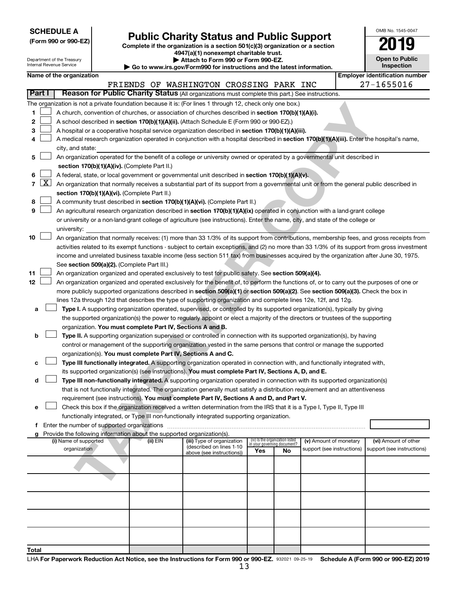| <b>SCHEDULE A</b> |  |
|-------------------|--|
|-------------------|--|

| (Form 990 or 990-EZ) |  |  |
|----------------------|--|--|
|                      |  |  |

Form 990 or 990-EZ) **Public Charity Status and Public Support**<br>
Complete if the organization is a section 501(c)(3) organization or a section<br> **2019 4947(a)(1) nonexempt charitable trust.**

| OMB No. 1545-0047     |
|-----------------------|
| $\mathbf{1}$          |
| <b>Open to Public</b> |

| Department of the Treasury<br>Internal Revenue Service |                     |                                                                                                                                                                                                |  | Attach to Form 990 or Form 990-EZ.<br>$\blacktriangleright$ Go to www.irs.gov/Form990 for instructions and the latest information. |                                                                                                                                               |     |                                                                |                            |  |                                       |  |
|--------------------------------------------------------|---------------------|------------------------------------------------------------------------------------------------------------------------------------------------------------------------------------------------|--|------------------------------------------------------------------------------------------------------------------------------------|-----------------------------------------------------------------------------------------------------------------------------------------------|-----|----------------------------------------------------------------|----------------------------|--|---------------------------------------|--|
|                                                        |                     | Name of the organization                                                                                                                                                                       |  |                                                                                                                                    |                                                                                                                                               |     |                                                                |                            |  | <b>Employer identification number</b> |  |
|                                                        | Part I              |                                                                                                                                                                                                |  |                                                                                                                                    | FRIENDS OF WASHINGTON CROSSING PARK INC<br>Reason for Public Charity Status (All organizations must complete this part.) See instructions.    |     |                                                                |                            |  | 27-1655016                            |  |
|                                                        |                     |                                                                                                                                                                                                |  |                                                                                                                                    | The organization is not a private foundation because it is: (For lines 1 through 12, check only one box.)                                     |     |                                                                |                            |  |                                       |  |
| 1.                                                     |                     |                                                                                                                                                                                                |  |                                                                                                                                    |                                                                                                                                               |     |                                                                |                            |  |                                       |  |
|                                                        |                     | A church, convention of churches, or association of churches described in section 170(b)(1)(A)(i).                                                                                             |  |                                                                                                                                    |                                                                                                                                               |     |                                                                |                            |  |                                       |  |
| 2                                                      |                     | A school described in section 170(b)(1)(A)(ii). (Attach Schedule E (Form 990 or 990-EZ).)<br>A hospital or a cooperative hospital service organization described in section 170(b)(1)(A)(iii). |  |                                                                                                                                    |                                                                                                                                               |     |                                                                |                            |  |                                       |  |
| з                                                      |                     |                                                                                                                                                                                                |  |                                                                                                                                    |                                                                                                                                               |     |                                                                |                            |  |                                       |  |
| 4                                                      |                     |                                                                                                                                                                                                |  |                                                                                                                                    | A medical research organization operated in conjunction with a hospital described in section 170(b)(1)(A)(iii). Enter the hospital's name,    |     |                                                                |                            |  |                                       |  |
|                                                        |                     | city, and state:                                                                                                                                                                               |  |                                                                                                                                    |                                                                                                                                               |     |                                                                |                            |  |                                       |  |
| 5                                                      |                     | An organization operated for the benefit of a college or university owned or operated by a governmental unit described in<br>section 170(b)(1)(A)(iv). (Complete Part II.)                     |  |                                                                                                                                    |                                                                                                                                               |     |                                                                |                            |  |                                       |  |
|                                                        |                     |                                                                                                                                                                                                |  |                                                                                                                                    | A federal, state, or local government or governmental unit described in section 170(b)(1)(A)(v).                                              |     |                                                                |                            |  |                                       |  |
| 6<br>$\overline{7}$                                    | $\lfloor x \rfloor$ |                                                                                                                                                                                                |  |                                                                                                                                    |                                                                                                                                               |     |                                                                |                            |  |                                       |  |
|                                                        |                     |                                                                                                                                                                                                |  | section 170(b)(1)(A)(vi). (Complete Part II.)                                                                                      | An organization that normally receives a substantial part of its support from a governmental unit or from the general public described in     |     |                                                                |                            |  |                                       |  |
| 8                                                      |                     |                                                                                                                                                                                                |  |                                                                                                                                    | A community trust described in section 170(b)(1)(A)(vi). (Complete Part II.)                                                                  |     |                                                                |                            |  |                                       |  |
| 9                                                      |                     |                                                                                                                                                                                                |  |                                                                                                                                    | An agricultural research organization described in section 170(b)(1)(A)(ix) operated in conjunction with a land-grant college                 |     |                                                                |                            |  |                                       |  |
|                                                        |                     |                                                                                                                                                                                                |  |                                                                                                                                    | or university or a non-land-grant college of agriculture (see instructions). Enter the name, city, and state of the college or                |     |                                                                |                            |  |                                       |  |
|                                                        |                     | university:                                                                                                                                                                                    |  |                                                                                                                                    |                                                                                                                                               |     |                                                                |                            |  |                                       |  |
| 10                                                     |                     |                                                                                                                                                                                                |  |                                                                                                                                    | An organization that normally receives: (1) more than 33 1/3% of its support from contributions, membership fees, and gross receipts from     |     |                                                                |                            |  |                                       |  |
|                                                        |                     |                                                                                                                                                                                                |  |                                                                                                                                    | activities related to its exempt functions - subject to certain exceptions, and (2) no more than 33 1/3% of its support from gross investment |     |                                                                |                            |  |                                       |  |
|                                                        |                     |                                                                                                                                                                                                |  |                                                                                                                                    | income and unrelated business taxable income (less section 511 tax) from businesses acquired by the organization after June 30, 1975.         |     |                                                                |                            |  |                                       |  |
|                                                        |                     |                                                                                                                                                                                                |  | See section 509(a)(2). (Complete Part III.)                                                                                        |                                                                                                                                               |     |                                                                |                            |  |                                       |  |
| 11                                                     |                     |                                                                                                                                                                                                |  |                                                                                                                                    | An organization organized and operated exclusively to test for public safety. See section 509(a)(4).                                          |     |                                                                |                            |  |                                       |  |
| 12                                                     |                     |                                                                                                                                                                                                |  |                                                                                                                                    | An organization organized and operated exclusively for the benefit of, to perform the functions of, or to carry out the purposes of one or    |     |                                                                |                            |  |                                       |  |
|                                                        |                     |                                                                                                                                                                                                |  |                                                                                                                                    | more publicly supported organizations described in section 509(a)(1) or section 509(a)(2). See section 509(a)(3). Check the box in            |     |                                                                |                            |  |                                       |  |
|                                                        |                     |                                                                                                                                                                                                |  |                                                                                                                                    | lines 12a through 12d that describes the type of supporting organization and complete lines 12e, 12f, and 12g.                                |     |                                                                |                            |  |                                       |  |
| а                                                      |                     |                                                                                                                                                                                                |  |                                                                                                                                    | Type I. A supporting organization operated, supervised, or controlled by its supported organization(s), typically by giving                   |     |                                                                |                            |  |                                       |  |
|                                                        |                     |                                                                                                                                                                                                |  |                                                                                                                                    | the supported organization(s) the power to regularly appoint or elect a majority of the directors or trustees of the supporting               |     |                                                                |                            |  |                                       |  |
|                                                        |                     |                                                                                                                                                                                                |  | organization. You must complete Part IV, Sections A and B.                                                                         |                                                                                                                                               |     |                                                                |                            |  |                                       |  |
| b                                                      |                     |                                                                                                                                                                                                |  |                                                                                                                                    | Type II. A supporting organization supervised or controlled in connection with its supported organization(s), by having                       |     |                                                                |                            |  |                                       |  |
|                                                        |                     |                                                                                                                                                                                                |  |                                                                                                                                    | control or management of the supporting organization vested in the same persons that control or manage the supported                          |     |                                                                |                            |  |                                       |  |
|                                                        |                     |                                                                                                                                                                                                |  | organization(s). You must complete Part IV, Sections A and C.                                                                      |                                                                                                                                               |     |                                                                |                            |  |                                       |  |
| с                                                      |                     |                                                                                                                                                                                                |  |                                                                                                                                    | Type III functionally integrated. A supporting organization operated in connection with, and functionally integrated with,                    |     |                                                                |                            |  |                                       |  |
|                                                        |                     |                                                                                                                                                                                                |  |                                                                                                                                    | its supported organization(s) (see instructions). You must complete Part IV, Sections A, D, and E.                                            |     |                                                                |                            |  |                                       |  |
| d                                                      |                     |                                                                                                                                                                                                |  |                                                                                                                                    | Type III non-functionally integrated. A supporting organization operated in connection with its supported organization(s)                     |     |                                                                |                            |  |                                       |  |
|                                                        |                     |                                                                                                                                                                                                |  |                                                                                                                                    | that is not functionally integrated. The organization generally must satisfy a distribution requirement and an attentiveness                  |     |                                                                |                            |  |                                       |  |
|                                                        |                     |                                                                                                                                                                                                |  |                                                                                                                                    | requirement (see instructions). You must complete Part IV, Sections A and D, and Part V.                                                      |     |                                                                |                            |  |                                       |  |
| е                                                      |                     |                                                                                                                                                                                                |  |                                                                                                                                    | Check this box if the organization received a written determination from the IRS that it is a Type I, Type II, Type III                       |     |                                                                |                            |  |                                       |  |
|                                                        |                     |                                                                                                                                                                                                |  |                                                                                                                                    | functionally integrated, or Type III non-functionally integrated supporting organization.                                                     |     |                                                                |                            |  |                                       |  |
| f.                                                     |                     |                                                                                                                                                                                                |  |                                                                                                                                    |                                                                                                                                               |     |                                                                |                            |  |                                       |  |
| g                                                      |                     |                                                                                                                                                                                                |  | Provide the following information about the supported organization(s).                                                             |                                                                                                                                               |     |                                                                |                            |  |                                       |  |
|                                                        |                     | (i) Name of supported                                                                                                                                                                          |  | (ii) EIN                                                                                                                           | (iii) Type of organization                                                                                                                    |     | (iv) Is the organization listed<br>in vour aoverning document? | (v) Amount of monetary     |  | (vi) Amount of other                  |  |
|                                                        |                     | organization                                                                                                                                                                                   |  |                                                                                                                                    | (described on lines 1-10<br>above (see instructions))                                                                                         | Yes | No                                                             | support (see instructions) |  | support (see instructions)            |  |
|                                                        |                     |                                                                                                                                                                                                |  |                                                                                                                                    |                                                                                                                                               |     |                                                                |                            |  |                                       |  |
|                                                        |                     |                                                                                                                                                                                                |  |                                                                                                                                    |                                                                                                                                               |     |                                                                |                            |  |                                       |  |
|                                                        |                     |                                                                                                                                                                                                |  |                                                                                                                                    |                                                                                                                                               |     |                                                                |                            |  |                                       |  |
|                                                        |                     |                                                                                                                                                                                                |  |                                                                                                                                    |                                                                                                                                               |     |                                                                |                            |  |                                       |  |
|                                                        |                     |                                                                                                                                                                                                |  |                                                                                                                                    |                                                                                                                                               |     |                                                                |                            |  |                                       |  |
|                                                        |                     |                                                                                                                                                                                                |  |                                                                                                                                    |                                                                                                                                               |     |                                                                |                            |  |                                       |  |
|                                                        |                     |                                                                                                                                                                                                |  |                                                                                                                                    |                                                                                                                                               |     |                                                                |                            |  |                                       |  |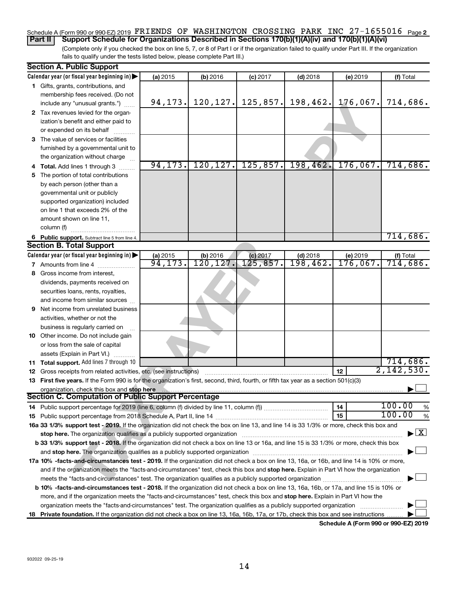#### Schedule A (Form 990 or 990-EZ) 2019  $\,$  FRIENDS  $\,$  OF  $\,$  WASHINGTON  $\,$  CROSSING  $\,$  PARK  $\,$  INC  $\,$  27 $-1655016$   $\,$   $_{\rm Page\,2}$ **Part II Support Schedule for Organizations Described in Sections 170(b)(1)(A)(iv) and 170(b)(1)(A)(vi)**

(Complete only if you checked the box on line 5, 7, or 8 of Part I or if the organization failed to qualify under Part III. If the organization fails to qualify under the tests listed below, please complete Part III.)

| <b>Section A. Public Support</b>                                                                                                           |          |           |            |                      |                               |                                          |
|--------------------------------------------------------------------------------------------------------------------------------------------|----------|-----------|------------|----------------------|-------------------------------|------------------------------------------|
| Calendar year (or fiscal year beginning in)                                                                                                | (a) 2015 | (b) 2016  | $(c)$ 2017 | $(d)$ 2018           | (e) 2019                      | (f) Total                                |
| 1 Gifts, grants, contributions, and                                                                                                        |          |           |            |                      |                               |                                          |
| membership fees received. (Do not                                                                                                          |          |           |            |                      |                               |                                          |
| include any "unusual grants.")                                                                                                             | 94, 173. | 120, 127. |            |                      | $125,857$ , 198,462. 176,067. | 714,686.                                 |
| 2 Tax revenues levied for the organ-                                                                                                       |          |           |            |                      |                               |                                          |
| ization's benefit and either paid to                                                                                                       |          |           |            |                      |                               |                                          |
| or expended on its behalf                                                                                                                  |          |           |            |                      |                               |                                          |
| 3 The value of services or facilities                                                                                                      |          |           |            |                      |                               |                                          |
| furnished by a governmental unit to                                                                                                        |          |           |            |                      |                               |                                          |
| the organization without charge                                                                                                            |          |           |            |                      |                               |                                          |
| 4 Total. Add lines 1 through 3                                                                                                             | 94, 173. | 120, 127. |            | $125, 857.$ 198,462. | 176,067.                      | 714,686.                                 |
| 5 The portion of total contributions                                                                                                       |          |           |            |                      |                               |                                          |
| by each person (other than a                                                                                                               |          |           |            |                      |                               |                                          |
| governmental unit or publicly                                                                                                              |          |           |            |                      |                               |                                          |
| supported organization) included                                                                                                           |          |           |            |                      |                               |                                          |
| on line 1 that exceeds 2% of the                                                                                                           |          |           |            |                      |                               |                                          |
| amount shown on line 11,                                                                                                                   |          |           |            |                      |                               |                                          |
| column (f)                                                                                                                                 |          |           |            |                      |                               |                                          |
| 6 Public support. Subtract line 5 from line 4.                                                                                             |          |           |            |                      |                               | 714,686.                                 |
| <b>Section B. Total Support</b>                                                                                                            |          |           |            |                      |                               |                                          |
| Calendar year (or fiscal year beginning in)                                                                                                | (a) 2015 | (b) 2016  | $(c)$ 2017 | $(d)$ 2018           | (e) 2019                      | (f) Total                                |
| <b>7</b> Amounts from line 4                                                                                                               | 94, 173. | 120, 127. | 125,857.   | 198,462.             | $176,067$ .                   | 714,686.                                 |
| 8 Gross income from interest,                                                                                                              |          |           |            |                      |                               |                                          |
| dividends, payments received on                                                                                                            |          |           |            |                      |                               |                                          |
| securities loans, rents, royalties,                                                                                                        |          |           |            |                      |                               |                                          |
| and income from similar sources                                                                                                            |          |           |            |                      |                               |                                          |
| <b>9</b> Net income from unrelated business                                                                                                |          |           |            |                      |                               |                                          |
| activities, whether or not the                                                                                                             |          |           |            |                      |                               |                                          |
| business is regularly carried on                                                                                                           |          |           |            |                      |                               |                                          |
| 10 Other income. Do not include gain                                                                                                       |          |           |            |                      |                               |                                          |
| or loss from the sale of capital                                                                                                           |          |           |            |                      |                               |                                          |
| assets (Explain in Part VI.)                                                                                                               |          |           |            |                      |                               |                                          |
| 11 Total support. Add lines 7 through 10                                                                                                   |          |           |            |                      |                               | 714,686.                                 |
| 12 Gross receipts from related activities, etc. (see instructions)                                                                         |          |           |            |                      | 12                            | 2,142,530.                               |
| 13 First five years. If the Form 990 is for the organization's first, second, third, fourth, or fifth tax year as a section 501(c)(3)      |          |           |            |                      |                               |                                          |
| organization, check this box and stop here                                                                                                 |          |           |            |                      |                               |                                          |
| Section C. Computation of Public Support Percentage                                                                                        |          |           |            |                      |                               |                                          |
|                                                                                                                                            |          |           |            |                      | 14                            | 100.00<br>%                              |
|                                                                                                                                            |          |           |            |                      | 15                            | 100.00<br>%                              |
| 16a 33 1/3% support test - 2019. If the organization did not check the box on line 13, and line 14 is 33 1/3% or more, check this box and  |          |           |            |                      |                               |                                          |
| stop here. The organization qualifies as a publicly supported organization                                                                 |          |           |            |                      |                               | $\blacktriangleright$ $\boxed{\text{X}}$ |
| b 33 1/3% support test - 2018. If the organization did not check a box on line 13 or 16a, and line 15 is 33 1/3% or more, check this box   |          |           |            |                      |                               |                                          |
|                                                                                                                                            |          |           |            |                      |                               |                                          |
| 17a 10% -facts-and-circumstances test - 2019. If the organization did not check a box on line 13, 16a, or 16b, and line 14 is 10% or more, |          |           |            |                      |                               |                                          |
| and if the organization meets the "facts-and-circumstances" test, check this box and stop here. Explain in Part VI how the organization    |          |           |            |                      |                               |                                          |
|                                                                                                                                            |          |           |            |                      |                               |                                          |
| b 10% -facts-and-circumstances test - 2018. If the organization did not check a box on line 13, 16a, 16b, or 17a, and line 15 is 10% or    |          |           |            |                      |                               |                                          |
|                                                                                                                                            |          |           |            |                      |                               |                                          |
| more, and if the organization meets the "facts-and-circumstances" test, check this box and stop here. Explain in Part VI how the           |          |           |            |                      |                               |                                          |
| organization meets the "facts-and-circumstances" test. The organization qualifies as a publicly supported organization                     |          |           |            |                      |                               |                                          |
| 18 Private foundation. If the organization did not check a box on line 13, 16a, 16b, 17a, or 17b, check this box and see instructions      |          |           |            |                      |                               |                                          |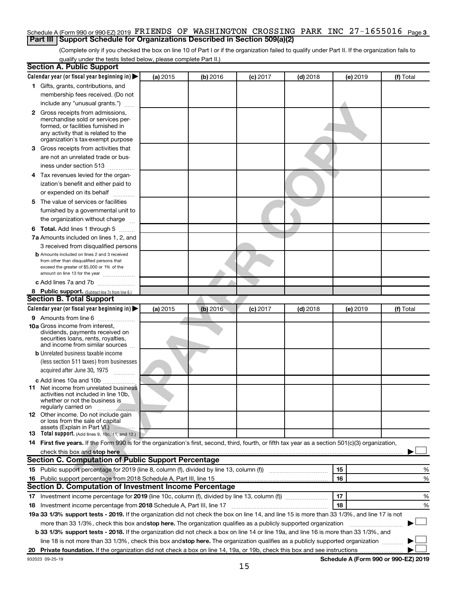#### Schedule A (Form 990 or 990-EZ) 2019  $\,$  FRIENDS  $\,$  OF  $\,$  WASHINGTON  $\,$  CROSSING  $\,$  PARK  $\,$  INC  $\,$  27 $-1655016$   $\,$   $_{\rm Page}$  3 **Part III Support Schedule for Organizations Described in Section 509(a)(2)**

(Complete only if you checked the box on line 10 of Part I or if the organization failed to qualify under Part II. If the organization fails to qualify under the tests listed below, please complete Part II.)

| <b>Section A. Public Support</b>                                                                                                                    |          |          |            |            |          |           |
|-----------------------------------------------------------------------------------------------------------------------------------------------------|----------|----------|------------|------------|----------|-----------|
| Calendar year (or fiscal year beginning in)                                                                                                         | (a) 2015 | (b) 2016 | $(c)$ 2017 | $(d)$ 2018 | (e) 2019 | (f) Total |
| 1 Gifts, grants, contributions, and                                                                                                                 |          |          |            |            |          |           |
| membership fees received. (Do not                                                                                                                   |          |          |            |            |          |           |
| include any "unusual grants.")                                                                                                                      |          |          |            |            |          |           |
| 2 Gross receipts from admissions,                                                                                                                   |          |          |            |            |          |           |
| merchandise sold or services per-                                                                                                                   |          |          |            |            |          |           |
| formed, or facilities furnished in<br>any activity that is related to the                                                                           |          |          |            |            |          |           |
| organization's tax-exempt purpose                                                                                                                   |          |          |            |            |          |           |
| 3 Gross receipts from activities that                                                                                                               |          |          |            |            |          |           |
| are not an unrelated trade or bus-                                                                                                                  |          |          |            |            |          |           |
| iness under section 513                                                                                                                             |          |          |            |            |          |           |
| 4 Tax revenues levied for the organ-                                                                                                                |          |          |            |            |          |           |
| ization's benefit and either paid to                                                                                                                |          |          |            |            |          |           |
| or expended on its behalf<br>.                                                                                                                      |          |          |            |            |          |           |
| 5 The value of services or facilities                                                                                                               |          |          |            |            |          |           |
| furnished by a governmental unit to                                                                                                                 |          |          |            |            |          |           |
| the organization without charge                                                                                                                     |          |          |            |            |          |           |
| 6 Total. Add lines 1 through 5                                                                                                                      |          |          |            |            |          |           |
| 7a Amounts included on lines 1, 2, and                                                                                                              |          |          |            |            |          |           |
| 3 received from disqualified persons                                                                                                                |          |          |            |            |          |           |
| <b>b</b> Amounts included on lines 2 and 3 received                                                                                                 |          |          |            |            |          |           |
| from other than disqualified persons that                                                                                                           |          |          |            |            |          |           |
| exceed the greater of \$5,000 or 1% of the<br>amount on line 13 for the year                                                                        |          |          |            |            |          |           |
| c Add lines 7a and 7b                                                                                                                               |          |          |            |            |          |           |
| 8 Public support. (Subtract line 7c from line 6.)                                                                                                   |          |          |            |            |          |           |
| <b>Section B. Total Support</b>                                                                                                                     |          |          |            |            |          |           |
| Calendar year (or fiscal year beginning in)                                                                                                         | (a) 2015 | (b) 2016 | $(c)$ 2017 | $(d)$ 2018 | (e) 2019 | (f) Total |
| 9 Amounts from line 6                                                                                                                               |          |          |            |            |          |           |
| <b>10a</b> Gross income from interest,                                                                                                              |          |          |            |            |          |           |
| dividends, payments received on                                                                                                                     |          |          |            |            |          |           |
| securities loans, rents, royalties,<br>and income from similar sources                                                                              |          |          |            |            |          |           |
| <b>b</b> Unrelated business taxable income                                                                                                          |          |          |            |            |          |           |
| (less section 511 taxes) from businesses                                                                                                            |          |          |            |            |          |           |
| acquired after June 30, 1975                                                                                                                        |          |          |            |            |          |           |
| <b>c</b> Add lines 10a and 10b                                                                                                                      |          |          |            |            |          |           |
| <b>11</b> Net income from unrelated business                                                                                                        |          |          |            |            |          |           |
| activities not included in line 10b,                                                                                                                |          |          |            |            |          |           |
| whether or not the business is<br>regularly carried on                                                                                              |          |          |            |            |          |           |
| 12 Other income. Do not include gain                                                                                                                |          |          |            |            |          |           |
| or loss from the sale of capital                                                                                                                    |          |          |            |            |          |           |
| assets (Explain in Part VI.)<br><b>13</b> Total support. (Add lines 9, 10c, 11, and 12.)                                                            |          |          |            |            |          |           |
| 14 First five years. If the Form 990 is for the organization's first, second, third, fourth, or fifth tax year as a section 501(c)(3) organization, |          |          |            |            |          |           |
| check this box and stop here                                                                                                                        |          |          |            |            |          |           |
| Section C. Computation of Public Support Percentage                                                                                                 |          |          |            |            |          |           |
|                                                                                                                                                     |          |          |            |            | 15       | %         |
| 16 Public support percentage from 2018 Schedule A, Part III, line 15                                                                                |          |          |            |            | 16       | %         |
| Section D. Computation of Investment Income Percentage                                                                                              |          |          |            |            |          |           |
| 17 Investment income percentage for 2019 (line 10c, column (f), divided by line 13, column (f))                                                     |          |          |            |            | 17       | %         |
| 18 Investment income percentage from 2018 Schedule A, Part III, line 17                                                                             |          |          |            |            | 18       | %         |
| 19a 33 1/3% support tests - 2019. If the organization did not check the box on line 14, and line 15 is more than 33 1/3%, and line 17 is not        |          |          |            |            |          |           |
| more than 33 1/3%, check this box and stop here. The organization qualifies as a publicly supported organization                                    |          |          |            |            |          |           |
|                                                                                                                                                     |          |          |            |            |          |           |
| b 33 1/3% support tests - 2018. If the organization did not check a box on line 14 or line 19a, and line 16 is more than 33 1/3%, and               |          |          |            |            |          |           |
| line 18 is not more than 33 1/3%, check this box and stop here. The organization qualifies as a publicly supported organization                     |          |          |            |            |          |           |
|                                                                                                                                                     |          |          |            |            |          |           |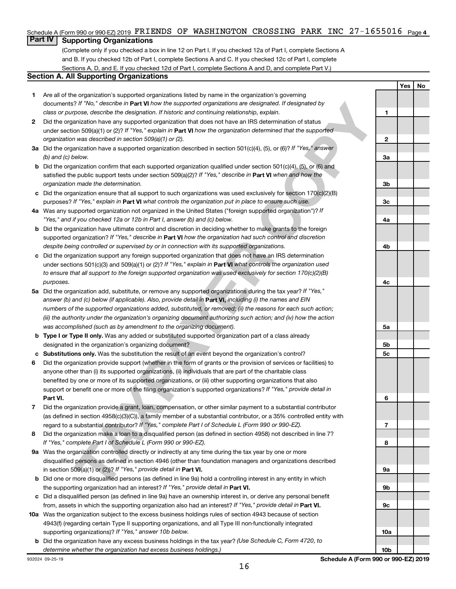#### Schedule A (Form 990 or 990-EZ) 2019  $\,$  FRIENDS  $\,$  OF  $\,$  WASHINGTON  $\,$  CROSSING  $\,$  PARK  $\,$  INC  $\,$  27 $-1655016$   $\,$   $_{\rm Page}$  4

## **Part IV Supporting Organizations**

(Complete only if you checked a box in line 12 on Part I. If you checked 12a of Part I, complete Sections A and B. If you checked 12b of Part I, complete Sections A and C. If you checked 12c of Part I, complete Sections A, D, and E. If you checked 12d of Part I, complete Sections A and D, and complete Part V.)

#### **Section A. All Supporting Organizations**

- **1** Are all of the organization's supported organizations listed by name in the organization's governing documents? If "No," describe in Part VI how the supported organizations are designated. If designated by *class or purpose, describe the designation. If historic and continuing relationship, explain.*
- **2** Did the organization have any supported organization that does not have an IRS determination of status under section 509(a)(1) or (2)? If "Yes," explain in Part **VI** how the organization determined that the supported *organization was described in section 509(a)(1) or (2).*
- **3a** Did the organization have a supported organization described in section 501(c)(4), (5), or (6)? If "Yes," answer *(b) and (c) below.*
- **b** Did the organization confirm that each supported organization qualified under section 501(c)(4), (5), or (6) and satisfied the public support tests under section 509(a)(2)? If "Yes," describe in Part VI when and how the *organization made the determination.*
- **c** Did the organization ensure that all support to such organizations was used exclusively for section 170(c)(2)(B) purposes? If "Yes," explain in Part VI what controls the organization put in place to ensure such use.
- **4 a** *If* Was any supported organization not organized in the United States ("foreign supported organization")? *"Yes," and if you checked 12a or 12b in Part I, answer (b) and (c) below.*
- **b** Did the organization have ultimate control and discretion in deciding whether to make grants to the foreign supported organization? If "Yes," describe in Part VI how the organization had such control and discretion *despite being controlled or supervised by or in connection with its supported organizations.*
- **c** Did the organization support any foreign supported organization that does not have an IRS determination under sections 501(c)(3) and 509(a)(1) or (2)? If "Yes," explain in Part VI what controls the organization used *to ensure that all support to the foreign supported organization was used exclusively for section 170(c)(2)(B) purposes.*
- **5a** Did the organization add, substitute, or remove any supported organizations during the tax year? If "Yes," answer (b) and (c) below (if applicable). Also, provide detail in **Part VI,** including (i) the names and EIN *numbers of the supported organizations added, substituted, or removed; (ii) the reasons for each such action; (iii) the authority under the organization's organizing document authorizing such action; and (iv) how the action was accomplished (such as by amendment to the organizing document).*
- **b** Type I or Type II only. Was any added or substituted supported organization part of a class already designated in the organization's organizing document?
- **c Substitutions only.**  Was the substitution the result of an event beyond the organization's control?
- **6** Did the organization provide support (whether in the form of grants or the provision of services or facilities) to **Part VI.** support or benefit one or more of the filing organization's supported organizations? If "Yes," provide detail in anyone other than (i) its supported organizations, (ii) individuals that are part of the charitable class benefited by one or more of its supported organizations, or (iii) other supporting organizations that also
- **7** Did the organization provide a grant, loan, compensation, or other similar payment to a substantial contributor regard to a substantial contributor? If "Yes," complete Part I of Schedule L (Form 990 or 990-EZ). (as defined in section 4958(c)(3)(C)), a family member of a substantial contributor, or a 35% controlled entity with
- **8** Did the organization make a loan to a disqualified person (as defined in section 4958) not described in line 7? *If "Yes," complete Part I of Schedule L (Form 990 or 990-EZ).*
- **9 a** Was the organization controlled directly or indirectly at any time during the tax year by one or more in section 509(a)(1) or (2))? If "Yes," provide detail in **Part VI.** disqualified persons as defined in section 4946 (other than foundation managers and organizations described
- **b** Did one or more disqualified persons (as defined in line 9a) hold a controlling interest in any entity in which the supporting organization had an interest? If "Yes," provide detail in Part VI.
- **c** Did a disqualified person (as defined in line 9a) have an ownership interest in, or derive any personal benefit from, assets in which the supporting organization also had an interest? If "Yes," provide detail in Part VI.
- **10 a** Was the organization subject to the excess business holdings rules of section 4943 because of section supporting organizations)? If "Yes," answer 10b below. 4943(f) (regarding certain Type II supporting organizations, and all Type III non-functionally integrated
	- **b** Did the organization have any excess business holdings in the tax year? (Use Schedule C, Form 4720, to *determine whether the organization had excess business holdings.)*

76 <sup>74</sup> 76.1 0eachde ar Park Universe Backgranie Copinations are designated of designated by<br>the method of the state of the state of the state of the state of the state of the state of the state of the state of the state o **1 2 3a 3b 3c 4a 4b 4c 5a 5b 5c 6 7 8 9a 9b 9c 10a**

**Yes No**

**10b**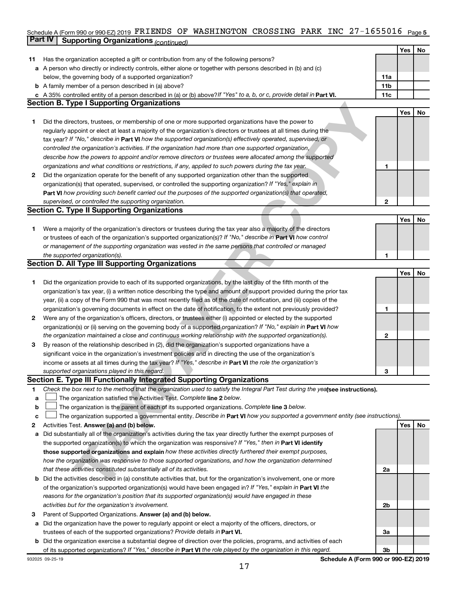### Schedule A (Form 990 or 990-EZ) 2019  $\,$  FRIENDS  $\,$  OF  $\,$  WASHINGTON  $\,$  CROSSING  $\,$  PARK  $\,$  INC  $\,$  27 $-1655016$   $\,$   $_{\rm{Page}}$  5 **Part IV Supporting Organizations** *(continued)*

|    |                                                                                                                                                                                                                        |              | Yes | No |
|----|------------------------------------------------------------------------------------------------------------------------------------------------------------------------------------------------------------------------|--------------|-----|----|
| 11 | Has the organization accepted a gift or contribution from any of the following persons?                                                                                                                                |              |     |    |
|    | a A person who directly or indirectly controls, either alone or together with persons described in (b) and (c)                                                                                                         |              |     |    |
|    | below, the governing body of a supported organization?                                                                                                                                                                 | 11a          |     |    |
|    | <b>b</b> A family member of a person described in (a) above?                                                                                                                                                           | 11b          |     |    |
|    | c A 35% controlled entity of a person described in (a) or (b) above? If "Yes" to a, b, or c, provide detail in Part VI.                                                                                                | 11c          |     |    |
|    | <b>Section B. Type I Supporting Organizations</b>                                                                                                                                                                      |              |     |    |
|    |                                                                                                                                                                                                                        |              | Yes | No |
| 1. | Did the directors, trustees, or membership of one or more supported organizations have the power to                                                                                                                    |              |     |    |
|    | regularly appoint or elect at least a majority of the organization's directors or trustees at all times during the                                                                                                     |              |     |    |
|    | tax year? If "No," describe in Part VI how the supported organization(s) effectively operated, supervised, or                                                                                                          |              |     |    |
|    | controlled the organization's activities. If the organization had more than one supported organization,                                                                                                                |              |     |    |
|    | describe how the powers to appoint and/or remove directors or trustees were allocated among the supported                                                                                                              |              |     |    |
|    | organizations and what conditions or restrictions, if any, applied to such powers during the tax year.                                                                                                                 | 1            |     |    |
| 2  | Did the organization operate for the benefit of any supported organization other than the supported                                                                                                                    |              |     |    |
|    | organization(s) that operated, supervised, or controlled the supporting organization? If "Yes," explain in                                                                                                             |              |     |    |
|    | Part VI how providing such benefit carried out the purposes of the supported organization(s) that operated,                                                                                                            |              |     |    |
|    | supervised, or controlled the supporting organization.                                                                                                                                                                 | 2            |     |    |
|    | <b>Section C. Type II Supporting Organizations</b>                                                                                                                                                                     |              |     |    |
|    |                                                                                                                                                                                                                        |              | Yes | No |
| 1. | Were a majority of the organization's directors or trustees during the tax year also a majority of the directors                                                                                                       |              |     |    |
|    | or trustees of each of the organization's supported organization(s)? If "No," describe in Part VI how control                                                                                                          |              |     |    |
|    | or management of the supporting organization was vested in the same persons that controlled or managed                                                                                                                 |              |     |    |
|    | the supported organization(s).                                                                                                                                                                                         | 1            |     |    |
|    | <b>Section D. All Type III Supporting Organizations</b>                                                                                                                                                                |              |     |    |
|    |                                                                                                                                                                                                                        |              | Yes | No |
| 1  | Did the organization provide to each of its supported organizations, by the last day of the fifth month of the                                                                                                         |              |     |    |
|    | organization's tax year, (i) a written notice describing the type and amount of support provided during the prior tax                                                                                                  |              |     |    |
|    | year, (ii) a copy of the Form 990 that was most recently filed as of the date of notification, and (iii) copies of the                                                                                                 |              |     |    |
|    | organization's governing documents in effect on the date of notification, to the extent not previously provided?                                                                                                       | 1            |     |    |
| 2  | Were any of the organization's officers, directors, or trustees either (i) appointed or elected by the supported                                                                                                       |              |     |    |
|    | organization(s) or (ii) serving on the governing body of a supported organization? If "No," explain in Part VI how                                                                                                     |              |     |    |
|    | the organization maintained a close and continuous working relationship with the supported organization(s).                                                                                                            | $\mathbf{2}$ |     |    |
| 3  | By reason of the relationship described in (2), did the organization's supported organizations have a                                                                                                                  |              |     |    |
|    | significant voice in the organization's investment policies and in directing the use of the organization's                                                                                                             |              |     |    |
|    | income or assets at all times during the tax year? If "Yes," describe in Part VI the role the organization's                                                                                                           |              |     |    |
|    | supported organizations played in this regard.                                                                                                                                                                         | З            |     |    |
|    | Section E. Type III Functionally Integrated Supporting Organizations                                                                                                                                                   |              |     |    |
| 1  | Check the box next to the method that the organization used to satisfy the Integral Part Test during the yealsee instructions).                                                                                        |              |     |    |
| а  | The organization satisfied the Activities Test. Complete line 2 below.                                                                                                                                                 |              |     |    |
| b  | The organization is the parent of each of its supported organizations. Complete line 3 below.                                                                                                                          |              |     |    |
| с  | The organization supported a governmental entity. Describe in Part VI how you supported a government entity (see instructions).                                                                                        |              |     |    |
| 2  | Activities Test. Answer (a) and (b) below.                                                                                                                                                                             |              | Yes | No |
| а  | Did substantially all of the organization's activities during the tax year directly further the exempt purposes of                                                                                                     |              |     |    |
|    | the supported organization(s) to which the organization was responsive? If "Yes," then in Part VI identify<br>those supported organizations and explain how these activities directly furthered their exempt purposes, |              |     |    |
|    | how the organization was responsive to those supported organizations, and how the organization determined                                                                                                              |              |     |    |
|    | that these activities constituted substantially all of its activities.                                                                                                                                                 | 2a           |     |    |
|    | Did the activities described in (a) constitute activities that, but for the organization's involvement, one or more                                                                                                    |              |     |    |
| b  | of the organization's supported organization(s) would have been engaged in? If "Yes," explain in Part VI the                                                                                                           |              |     |    |
|    | reasons for the organization's position that its supported organization(s) would have engaged in these                                                                                                                 |              |     |    |
|    | activities but for the organization's involvement.                                                                                                                                                                     | 2b           |     |    |
| з  | Parent of Supported Organizations. Answer (a) and (b) below.                                                                                                                                                           |              |     |    |
| а  | Did the organization have the power to regularly appoint or elect a majority of the officers, directors, or                                                                                                            |              |     |    |
|    | trustees of each of the supported organizations? Provide details in Part VI.                                                                                                                                           | За           |     |    |
|    | <b>b</b> Did the organization exercise a substantial degree of direction over the policies, programs, and activities of each                                                                                           |              |     |    |
|    | of its supported organizations? If "Yes," describe in Part VI the role played by the organization in this regard.                                                                                                      | 3b           |     |    |
|    |                                                                                                                                                                                                                        |              |     |    |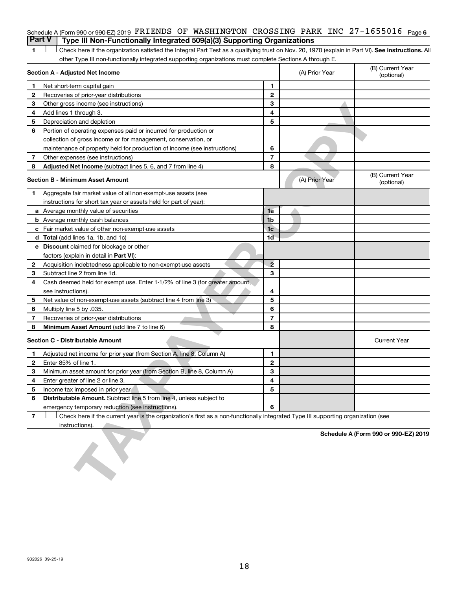| Part V   Type III Non-Functionally Integrated 509(a)(3) Supporting Organizations                                    |  |  |  |  |
|---------------------------------------------------------------------------------------------------------------------|--|--|--|--|
| Schedule A (Form 990 or 990-EZ) 2019 $\verb FRIENDS $ OF WASHINGTON CROSSING PARK INC 27-1655016 $\parallel$ page 6 |  |  |  |  |

1 **Letter See instructions.** All Check here if the organization satisfied the Integral Part Test as a qualifying trust on Nov. 20, 1970 (explain in Part VI). See instructions. All other Type III non-functionally integrated supporting organizations must complete Sections A through E.

|                | Section A - Adjusted Net Income                                                                                                   |                | (A) Prior Year | (B) Current Year<br>(optional)       |
|----------------|-----------------------------------------------------------------------------------------------------------------------------------|----------------|----------------|--------------------------------------|
| 1              | Net short-term capital gain                                                                                                       | 1              |                |                                      |
| 2              | Recoveries of prior-year distributions                                                                                            | $\mathbf{2}$   |                |                                      |
| 3              | Other gross income (see instructions)                                                                                             | 3              |                |                                      |
| 4              | Add lines 1 through 3.                                                                                                            | 4              |                |                                      |
| 5              | Depreciation and depletion                                                                                                        | 5              |                |                                      |
| 6              | Portion of operating expenses paid or incurred for production or                                                                  |                |                |                                      |
|                | collection of gross income or for management, conservation, or                                                                    |                |                |                                      |
|                | maintenance of property held for production of income (see instructions)                                                          | 6              |                |                                      |
| 7              | Other expenses (see instructions)                                                                                                 | $\overline{7}$ |                |                                      |
| 8              | Adjusted Net Income (subtract lines 5, 6, and 7 from line 4)                                                                      | 8              |                |                                      |
|                | <b>Section B - Minimum Asset Amount</b>                                                                                           |                | (A) Prior Year | (B) Current Year<br>(optional)       |
| 1              | Aggregate fair market value of all non-exempt-use assets (see                                                                     |                |                |                                      |
|                | instructions for short tax year or assets held for part of year):                                                                 |                |                |                                      |
|                | a Average monthly value of securities                                                                                             | 1a             |                |                                      |
|                | <b>b</b> Average monthly cash balances                                                                                            | 1 <sub>b</sub> |                |                                      |
|                | <b>c</b> Fair market value of other non-exempt-use assets                                                                         | 1 <sub>c</sub> |                |                                      |
|                | <b>d</b> Total (add lines 1a, 1b, and 1c)                                                                                         | 1 <sub>d</sub> |                |                                      |
|                | e Discount claimed for blockage or other                                                                                          |                |                |                                      |
|                | factors (explain in detail in Part VI):                                                                                           |                |                |                                      |
| 2              | Acquisition indebtedness applicable to non-exempt-use assets                                                                      | $\overline{2}$ |                |                                      |
| З              | Subtract line 2 from line 1d.                                                                                                     | 3              |                |                                      |
| 4              | Cash deemed held for exempt use. Enter 1-1/2% of line 3 (for greater amount,                                                      |                |                |                                      |
|                | see instructions).                                                                                                                | 4              |                |                                      |
| 5              | Net value of non-exempt-use assets (subtract line 4 from line 3)                                                                  | 5              |                |                                      |
| 6              | Multiply line 5 by .035.                                                                                                          | 6              |                |                                      |
| 7              | Recoveries of prior-year distributions                                                                                            | $\overline{7}$ |                |                                      |
| 8              | Minimum Asset Amount (add line 7 to line 6)                                                                                       | 8              |                |                                      |
|                | <b>Section C - Distributable Amount</b>                                                                                           |                |                | <b>Current Year</b>                  |
| 1              | Adjusted net income for prior year (from Section A, line 8, Column A)                                                             | 1              |                |                                      |
| 2              | Enter 85% of line 1.                                                                                                              | $\mathbf{2}$   |                |                                      |
| з              | Minimum asset amount for prior year (from Section B, line 8, Column A)                                                            | 3              |                |                                      |
| 4              | Enter greater of line 2 or line 3.                                                                                                | 4              |                |                                      |
| 5              | Income tax imposed in prior year                                                                                                  | 5              |                |                                      |
|                | Distributable Amount. Subtract line 5 from line 4, unless subject to                                                              |                |                |                                      |
|                | emergency temporary reduction (see instructions).                                                                                 | 6              |                |                                      |
| $\overline{7}$ | Check here if the current year is the organization's first as a non-functionally integrated Type III supporting organization (see |                |                |                                      |
|                | instructions).                                                                                                                    |                |                |                                      |
|                |                                                                                                                                   |                |                | Schedule A (Form 990 or 990-EZ) 2019 |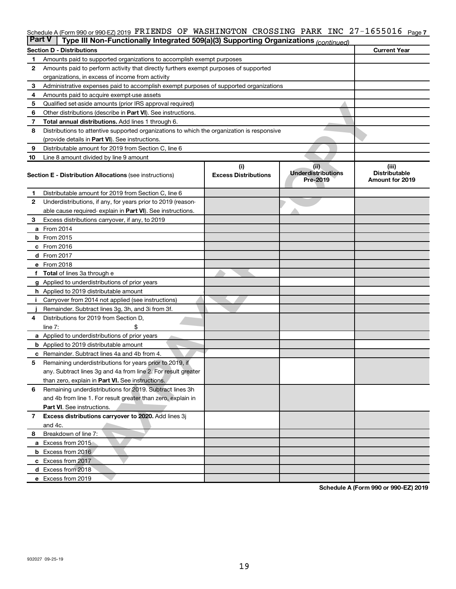#### Schedule A (Form 990 or 990-EZ) 2019 PI**KLENDS OF WASHINGTON CROSSING PARK INC 27-1655016** Page 7 FRIENDS OF WASHINGTON CROSSING PARK INC 27-1655016

| <b>Part V</b> | Type III Non-Functionally Integrated 509(a)(3) Supporting Organizations (continued)        |                                    |                                               |                                                         |
|---------------|--------------------------------------------------------------------------------------------|------------------------------------|-----------------------------------------------|---------------------------------------------------------|
|               | <b>Section D - Distributions</b>                                                           |                                    |                                               | <b>Current Year</b>                                     |
| 1             | Amounts paid to supported organizations to accomplish exempt purposes                      |                                    |                                               |                                                         |
| 2             | Amounts paid to perform activity that directly furthers exempt purposes of supported       |                                    |                                               |                                                         |
|               | organizations, in excess of income from activity                                           |                                    |                                               |                                                         |
| 3             | Administrative expenses paid to accomplish exempt purposes of supported organizations      |                                    |                                               |                                                         |
| 4             | Amounts paid to acquire exempt-use assets                                                  |                                    |                                               |                                                         |
| 5             | Qualified set-aside amounts (prior IRS approval required)                                  |                                    |                                               |                                                         |
| 6             | Other distributions (describe in Part VI). See instructions.                               |                                    |                                               |                                                         |
| 7             | Total annual distributions. Add lines 1 through 6.                                         |                                    |                                               |                                                         |
| 8             | Distributions to attentive supported organizations to which the organization is responsive |                                    |                                               |                                                         |
|               | (provide details in Part VI). See instructions.                                            |                                    |                                               |                                                         |
| 9             | Distributable amount for 2019 from Section C, line 6                                       |                                    |                                               |                                                         |
| 10            | Line 8 amount divided by line 9 amount                                                     |                                    |                                               |                                                         |
|               | <b>Section E - Distribution Allocations (see instructions)</b>                             | (i)<br><b>Excess Distributions</b> | (ii)<br><b>Underdistributions</b><br>Pre-2019 | (iii)<br><b>Distributable</b><br><b>Amount for 2019</b> |
| 1             | Distributable amount for 2019 from Section C, line 6                                       |                                    |                                               |                                                         |
| 2             | Underdistributions, if any, for years prior to 2019 (reason-                               |                                    |                                               |                                                         |
|               | able cause required- explain in Part VI). See instructions.                                |                                    |                                               |                                                         |
| З             | Excess distributions carryover, if any, to 2019                                            |                                    |                                               |                                                         |
|               | a From 2014                                                                                |                                    |                                               |                                                         |
|               | <b>b</b> From 2015                                                                         |                                    |                                               |                                                         |
|               | c From 2016                                                                                |                                    |                                               |                                                         |
|               | d From 2017                                                                                |                                    |                                               |                                                         |
|               | e From 2018                                                                                |                                    |                                               |                                                         |
|               | f Total of lines 3a through e                                                              |                                    |                                               |                                                         |
|               | <b>g</b> Applied to underdistributions of prior years                                      |                                    |                                               |                                                         |
|               | h Applied to 2019 distributable amount                                                     |                                    |                                               |                                                         |
|               | Carryover from 2014 not applied (see instructions)                                         |                                    |                                               |                                                         |
|               | Remainder. Subtract lines 3g, 3h, and 3i from 3f.                                          |                                    |                                               |                                                         |
| 4             | Distributions for 2019 from Section D,                                                     |                                    |                                               |                                                         |
|               | line $7:$                                                                                  |                                    |                                               |                                                         |
|               | <b>a</b> Applied to underdistributions of prior years                                      |                                    |                                               |                                                         |
|               | <b>b</b> Applied to 2019 distributable amount                                              |                                    |                                               |                                                         |
| c             | Remainder. Subtract lines 4a and 4b from 4.                                                |                                    |                                               |                                                         |
| 5             | Remaining underdistributions for years prior to 2019, if                                   |                                    |                                               |                                                         |
|               | any. Subtract lines 3g and 4a from line 2. For result greater                              |                                    |                                               |                                                         |
|               | than zero, explain in Part VI. See instructions.                                           |                                    |                                               |                                                         |
| 6             | Remaining underdistributions for 2019. Subtract lines 3h                                   |                                    |                                               |                                                         |
|               | and 4b from line 1. For result greater than zero, explain in                               |                                    |                                               |                                                         |
|               | <b>Part VI.</b> See instructions.                                                          |                                    |                                               |                                                         |
| $\mathbf{7}$  | Excess distributions carryover to 2020. Add lines 3j                                       |                                    |                                               |                                                         |
|               | and 4c.                                                                                    |                                    |                                               |                                                         |
| 8             | Breakdown of line 7:                                                                       |                                    |                                               |                                                         |
|               | a Excess from 2015                                                                         |                                    |                                               |                                                         |
|               | <b>b</b> Excess from 2016                                                                  |                                    |                                               |                                                         |
|               | c Excess from 2017                                                                         |                                    |                                               |                                                         |
|               | d Excess from 2018                                                                         |                                    |                                               |                                                         |
|               | e Excess from 2019                                                                         |                                    |                                               |                                                         |
|               |                                                                                            |                                    |                                               | Schedule A (Form 990 or 990-EZ) 2019                    |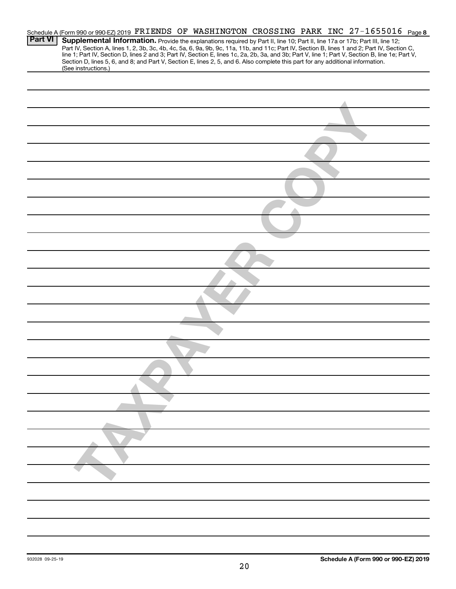|                | Schedule A (Form 990 or 990-EZ) 2019 FRIENDS OF WASHINGTON CROSSING PARK INC 27-1655016 Page 8                                                                                                                                                                                                                                                                                                                                                                                                                                                                                              |
|----------------|---------------------------------------------------------------------------------------------------------------------------------------------------------------------------------------------------------------------------------------------------------------------------------------------------------------------------------------------------------------------------------------------------------------------------------------------------------------------------------------------------------------------------------------------------------------------------------------------|
| <b>Part VI</b> | Supplemental Information. Provide the explanations required by Part II, line 10; Part II, line 17a or 17b; Part III, line 12;<br>Part IV, Section A, lines 1, 2, 3b, 3c, 4b, 4c, 5a, 6, 9a, 9b, 9c, 11a, 11b, and 11c; Part IV, Section B, lines 1 and 2; Part IV, Section C,<br>line 1; Part IV, Section D, lines 2 and 3; Part IV, Section E, lines 1c, 2a, 2b, 3a, and 3b; Part V, line 1; Part V, Section B, line 1e; Part V,<br>Section D, lines 5, 6, and 8; and Part V, Section E, lines 2, 5, and 6. Also complete this part for any additional information.<br>(See instructions.) |
|                |                                                                                                                                                                                                                                                                                                                                                                                                                                                                                                                                                                                             |
|                |                                                                                                                                                                                                                                                                                                                                                                                                                                                                                                                                                                                             |
|                |                                                                                                                                                                                                                                                                                                                                                                                                                                                                                                                                                                                             |
|                |                                                                                                                                                                                                                                                                                                                                                                                                                                                                                                                                                                                             |
|                |                                                                                                                                                                                                                                                                                                                                                                                                                                                                                                                                                                                             |
|                |                                                                                                                                                                                                                                                                                                                                                                                                                                                                                                                                                                                             |
|                |                                                                                                                                                                                                                                                                                                                                                                                                                                                                                                                                                                                             |
|                |                                                                                                                                                                                                                                                                                                                                                                                                                                                                                                                                                                                             |
|                |                                                                                                                                                                                                                                                                                                                                                                                                                                                                                                                                                                                             |
|                |                                                                                                                                                                                                                                                                                                                                                                                                                                                                                                                                                                                             |
|                |                                                                                                                                                                                                                                                                                                                                                                                                                                                                                                                                                                                             |
|                |                                                                                                                                                                                                                                                                                                                                                                                                                                                                                                                                                                                             |
|                |                                                                                                                                                                                                                                                                                                                                                                                                                                                                                                                                                                                             |
|                |                                                                                                                                                                                                                                                                                                                                                                                                                                                                                                                                                                                             |
|                |                                                                                                                                                                                                                                                                                                                                                                                                                                                                                                                                                                                             |
|                |                                                                                                                                                                                                                                                                                                                                                                                                                                                                                                                                                                                             |
|                |                                                                                                                                                                                                                                                                                                                                                                                                                                                                                                                                                                                             |
|                |                                                                                                                                                                                                                                                                                                                                                                                                                                                                                                                                                                                             |
|                |                                                                                                                                                                                                                                                                                                                                                                                                                                                                                                                                                                                             |
|                |                                                                                                                                                                                                                                                                                                                                                                                                                                                                                                                                                                                             |
|                |                                                                                                                                                                                                                                                                                                                                                                                                                                                                                                                                                                                             |
|                |                                                                                                                                                                                                                                                                                                                                                                                                                                                                                                                                                                                             |
|                |                                                                                                                                                                                                                                                                                                                                                                                                                                                                                                                                                                                             |
|                |                                                                                                                                                                                                                                                                                                                                                                                                                                                                                                                                                                                             |
|                |                                                                                                                                                                                                                                                                                                                                                                                                                                                                                                                                                                                             |
|                |                                                                                                                                                                                                                                                                                                                                                                                                                                                                                                                                                                                             |
|                |                                                                                                                                                                                                                                                                                                                                                                                                                                                                                                                                                                                             |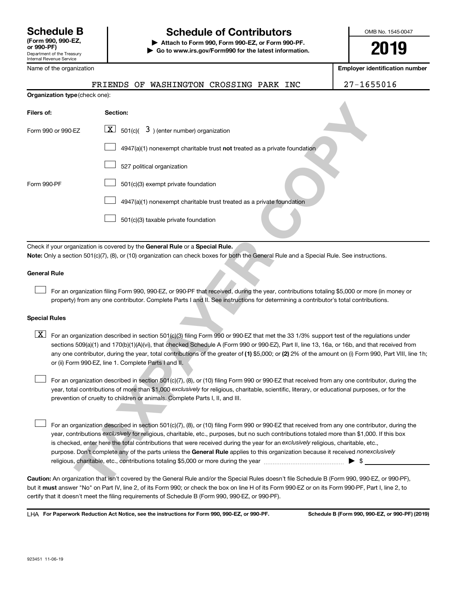# **Schedule B Schedule of Contributors**

**or 990-PF) | Attach to Form 990, Form 990-EZ, or Form 990-PF. | Go to www.irs.gov/Form990 for the latest information.** OMB No. 1545-0047

**2019**

**Employer identification number**

| Name of the organization |  |
|--------------------------|--|
|                          |  |

|  |  |  | FRIENDS OF WASHINGTON CROSSING PARK INC |  |  |  |  |
|--|--|--|-----------------------------------------|--|--|--|--|
|--|--|--|-----------------------------------------|--|--|--|--|

27-1655016

|                      | Organization type (check one): |                                                                                                                                                                                                                                                                                                                                                                                                                                                                                                                                                              |
|----------------------|--------------------------------|--------------------------------------------------------------------------------------------------------------------------------------------------------------------------------------------------------------------------------------------------------------------------------------------------------------------------------------------------------------------------------------------------------------------------------------------------------------------------------------------------------------------------------------------------------------|
| Filers of:           |                                | Section:                                                                                                                                                                                                                                                                                                                                                                                                                                                                                                                                                     |
|                      | Form 990 or 990-EZ             | $\lfloor x \rfloor$<br>501(c)( $\overline{3}$ ) (enter number) organization                                                                                                                                                                                                                                                                                                                                                                                                                                                                                  |
|                      |                                | 4947(a)(1) nonexempt charitable trust not treated as a private foundation                                                                                                                                                                                                                                                                                                                                                                                                                                                                                    |
|                      |                                | 527 political organization                                                                                                                                                                                                                                                                                                                                                                                                                                                                                                                                   |
| Form 990-PF          |                                | 501(c)(3) exempt private foundation                                                                                                                                                                                                                                                                                                                                                                                                                                                                                                                          |
|                      |                                | 4947(a)(1) nonexempt charitable trust treated as a private foundation                                                                                                                                                                                                                                                                                                                                                                                                                                                                                        |
|                      |                                | 501(c)(3) taxable private foundation                                                                                                                                                                                                                                                                                                                                                                                                                                                                                                                         |
|                      |                                | Check if your organization is covered by the General Rule or a Special Rule.                                                                                                                                                                                                                                                                                                                                                                                                                                                                                 |
|                      |                                | Note: Only a section 501(c)(7), (8), or (10) organization can check boxes for both the General Rule and a Special Rule. See instructions.                                                                                                                                                                                                                                                                                                                                                                                                                    |
| General Rule         |                                |                                                                                                                                                                                                                                                                                                                                                                                                                                                                                                                                                              |
|                      |                                | For an organization filing Form 990, 990-EZ, or 990-PF that received, during the year, contributions totaling \$5,000 or more (in mon<br>property) from any one contributor. Complete Parts I and II. See instructions for determining a contributor's total contributions.                                                                                                                                                                                                                                                                                  |
| <b>Special Rules</b> |                                |                                                                                                                                                                                                                                                                                                                                                                                                                                                                                                                                                              |
| $\lfloor x \rfloor$  |                                | For an organization described in section 501(c)(3) filing Form 990 or 990-EZ that met the 33 1/3% support test of the regulations u<br>sections 509(a)(1) and 170(b)(1)(A)(vi), that checked Schedule A (Form 990 or 990-EZ), Part II, line 13, 16a, or 16b, and that receive<br>any one contributor, during the year, total contributions of the greater of (1) \$5,000; or (2) 2% of the amount on (i) Form 990, Part \<br>or (ii) Form 990-EZ, line 1. Complete Parts I and II.                                                                           |
|                      |                                | For an organization described in section 501(c)(7), (8), or (10) filing Form 990 or 990-EZ that received from any one contributor, dur<br>year, total contributions of more than \$1,000 exclusively for religious, charitable, scientific, literary, or educational purposes, or for t<br>prevention of cruelty to children or animals. Complete Parts I, II, and III.                                                                                                                                                                                      |
|                      |                                | For an organization described in section 501(c)(7), (8), or (10) filing Form 990 or 990-EZ that received from any one contributor, dur<br>year, contributions exclusively for religious, charitable, etc., purposes, but no such contributions totaled more than \$1,000. If this b<br>is checked, enter here the total contributions that were received during the year for an exclusively religious, charitable, etc.,<br>purpose. Don't complete any of the parts unless the General Rule applies to this organization because it received nonexclusively |
|                      |                                | Caution: An organization that isn't covered by the General Rule and/or the Special Rules doesn't file Schedule B (Form 990, 990-EZ, or 990<br>but it must answer "No" on Part IV, line 2, of its Form 990; or check the box on line H of its Form 990-EZ or on its Form 990-PF, Part I, line 2                                                                                                                                                                                                                                                               |

#### **General Rule**

#### **Special Rules**

any one contributor, during the year, total contributions of the greater of (1) \$5,000; or (2) 2% of the amount on (i) Form 990, Part VIII, line 1h;  $\boxed{\text{X}}$  For an organization described in section 501(c)(3) filing Form 990 or 990-EZ that met the 33 1/3% support test of the regulations under sections 509(a)(1) and 170(b)(1)(A)(vi), that checked Schedule A (Form 990 or 990-EZ), Part II, line 13, 16a, or 16b, and that received from or (ii) Form 990-EZ, line 1. Complete Parts I and II.

**Caution:**  An organization that isn't covered by the General Rule and/or the Special Rules doesn't file Schedule B (Form 990, 990-EZ, or 990-PF),  **must** but it answer "No" on Part IV, line 2, of its Form 990; or check the box on line H of its Form 990-EZ or on its Form 990-PF, Part I, line 2, to certify that it doesn't meet the filing requirements of Schedule B (Form 990, 990-EZ, or 990-PF).

**For Paperwork Reduction Act Notice, see the instructions for Form 990, 990-EZ, or 990-PF. Schedule B (Form 990, 990-EZ, or 990-PF) (2019)** LHA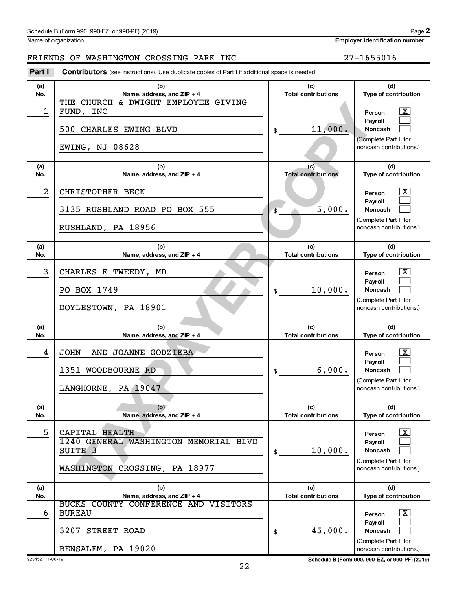Name of organization

**Employer identification number**

### FRIENDS OF WASHINGTON CROSSING PARK INC 27-1655016

**Part I** Contributors (see instructions). Use duplicate copies of Part I if additional space is needed.

| (a)        | (b)                                                                | (c)                               | (d)                                              |
|------------|--------------------------------------------------------------------|-----------------------------------|--------------------------------------------------|
| No.        | Name, address, and ZIP + 4                                         | <b>Total contributions</b>        | Type of contribution                             |
|            | THE CHURCH & DWIGHT EMPLOYEE GIVING                                |                                   |                                                  |
| 1          | FUND, INC                                                          |                                   | x<br>Person                                      |
|            | 500 CHARLES EWING BLVD                                             | 11,000.<br>\$                     | Pavroll<br><b>Noncash</b>                        |
|            |                                                                    |                                   | (Complete Part II for                            |
|            | <b>EWING, NJ 08628</b>                                             |                                   | noncash contributions.)                          |
| (a)        | (b)                                                                | (c)                               | (d)                                              |
| No.        | Name, address, and ZIP + 4                                         | <b>Total contributions</b>        | Type of contribution                             |
| 2          | CHRISTOPHER BECK                                                   |                                   | x<br>Person                                      |
|            | 3135 RUSHLAND ROAD PO BOX 555                                      | 5,000.<br>\$                      | Payroll<br><b>Noncash</b>                        |
|            | RUSHLAND, PA 18956                                                 |                                   | (Complete Part II for<br>noncash contributions.) |
|            |                                                                    |                                   |                                                  |
| (a)<br>No. | (b)<br>Name, address, and ZIP + 4                                  | (c)<br><b>Total contributions</b> | (d)<br>Type of contribution                      |
| 3          | CHARLES E TWEEDY, MD                                               |                                   | x<br>Person                                      |
|            | PO BOX 1749                                                        | 10,000.<br>\$                     | Payroll<br><b>Noncash</b>                        |
|            | DOYLESTOWN, PA 18901                                               |                                   | (Complete Part II for<br>noncash contributions.) |
|            |                                                                    |                                   |                                                  |
|            |                                                                    |                                   |                                                  |
| (a)<br>No. | (b)<br>Name, address, and ZIP + 4                                  | (c)<br><b>Total contributions</b> | (d)<br>Type of contribution                      |
| 4          | <b>JOHN</b>                                                        |                                   |                                                  |
|            | AND JOANNE GODZIEBA                                                |                                   | x<br>Person<br>Payroll                           |
|            | 1351 WOODBOURNE RD                                                 | 6,000.<br>\$                      | <b>Noncash</b>                                   |
|            | LANGHORNE, PA 19047                                                |                                   | (Complete Part II for<br>noncash contributions.) |
|            |                                                                    |                                   |                                                  |
| (a)        | (b)                                                                | (c)                               | (d)                                              |
| No.        | Name, address, and ZIP + 4                                         | <b>Total contributions</b>        | Type of contribution                             |
| 5          | CAPITAL HEALTH                                                     |                                   | $\overline{\mathbf{X}}$<br>Person                |
|            | 1240 GENERAL WASHINGTON MEMORIAL BLVD                              |                                   | Payroll                                          |
|            | SUITE <sub>3</sub>                                                 | 10,000.<br>\$                     | Noncash                                          |
|            | WASHINGTON CROSSING, PA 18977                                      |                                   | (Complete Part II for<br>noncash contributions.) |
|            |                                                                    |                                   |                                                  |
| (a)        | (b)                                                                | (c)<br><b>Total contributions</b> | (d)                                              |
| No.        | Name, address, and ZIP + 4<br>BUCKS COUNTY CONFERENCE AND VISITORS |                                   | Type of contribution                             |
| 6          | <b>BUREAU</b>                                                      |                                   | $\mathbf{X}$<br>Person                           |
|            |                                                                    |                                   | Payroll                                          |
|            | 3207<br>STREET ROAD                                                | 45,000.<br>\$                     | Noncash<br>(Complete Part II for                 |

923452 11-06-19 **Schedule B (Form 990, 990-EZ, or 990-PF) (2019)**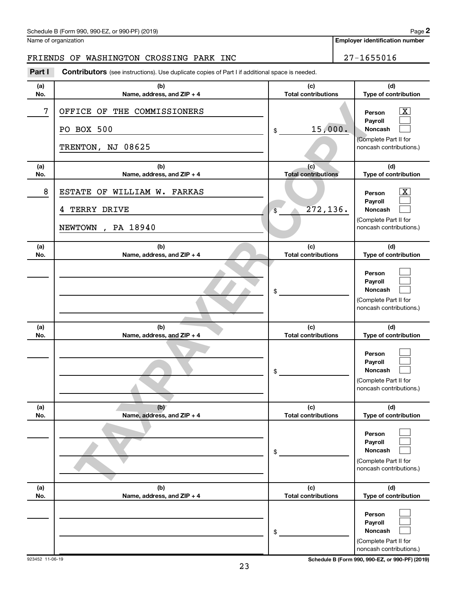| Schedule B (Form 990, 990-EZ, or 990-PF) (2019) | Page |
|-------------------------------------------------|------|
|-------------------------------------------------|------|

Name of organization

**Employer identification number**

#### FRIENDS OF WASHINGTON CROSSING PARK INC **1995 100 PM 127-1655016**

**TAXPAY DRIVER STONERS**<br>
BOX 500<br>
BOX 500<br>
Name, address, and ZIP +4<br>
Name, address, and ZIP +4<br>
Name, address, and ZIP +4<br>
Total contributions<br>
Total contributions<br>
Total contributions<br>
Total contributions<br>
Name, address **(a) No. (b) Name, address, and ZIP + 4 (c) Total contributions (d) Type of contribution Person Payroll Noncash (a) No. (b) Name, address, and ZIP + 4 (c) Total contributions (d) Type of contribution Person Payroll Noncash (a) No. (b) Name, address, and ZIP + 4 (c) Total contributions (d) Type of contribution Person Payroll Noncash (a) No. (b) Name, address, and ZIP + 4 (c) Total contributions (d) Type of contribution Person Payroll Noncash (a) No. (b) Name, address, and ZIP + 4 (c) Total contributions (d) Type of contribution Person Payroll Noncash (a) No. (b) Name, address, and ZIP + 4 (c) Total contributions (d) Type of contribution Person Payroll Noncash Part I** Contributors (see instructions). Use duplicate copies of Part I if additional space is needed. \$ (Complete Part II for noncash contributions.) \$ (Complete Part II for noncash contributions.) \$ (Complete Part II for noncash contributions.) \$ (Complete Part II for noncash contributions.) \$ (Complete Part II for noncash contributions.) \$ (Complete Part II for noncash contributions.)  $\lceil \texttt{X} \rceil$  $\Box$  $\Box$  $\overline{\mathbf{X}}$  $\Box$  $\Box$  $\Box$  $\Box$  $\Box$  $\Box$  $\Box$  $\Box$  $\Box$  $\Box$  $\Box$  $\Box$  $\Box$  $\Box$ 7 OFFICE OF THE COMMISSIONERS PO BOX 500 15,000. TRENTON, NJ 08625 8 | ESTATE OF WILLIAM W. FARKAS 4 TERRY DRIVE 272,136. NEWTOWN , PA 18940

923452 11-06-19 **Schedule B (Form 990, 990-EZ, or 990-PF) (2019)**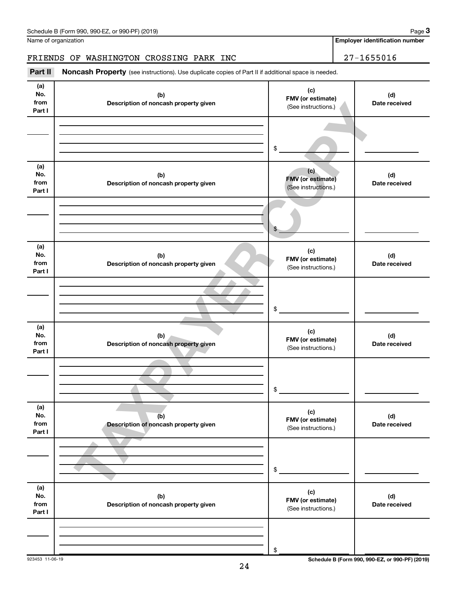Name of organization

### FRIENDS OF WASHINGTON CROSSING PARK INC | 27-1655016

Part II Noncash Property (see instructions). Use duplicate copies of Part II if additional space is needed.

| (a)<br>No.<br>from<br>Part I | (b)<br>Description of noncash property given | (c)<br>FMV (or estimate)<br>(See instructions.)        | (d)<br>Date received |
|------------------------------|----------------------------------------------|--------------------------------------------------------|----------------------|
|                              |                                              | $\$$                                                   |                      |
| (a)<br>No.<br>from<br>Part I | (b)<br>Description of noncash property given | (c)<br><b>FMV</b> (or estimate)<br>(See instructions.) | (d)<br>Date received |
|                              |                                              | \$                                                     |                      |
| (a)<br>No.<br>from<br>Part I | (b)<br>Description of noncash property given | (c)<br>FMV (or estimate)<br>(See instructions.)        | (d)<br>Date received |
|                              |                                              | $\$$                                                   |                      |
| (a)<br>No.<br>from<br>Part I | (b)<br>Description of noncash property given | (c)<br>FMV (or estimate)<br>(See instructions.)        | (d)<br>Date received |
|                              |                                              | \$                                                     |                      |
| (a)<br>No.<br>from<br>Part I | (b)<br>Description of noncash property given | (c)<br>FMV (or estimate)<br>(See instructions.)        | (d)<br>Date received |
|                              |                                              | $\,$                                                   |                      |
| (a)<br>No.<br>from<br>Part I | (b)<br>Description of noncash property given | (c)<br>FMV (or estimate)<br>(See instructions.)        | (d)<br>Date received |
|                              |                                              | \$                                                     |                      |

923453 11-06-19 **Schedule B (Form 990, 990-EZ, or 990-PF) (2019)**

**3**

**Employer identification number**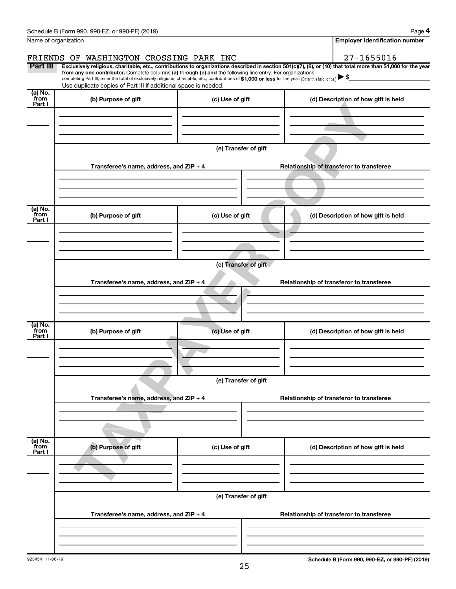|                           | Schedule B (Form 990, 990-EZ, or 990-PF) (2019)                                                                                                                                                                                                                                                                                           |                                          | Page 4                                                                                                                                                         |  |  |  |  |  |  |  |  |  |
|---------------------------|-------------------------------------------------------------------------------------------------------------------------------------------------------------------------------------------------------------------------------------------------------------------------------------------------------------------------------------------|------------------------------------------|----------------------------------------------------------------------------------------------------------------------------------------------------------------|--|--|--|--|--|--|--|--|--|
|                           | Name of organization                                                                                                                                                                                                                                                                                                                      |                                          | <b>Employer identification number</b>                                                                                                                          |  |  |  |  |  |  |  |  |  |
|                           | FRIENDS OF WASHINGTON CROSSING PARK INC                                                                                                                                                                                                                                                                                                   |                                          | $27 - 1655016$                                                                                                                                                 |  |  |  |  |  |  |  |  |  |
| Part III                  | from any one contributor. Complete columns (a) through (e) and the following line entry. For organizations<br>completing Part III, enter the total of exclusively religious, charitable, etc., contributions of \$1,000 or less for the year. (Enter this info. once.)<br>Use duplicate copies of Part III if additional space is needed. |                                          | Exclusively religious, charitable, etc., contributions to organizations described in section 501(c)(7), (8), or (10) that total more than \$1,000 for the year |  |  |  |  |  |  |  |  |  |
| (a) No.<br>from<br>Part I | (b) Purpose of gift                                                                                                                                                                                                                                                                                                                       | (c) Use of gift                          | (d) Description of how gift is held                                                                                                                            |  |  |  |  |  |  |  |  |  |
|                           |                                                                                                                                                                                                                                                                                                                                           |                                          |                                                                                                                                                                |  |  |  |  |  |  |  |  |  |
|                           |                                                                                                                                                                                                                                                                                                                                           |                                          |                                                                                                                                                                |  |  |  |  |  |  |  |  |  |
|                           |                                                                                                                                                                                                                                                                                                                                           |                                          |                                                                                                                                                                |  |  |  |  |  |  |  |  |  |
|                           | (e) Transfer of gift                                                                                                                                                                                                                                                                                                                      |                                          |                                                                                                                                                                |  |  |  |  |  |  |  |  |  |
|                           | Transferee's name, address, and ZIP + 4                                                                                                                                                                                                                                                                                                   |                                          | Relationship of transferor to transferee                                                                                                                       |  |  |  |  |  |  |  |  |  |
|                           |                                                                                                                                                                                                                                                                                                                                           |                                          |                                                                                                                                                                |  |  |  |  |  |  |  |  |  |
|                           |                                                                                                                                                                                                                                                                                                                                           |                                          |                                                                                                                                                                |  |  |  |  |  |  |  |  |  |
| (a) No.<br>from<br>Part I | (b) Purpose of gift                                                                                                                                                                                                                                                                                                                       | (c) Use of gift                          | (d) Description of how gift is held                                                                                                                            |  |  |  |  |  |  |  |  |  |
|                           |                                                                                                                                                                                                                                                                                                                                           |                                          |                                                                                                                                                                |  |  |  |  |  |  |  |  |  |
|                           |                                                                                                                                                                                                                                                                                                                                           |                                          |                                                                                                                                                                |  |  |  |  |  |  |  |  |  |
|                           | (e) Transfer of gift                                                                                                                                                                                                                                                                                                                      |                                          |                                                                                                                                                                |  |  |  |  |  |  |  |  |  |
|                           |                                                                                                                                                                                                                                                                                                                                           |                                          |                                                                                                                                                                |  |  |  |  |  |  |  |  |  |
|                           | Transferee's name, address, and ZIP + 4                                                                                                                                                                                                                                                                                                   | Relationship of transferor to transferee |                                                                                                                                                                |  |  |  |  |  |  |  |  |  |
|                           |                                                                                                                                                                                                                                                                                                                                           |                                          |                                                                                                                                                                |  |  |  |  |  |  |  |  |  |
|                           |                                                                                                                                                                                                                                                                                                                                           |                                          |                                                                                                                                                                |  |  |  |  |  |  |  |  |  |
| (a) No.<br>from<br>Part I | (b) Purpose of gift                                                                                                                                                                                                                                                                                                                       | (c) Use of gift                          | (d) Description of how gift is held                                                                                                                            |  |  |  |  |  |  |  |  |  |
|                           |                                                                                                                                                                                                                                                                                                                                           |                                          |                                                                                                                                                                |  |  |  |  |  |  |  |  |  |
|                           |                                                                                                                                                                                                                                                                                                                                           |                                          |                                                                                                                                                                |  |  |  |  |  |  |  |  |  |
|                           | (e) Transfer of gift                                                                                                                                                                                                                                                                                                                      |                                          |                                                                                                                                                                |  |  |  |  |  |  |  |  |  |
|                           | Transferee's name, address, and ZIP + 4                                                                                                                                                                                                                                                                                                   |                                          |                                                                                                                                                                |  |  |  |  |  |  |  |  |  |
|                           |                                                                                                                                                                                                                                                                                                                                           |                                          | Relationship of transferor to transferee                                                                                                                       |  |  |  |  |  |  |  |  |  |
|                           |                                                                                                                                                                                                                                                                                                                                           |                                          |                                                                                                                                                                |  |  |  |  |  |  |  |  |  |
|                           |                                                                                                                                                                                                                                                                                                                                           |                                          |                                                                                                                                                                |  |  |  |  |  |  |  |  |  |
| (a) No.<br>from<br>Part I | (b) Purpose of gift                                                                                                                                                                                                                                                                                                                       | (c) Use of gift                          | (d) Description of how gift is held                                                                                                                            |  |  |  |  |  |  |  |  |  |
|                           |                                                                                                                                                                                                                                                                                                                                           |                                          |                                                                                                                                                                |  |  |  |  |  |  |  |  |  |
|                           |                                                                                                                                                                                                                                                                                                                                           |                                          |                                                                                                                                                                |  |  |  |  |  |  |  |  |  |
|                           |                                                                                                                                                                                                                                                                                                                                           |                                          |                                                                                                                                                                |  |  |  |  |  |  |  |  |  |
|                           |                                                                                                                                                                                                                                                                                                                                           |                                          |                                                                                                                                                                |  |  |  |  |  |  |  |  |  |
|                           | Transferee's name, address, and ZIP + 4                                                                                                                                                                                                                                                                                                   |                                          | Relationship of transferor to transferee                                                                                                                       |  |  |  |  |  |  |  |  |  |
|                           |                                                                                                                                                                                                                                                                                                                                           |                                          |                                                                                                                                                                |  |  |  |  |  |  |  |  |  |
|                           |                                                                                                                                                                                                                                                                                                                                           |                                          |                                                                                                                                                                |  |  |  |  |  |  |  |  |  |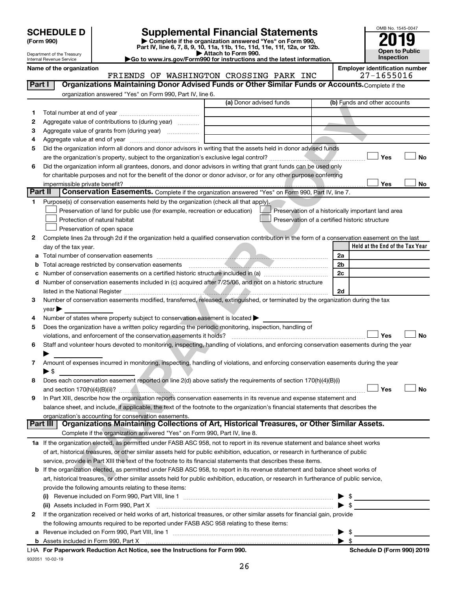| (Form 990) |  |
|------------|--|
|------------|--|

932051 10-02-19

# **SCHEDULE D Supplemental Financial Statements**<br> **Form 990 2019**<br> **Part IV** line 6.7.8.9.10, 11a, 11b, 11d, 11d, 11d, 11d, 11d, 12a, 0r, 12b

**(Form 990) | Complete if the organization answered "Yes" on Form 990, Part IV, line 6, 7, 8, 9, 10, 11a, 11b, 11c, 11d, 11e, 11f, 12a, or 12b.**

**| Attach to Form 990. |Go to www.irs.gov/Form990 for instructions and the latest information.**



Department of the Treasury Internal Revenue Service

Name of the organization<br>**Employer identification number**<br>Employer identification number<br>27-1655016 FRIENDS OF WASHINGTON CROSSING PARK INC

| Part I  | Organizations Maintaining Donor Advised Funds or Other Similar Funds or Accounts. Complete if the                                                                                                                |                         |                                                |                                                    |
|---------|------------------------------------------------------------------------------------------------------------------------------------------------------------------------------------------------------------------|-------------------------|------------------------------------------------|----------------------------------------------------|
|         | organization answered "Yes" on Form 990, Part IV, line 6.                                                                                                                                                        |                         |                                                |                                                    |
|         |                                                                                                                                                                                                                  | (a) Donor advised funds |                                                | (b) Funds and other accounts                       |
| 1       |                                                                                                                                                                                                                  |                         |                                                |                                                    |
| 2       | Aggregate value of contributions to (during year)                                                                                                                                                                |                         |                                                |                                                    |
| 3       | Aggregate value of grants from (during year)                                                                                                                                                                     |                         |                                                |                                                    |
| 4       |                                                                                                                                                                                                                  |                         |                                                |                                                    |
| 5       | Did the organization inform all donors and donor advisors in writing that the assets held in donor advised funds                                                                                                 |                         |                                                |                                                    |
|         |                                                                                                                                                                                                                  |                         |                                                | Yes<br>No                                          |
| 6       | Did the organization inform all grantees, donors, and donor advisors in writing that grant funds can be used only                                                                                                |                         |                                                |                                                    |
|         | for charitable purposes and not for the benefit of the donor or donor advisor, or for any other purpose conferring                                                                                               |                         |                                                |                                                    |
|         | impermissible private benefit?                                                                                                                                                                                   |                         |                                                | Yes<br>No                                          |
| Part II | Conservation Easements. Complete if the organization answered "Yes" on Form 990, Part IV, line 7.                                                                                                                |                         |                                                |                                                    |
| 1.      | Purpose(s) of conservation easements held by the organization (check all that apply).                                                                                                                            |                         |                                                |                                                    |
|         | Preservation of land for public use (for example, recreation or education)                                                                                                                                       |                         |                                                | Preservation of a historically important land area |
|         | Protection of natural habitat                                                                                                                                                                                    |                         | Preservation of a certified historic structure |                                                    |
|         | Preservation of open space                                                                                                                                                                                       |                         |                                                |                                                    |
| 2       | Complete lines 2a through 2d if the organization held a qualified conservation contribution in the form of a conservation easement on the last                                                                   |                         |                                                |                                                    |
|         | day of the tax year.                                                                                                                                                                                             |                         |                                                | Held at the End of the Tax Year                    |
|         |                                                                                                                                                                                                                  |                         |                                                | 2a                                                 |
| b       | Total acreage restricted by conservation easements                                                                                                                                                               |                         |                                                | 2b                                                 |
|         |                                                                                                                                                                                                                  |                         |                                                | 2c                                                 |
|         | d Number of conservation easements included in (c) acquired after 7/25/06, and not on a historic structure                                                                                                       |                         |                                                |                                                    |
|         |                                                                                                                                                                                                                  |                         |                                                | 2d                                                 |
| З       | Number of conservation easements modified, transferred, released, extinguished, or terminated by the organization during the tax                                                                                 |                         |                                                |                                                    |
|         | year                                                                                                                                                                                                             |                         |                                                |                                                    |
| 4       | Number of states where property subject to conservation easement is located >                                                                                                                                    |                         |                                                |                                                    |
| 5       | Does the organization have a written policy regarding the periodic monitoring, inspection, handling of                                                                                                           |                         |                                                | Yes<br>No                                          |
| 6       | violations, and enforcement of the conservation easements it holds?<br>Staff and volunteer hours devoted to monitoring, inspecting, handling of violations, and enforcing conservation easements during the year |                         |                                                |                                                    |
|         |                                                                                                                                                                                                                  |                         |                                                |                                                    |
| 7       | Amount of expenses incurred in monitoring, inspecting, handling of violations, and enforcing conservation easements during the year                                                                              |                         |                                                |                                                    |
|         | ▶ \$                                                                                                                                                                                                             |                         |                                                |                                                    |
| 8       | Does each conservation easement reported on line 2(d) above satisfy the requirements of section 170(h)(4)(B)(i)                                                                                                  |                         |                                                |                                                    |
|         |                                                                                                                                                                                                                  |                         |                                                | Yes<br><b>No</b>                                   |
| 9       | In Part XIII, describe how the organization reports conservation easements in its revenue and expense statement and                                                                                              |                         |                                                |                                                    |
|         | balance sheet, and include, if applicable, the text of the footnote to the organization's financial statements that describes the                                                                                |                         |                                                |                                                    |
|         | organization's accounting for conservation easements.                                                                                                                                                            |                         |                                                |                                                    |
|         | Organizations Maintaining Collections of Art, Historical Treasures, or Other Similar Assets.<br>Part III                                                                                                         |                         |                                                |                                                    |
|         | Complete if the organization answered "Yes" on Form 990, Part IV, line 8.                                                                                                                                        |                         |                                                |                                                    |
|         | 1a If the organization elected, as permitted under FASB ASC 958, not to report in its revenue statement and balance sheet works                                                                                  |                         |                                                |                                                    |
|         | of art, historical treasures, or other similar assets held for public exhibition, education, or research in furtherance of public                                                                                |                         |                                                |                                                    |
|         | service, provide in Part XIII the text of the footnote to its financial statements that describes these items.                                                                                                   |                         |                                                |                                                    |
|         | b If the organization elected, as permitted under FASB ASC 958, to report in its revenue statement and balance sheet works of                                                                                    |                         |                                                |                                                    |
|         | art, historical treasures, or other similar assets held for public exhibition, education, or research in furtherance of public service,                                                                          |                         |                                                |                                                    |
|         | provide the following amounts relating to these items:                                                                                                                                                           |                         |                                                |                                                    |
|         |                                                                                                                                                                                                                  |                         |                                                | $\triangleright$ \$                                |
|         |                                                                                                                                                                                                                  |                         |                                                | $\blacktriangleright$ \$                           |
| 2       | If the organization received or held works of art, historical treasures, or other similar assets for financial gain, provide                                                                                     |                         |                                                |                                                    |
|         | the following amounts required to be reported under FASB ASC 958 relating to these items:                                                                                                                        |                         |                                                |                                                    |
| а       |                                                                                                                                                                                                                  |                         |                                                | $\blacktriangleright$ \$                           |
|         | b Assets included in Form 990, Part X [[CONDITED INTERNATION IN ASSETS INCLUDED IN A SERVICE OF A SERVICE OF A                                                                                                   |                         |                                                | $\blacktriangleright$ \$                           |
|         | LHA For Paperwork Reduction Act Notice, see the Instructions for Form 990.                                                                                                                                       |                         |                                                | Schedule D (Form 990) 2019                         |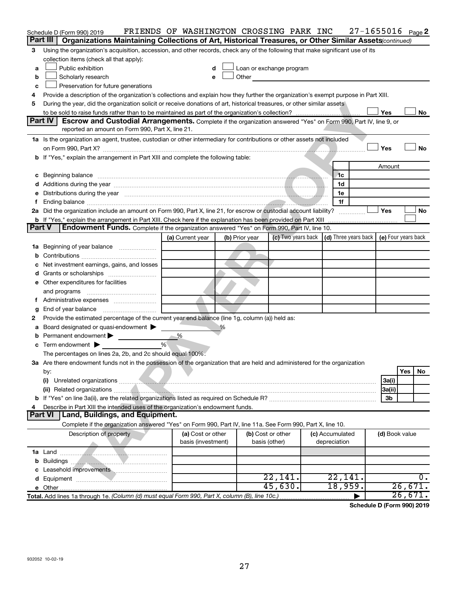|        | Schedule D (Form 990) 2019                                                                                                                                                                                                    | FRIENDS OF WASHINGTON CROSSING PARK INC |  |                |                                                                                                                                                                                                                                |  |                                                          |  |                | $27 - 1655016$ Page 2 |  |  |  |
|--------|-------------------------------------------------------------------------------------------------------------------------------------------------------------------------------------------------------------------------------|-----------------------------------------|--|----------------|--------------------------------------------------------------------------------------------------------------------------------------------------------------------------------------------------------------------------------|--|----------------------------------------------------------|--|----------------|-----------------------|--|--|--|
|        | Part III<br>Organizations Maintaining Collections of Art, Historical Treasures, or Other Similar Assets (continued)                                                                                                           |                                         |  |                |                                                                                                                                                                                                                                |  |                                                          |  |                |                       |  |  |  |
| З      | Using the organization's acquisition, accession, and other records, check any of the following that make significant use of its                                                                                               |                                         |  |                |                                                                                                                                                                                                                                |  |                                                          |  |                |                       |  |  |  |
|        | collection items (check all that apply):                                                                                                                                                                                      |                                         |  |                |                                                                                                                                                                                                                                |  |                                                          |  |                |                       |  |  |  |
| a      | Public exhibition                                                                                                                                                                                                             |                                         |  |                | Loan or exchange program                                                                                                                                                                                                       |  |                                                          |  |                |                       |  |  |  |
| b      | Scholarly research                                                                                                                                                                                                            | e                                       |  |                | Other the contract of the contract of the contract of the contract of the contract of the contract of the contract of the contract of the contract of the contract of the contract of the contract of the contract of the cont |  |                                                          |  |                |                       |  |  |  |
| c      | Preservation for future generations                                                                                                                                                                                           |                                         |  |                |                                                                                                                                                                                                                                |  |                                                          |  |                |                       |  |  |  |
| 4      | Provide a description of the organization's collections and explain how they further the organization's exempt purpose in Part XIII.                                                                                          |                                         |  |                |                                                                                                                                                                                                                                |  |                                                          |  |                |                       |  |  |  |
| 5      | During the year, did the organization solicit or receive donations of art, historical treasures, or other similar assets                                                                                                      |                                         |  |                |                                                                                                                                                                                                                                |  |                                                          |  |                |                       |  |  |  |
|        | Yes<br>No<br><b>Part IV</b><br>Escrow and Custodial Arrangements. Complete if the organization answered "Yes" on Form 990, Part IV, line 9, or                                                                                |                                         |  |                |                                                                                                                                                                                                                                |  |                                                          |  |                |                       |  |  |  |
|        | reported an amount on Form 990, Part X, line 21.                                                                                                                                                                              |                                         |  |                |                                                                                                                                                                                                                                |  |                                                          |  |                |                       |  |  |  |
|        |                                                                                                                                                                                                                               |                                         |  |                |                                                                                                                                                                                                                                |  |                                                          |  |                |                       |  |  |  |
|        | 1a Is the organization an agent, trustee, custodian or other intermediary for contributions or other assets not included                                                                                                      |                                         |  |                |                                                                                                                                                                                                                                |  |                                                          |  | Yes            | No                    |  |  |  |
|        | <b>b</b> If "Yes," explain the arrangement in Part XIII and complete the following table:                                                                                                                                     |                                         |  |                |                                                                                                                                                                                                                                |  |                                                          |  |                |                       |  |  |  |
|        |                                                                                                                                                                                                                               |                                         |  |                |                                                                                                                                                                                                                                |  |                                                          |  | Amount         |                       |  |  |  |
| с      | Beginning balance                                                                                                                                                                                                             |                                         |  |                |                                                                                                                                                                                                                                |  | .1c                                                      |  |                |                       |  |  |  |
|        | Additions during the year measurement contains and all the year measurement of the state of the state of the state of the state of the state of the state of the state of the state of the state of the state of the state of |                                         |  |                |                                                                                                                                                                                                                                |  | 1d                                                       |  |                |                       |  |  |  |
|        | e Distributions during the year measurement contained and contained and contained and contained and contained and contained and contained and contained and contained and contained and contained and contained and contained |                                         |  |                |                                                                                                                                                                                                                                |  | 1e                                                       |  |                |                       |  |  |  |
|        |                                                                                                                                                                                                                               |                                         |  |                |                                                                                                                                                                                                                                |  | 1f                                                       |  |                |                       |  |  |  |
|        | 2a Did the organization include an amount on Form 990, Part X, line 21, for escrow or custodial account liability?                                                                                                            |                                         |  |                |                                                                                                                                                                                                                                |  |                                                          |  | Yes            | No                    |  |  |  |
|        | b If "Yes," explain the arrangement in Part XIII. Check here if the explanation has been provided on Part XIII                                                                                                                |                                         |  |                |                                                                                                                                                                                                                                |  |                                                          |  |                |                       |  |  |  |
| Part V | Endowment Funds. Complete if the organization answered "Yes" on Form 990, Part IV, line 10.                                                                                                                                   |                                         |  |                |                                                                                                                                                                                                                                |  |                                                          |  |                |                       |  |  |  |
|        |                                                                                                                                                                                                                               | (a) Current year                        |  | (b) Prior year | (c) Two years back                                                                                                                                                                                                             |  | $\vert$ (d) Three years back $\vert$ (e) Four years back |  |                |                       |  |  |  |
| ٦а     | Beginning of year balance                                                                                                                                                                                                     |                                         |  |                |                                                                                                                                                                                                                                |  |                                                          |  |                |                       |  |  |  |
|        |                                                                                                                                                                                                                               |                                         |  |                |                                                                                                                                                                                                                                |  |                                                          |  |                |                       |  |  |  |
|        | Net investment earnings, gains, and losses                                                                                                                                                                                    |                                         |  |                |                                                                                                                                                                                                                                |  |                                                          |  |                |                       |  |  |  |
|        |                                                                                                                                                                                                                               |                                         |  |                |                                                                                                                                                                                                                                |  |                                                          |  |                |                       |  |  |  |
|        | e Other expenditures for facilities                                                                                                                                                                                           |                                         |  |                |                                                                                                                                                                                                                                |  |                                                          |  |                |                       |  |  |  |
|        | and programs                                                                                                                                                                                                                  |                                         |  |                |                                                                                                                                                                                                                                |  |                                                          |  |                |                       |  |  |  |
|        |                                                                                                                                                                                                                               |                                         |  |                |                                                                                                                                                                                                                                |  |                                                          |  |                |                       |  |  |  |
| g      |                                                                                                                                                                                                                               |                                         |  |                |                                                                                                                                                                                                                                |  |                                                          |  |                |                       |  |  |  |
| 2      | Provide the estimated percentage of the current year end balance (line 1g, column (a)) held as:                                                                                                                               |                                         |  |                |                                                                                                                                                                                                                                |  |                                                          |  |                |                       |  |  |  |
|        | Board designated or quasi-endowment                                                                                                                                                                                           |                                         |  |                |                                                                                                                                                                                                                                |  |                                                          |  |                |                       |  |  |  |
| b      | Permanent endowment >                                                                                                                                                                                                         | %                                       |  |                |                                                                                                                                                                                                                                |  |                                                          |  |                |                       |  |  |  |
| с      | Term endowment $\blacktriangleright$                                                                                                                                                                                          | %                                       |  |                |                                                                                                                                                                                                                                |  |                                                          |  |                |                       |  |  |  |
|        | The percentages on lines 2a, 2b, and 2c should equal 100%.                                                                                                                                                                    |                                         |  |                |                                                                                                                                                                                                                                |  |                                                          |  |                |                       |  |  |  |
|        | 3a Are there endowment funds not in the possession of the organization that are held and administered for the organization                                                                                                    |                                         |  |                |                                                                                                                                                                                                                                |  |                                                          |  |                |                       |  |  |  |
|        | by:                                                                                                                                                                                                                           |                                         |  |                |                                                                                                                                                                                                                                |  |                                                          |  |                | Yes<br>No             |  |  |  |
|        | (i)                                                                                                                                                                                                                           |                                         |  |                |                                                                                                                                                                                                                                |  |                                                          |  | 3a(i)          |                       |  |  |  |
|        |                                                                                                                                                                                                                               |                                         |  |                |                                                                                                                                                                                                                                |  |                                                          |  | 3a(ii)         |                       |  |  |  |
|        |                                                                                                                                                                                                                               |                                         |  |                |                                                                                                                                                                                                                                |  |                                                          |  | 3b             |                       |  |  |  |
|        | Describe in Part XIII the intended uses of the organization's endowment funds.<br>Land, Buildings, and Equipment.<br><b>Part VI</b>                                                                                           |                                         |  |                |                                                                                                                                                                                                                                |  |                                                          |  |                |                       |  |  |  |
|        | Complete if the organization answered "Yes" on Form 990, Part IV, line 11a. See Form 990, Part X, line 10.                                                                                                                    |                                         |  |                |                                                                                                                                                                                                                                |  |                                                          |  |                |                       |  |  |  |
|        | Description of property                                                                                                                                                                                                       | (a) Cost or other                       |  |                | (b) Cost or other                                                                                                                                                                                                              |  | (c) Accumulated                                          |  | (d) Book value |                       |  |  |  |
|        |                                                                                                                                                                                                                               | basis (investment)                      |  |                | basis (other)                                                                                                                                                                                                                  |  | depreciation                                             |  |                |                       |  |  |  |
|        |                                                                                                                                                                                                                               |                                         |  |                |                                                                                                                                                                                                                                |  |                                                          |  |                |                       |  |  |  |
|        |                                                                                                                                                                                                                               |                                         |  |                |                                                                                                                                                                                                                                |  |                                                          |  |                |                       |  |  |  |
|        |                                                                                                                                                                                                                               |                                         |  |                |                                                                                                                                                                                                                                |  |                                                          |  |                |                       |  |  |  |
|        |                                                                                                                                                                                                                               |                                         |  |                | 22,141.                                                                                                                                                                                                                        |  | 22,141.                                                  |  |                | 0.                    |  |  |  |
|        |                                                                                                                                                                                                                               |                                         |  |                | 45,630.                                                                                                                                                                                                                        |  | 18,959.                                                  |  |                | 26,671.               |  |  |  |
|        | Total. Add lines 1a through 1e. (Column (d) must equal Form 990, Part X, column (B), line 10c.)                                                                                                                               |                                         |  |                |                                                                                                                                                                                                                                |  |                                                          |  |                | 26,671.               |  |  |  |

**Schedule D (Form 990) 2019**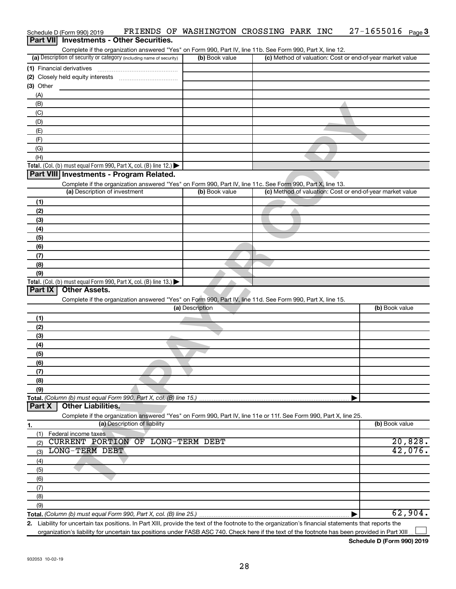|               | Schedule D (Form 990) 2019    |                                                                                                                                                      | FRIENDS OF WASHINGTON CROSSING PARK INC |  | $27 - 1655016$ Page 3                                     |
|---------------|-------------------------------|------------------------------------------------------------------------------------------------------------------------------------------------------|-----------------------------------------|--|-----------------------------------------------------------|
| Part VII      |                               | <b>Investments - Other Securities.</b>                                                                                                               |                                         |  |                                                           |
|               |                               | Complete if the organization answered "Yes" on Form 990, Part IV, line 11b. See Form 990, Part X, line 12.                                           |                                         |  |                                                           |
|               |                               | (a) Description of security or category (including name of security)                                                                                 | (b) Book value                          |  | (c) Method of valuation: Cost or end-of-year market value |
|               | (1) Financial derivatives     |                                                                                                                                                      |                                         |  |                                                           |
|               |                               |                                                                                                                                                      |                                         |  |                                                           |
| $(3)$ Other   |                               |                                                                                                                                                      |                                         |  |                                                           |
| (A)           |                               |                                                                                                                                                      |                                         |  |                                                           |
| (B)           |                               |                                                                                                                                                      |                                         |  |                                                           |
| (C)           |                               |                                                                                                                                                      |                                         |  |                                                           |
| (D)           |                               |                                                                                                                                                      |                                         |  |                                                           |
| (E)           |                               |                                                                                                                                                      |                                         |  |                                                           |
| (F)           |                               |                                                                                                                                                      |                                         |  |                                                           |
| (G)           |                               |                                                                                                                                                      |                                         |  |                                                           |
| (H)           |                               |                                                                                                                                                      |                                         |  |                                                           |
|               |                               | Total. (Col. (b) must equal Form 990, Part X, col. (B) line 12.) $\blacktriangleright$                                                               |                                         |  |                                                           |
|               |                               | Part VIII Investments - Program Related.                                                                                                             |                                         |  |                                                           |
|               |                               | Complete if the organization answered "Yes" on Form 990, Part IV, line 11c. See Form 990, Part X, line 13.                                           |                                         |  |                                                           |
|               | (a) Description of investment |                                                                                                                                                      | (b) Book value                          |  | (c) Method of valuation: Cost or end-of-year market value |
| (1)           |                               |                                                                                                                                                      |                                         |  |                                                           |
| (2)           |                               |                                                                                                                                                      |                                         |  |                                                           |
| (3)           |                               |                                                                                                                                                      |                                         |  |                                                           |
| (4)           |                               |                                                                                                                                                      |                                         |  |                                                           |
| (5)           |                               |                                                                                                                                                      |                                         |  |                                                           |
| (6)           |                               |                                                                                                                                                      |                                         |  |                                                           |
| (7)           |                               |                                                                                                                                                      |                                         |  |                                                           |
| (8)           |                               |                                                                                                                                                      |                                         |  |                                                           |
| (9)           |                               |                                                                                                                                                      |                                         |  |                                                           |
|               |                               | Total. (Col. (b) must equal Form 990, Part X, col. (B) line 13.)                                                                                     |                                         |  |                                                           |
| Part IX       | <b>Other Assets.</b>          |                                                                                                                                                      |                                         |  |                                                           |
|               |                               | Complete if the organization answered "Yes" on Form 990, Part IV, line 11d. See Form 990, Part X, line 15.                                           |                                         |  |                                                           |
|               |                               |                                                                                                                                                      | (a) Description                         |  | (b) Book value                                            |
| (1)           |                               |                                                                                                                                                      |                                         |  |                                                           |
| (2)           |                               |                                                                                                                                                      |                                         |  |                                                           |
| (3)           |                               |                                                                                                                                                      |                                         |  |                                                           |
| (4)           |                               |                                                                                                                                                      |                                         |  |                                                           |
| (5)           |                               |                                                                                                                                                      |                                         |  |                                                           |
| (6)           |                               |                                                                                                                                                      |                                         |  |                                                           |
| (7)           |                               |                                                                                                                                                      |                                         |  |                                                           |
| (8)           |                               |                                                                                                                                                      |                                         |  |                                                           |
| (9)           |                               |                                                                                                                                                      |                                         |  |                                                           |
|               |                               | Total. (Column (b) must equal Form 990, Part X, col. (B) line 15.)                                                                                   |                                         |  |                                                           |
| <b>Part X</b> | <b>Other Liabilities.</b>     |                                                                                                                                                      |                                         |  |                                                           |
|               |                               | Complete if the organization answered "Yes" on Form 990, Part IV, line 11e or 11f. See Form 990, Part X, line 25.                                    |                                         |  |                                                           |
| 1.            |                               | (a) Description of liability                                                                                                                         |                                         |  | (b) Book value                                            |
| (1)           | Federal income taxes          |                                                                                                                                                      |                                         |  |                                                           |
| (2)           |                               | CURRENT PORTION OF LONG-TERM DEBT                                                                                                                    |                                         |  | 20,828.                                                   |
| (3)           | LONG-TERM DEBT                |                                                                                                                                                      |                                         |  | 42,076.                                                   |
| (4)           |                               |                                                                                                                                                      |                                         |  |                                                           |
| (5)           |                               |                                                                                                                                                      |                                         |  |                                                           |
| (6)           |                               |                                                                                                                                                      |                                         |  |                                                           |
| (7)           |                               |                                                                                                                                                      |                                         |  |                                                           |
| (8)           |                               |                                                                                                                                                      |                                         |  |                                                           |
| (9)           |                               |                                                                                                                                                      |                                         |  |                                                           |
|               |                               | Total. (Column (b) must equal Form 990, Part X, col. (B) line 25.)                                                                                   |                                         |  | 62,904.                                                   |
|               |                               | 2. Liability for uncertain tax positions. In Part XIII, provide the text of the footnote to the organization's financial statements that reports the |                                         |  |                                                           |

organization's liability for uncertain tax positions under FASB ASC 740. Check here if the text of the footnote has been provided in Part XIII...

**Schedule D (Form 990) 2019**

 $\sim$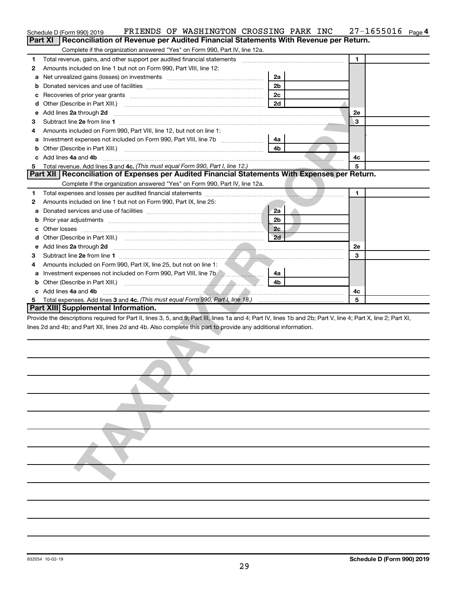|                                                                           | FRIENDS OF WASHINGTON CROSSING PARK INC<br>Schedule D (Form 990) 2019                                                                                                                                                               |                |  | $27 - 1655016$ Page 4 |  |  |  |  |  |  |  |  |
|---------------------------------------------------------------------------|-------------------------------------------------------------------------------------------------------------------------------------------------------------------------------------------------------------------------------------|----------------|--|-----------------------|--|--|--|--|--|--|--|--|
|                                                                           | <b>Part XI</b><br>Reconciliation of Revenue per Audited Financial Statements With Revenue per Return.                                                                                                                               |                |  |                       |  |  |  |  |  |  |  |  |
|                                                                           | Complete if the organization answered "Yes" on Form 990, Part IV, line 12a.                                                                                                                                                         |                |  |                       |  |  |  |  |  |  |  |  |
| 1                                                                         | Total revenue, gains, and other support per audited financial statements [111] [12] Total revenue, gains, and other support per audited financial statements                                                                        |                |  | $\blacksquare$        |  |  |  |  |  |  |  |  |
| 2                                                                         | Amounts included on line 1 but not on Form 990, Part VIII, line 12:                                                                                                                                                                 |                |  |                       |  |  |  |  |  |  |  |  |
| а                                                                         |                                                                                                                                                                                                                                     | 2a             |  |                       |  |  |  |  |  |  |  |  |
| b                                                                         |                                                                                                                                                                                                                                     | 2 <sub>b</sub> |  |                       |  |  |  |  |  |  |  |  |
| с                                                                         |                                                                                                                                                                                                                                     |                |  |                       |  |  |  |  |  |  |  |  |
| d                                                                         |                                                                                                                                                                                                                                     | 2d             |  |                       |  |  |  |  |  |  |  |  |
| е                                                                         | Add lines 2a through 2d                                                                                                                                                                                                             | 2e             |  |                       |  |  |  |  |  |  |  |  |
| 3<br>з                                                                    |                                                                                                                                                                                                                                     |                |  |                       |  |  |  |  |  |  |  |  |
| Amounts included on Form 990, Part VIII, line 12, but not on line 1:<br>4 |                                                                                                                                                                                                                                     |                |  |                       |  |  |  |  |  |  |  |  |
| а                                                                         |                                                                                                                                                                                                                                     | 4a             |  |                       |  |  |  |  |  |  |  |  |
| b                                                                         |                                                                                                                                                                                                                                     | 4b             |  |                       |  |  |  |  |  |  |  |  |
|                                                                           | Add lines 4a and 4b                                                                                                                                                                                                                 |                |  | 4c                    |  |  |  |  |  |  |  |  |
| 5                                                                         |                                                                                                                                                                                                                                     |                |  | 5                     |  |  |  |  |  |  |  |  |
|                                                                           | Part XII   Reconciliation of Expenses per Audited Financial Statements With Expenses per Return.                                                                                                                                    |                |  |                       |  |  |  |  |  |  |  |  |
|                                                                           | Complete if the organization answered "Yes" on Form 990, Part IV, line 12a.                                                                                                                                                         |                |  |                       |  |  |  |  |  |  |  |  |
| 1                                                                         |                                                                                                                                                                                                                                     |                |  | 1                     |  |  |  |  |  |  |  |  |
| 2                                                                         | Amounts included on line 1 but not on Form 990, Part IX, line 25:                                                                                                                                                                   |                |  |                       |  |  |  |  |  |  |  |  |
| а                                                                         |                                                                                                                                                                                                                                     | 2a             |  |                       |  |  |  |  |  |  |  |  |
| b                                                                         |                                                                                                                                                                                                                                     | 2 <sub>b</sub> |  |                       |  |  |  |  |  |  |  |  |
| с                                                                         |                                                                                                                                                                                                                                     | 2c             |  |                       |  |  |  |  |  |  |  |  |
| d                                                                         |                                                                                                                                                                                                                                     | 2d             |  |                       |  |  |  |  |  |  |  |  |
| е                                                                         | Add lines 2a through 2d <b>contained a contained a contained a contained a</b> contained a contact the set of the set of the set of the set of the set of the set of the set of the set of the set of the set of the set of the set |                |  | 2e                    |  |  |  |  |  |  |  |  |
| 3                                                                         |                                                                                                                                                                                                                                     |                |  | 3                     |  |  |  |  |  |  |  |  |
| 4                                                                         | Amounts included on Form 990, Part IX, line 25, but not on line 1:                                                                                                                                                                  |                |  |                       |  |  |  |  |  |  |  |  |
| а                                                                         | Investment expenses not included on Form 990, Part VIII, line 7b <b>Commission</b> 2011                                                                                                                                             | 4a             |  |                       |  |  |  |  |  |  |  |  |
| b                                                                         |                                                                                                                                                                                                                                     | 4b             |  |                       |  |  |  |  |  |  |  |  |
|                                                                           | c Add lines 4a and 4b                                                                                                                                                                                                               |                |  | 4c                    |  |  |  |  |  |  |  |  |
|                                                                           |                                                                                                                                                                                                                                     |                |  | 5                     |  |  |  |  |  |  |  |  |
|                                                                           | Part XIII Supplemental Information.                                                                                                                                                                                                 |                |  |                       |  |  |  |  |  |  |  |  |
|                                                                           | Provide the descriptions required for Part II, lines 3, 5, and 9; Part III, lines 1a and 4; Part IV, lines 1b and 2b; Part V, line 4; Part X, line 2; Part XI,                                                                      |                |  |                       |  |  |  |  |  |  |  |  |
|                                                                           | lines 2d and 4b; and Part XII, lines 2d and 4b. Also complete this part to provide any additional information.                                                                                                                      |                |  |                       |  |  |  |  |  |  |  |  |
|                                                                           |                                                                                                                                                                                                                                     |                |  |                       |  |  |  |  |  |  |  |  |
|                                                                           |                                                                                                                                                                                                                                     |                |  |                       |  |  |  |  |  |  |  |  |
|                                                                           |                                                                                                                                                                                                                                     |                |  |                       |  |  |  |  |  |  |  |  |
|                                                                           |                                                                                                                                                                                                                                     |                |  |                       |  |  |  |  |  |  |  |  |
|                                                                           |                                                                                                                                                                                                                                     |                |  |                       |  |  |  |  |  |  |  |  |
|                                                                           |                                                                                                                                                                                                                                     |                |  |                       |  |  |  |  |  |  |  |  |
|                                                                           |                                                                                                                                                                                                                                     |                |  |                       |  |  |  |  |  |  |  |  |
|                                                                           |                                                                                                                                                                                                                                     |                |  |                       |  |  |  |  |  |  |  |  |
|                                                                           |                                                                                                                                                                                                                                     |                |  |                       |  |  |  |  |  |  |  |  |
|                                                                           |                                                                                                                                                                                                                                     |                |  |                       |  |  |  |  |  |  |  |  |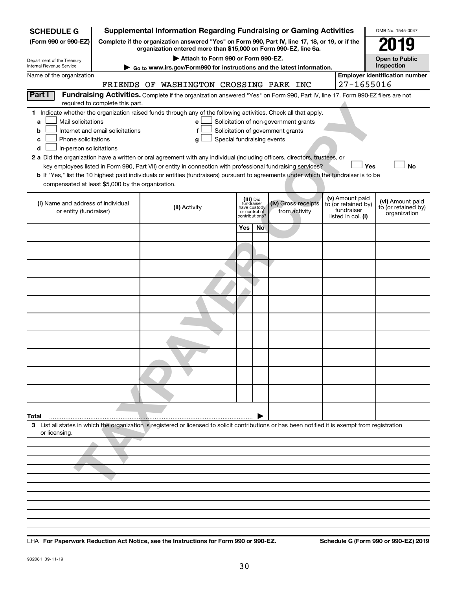| <b>SCHEDULE G</b>                                                                                                                              |                                 | <b>Supplemental Information Regarding Fundraising or Gaming Activities</b>                                                                                          |                                                          |     |                                       |  |                                   | OMB No. 1545-0047                     |  |  |  |  |  |
|------------------------------------------------------------------------------------------------------------------------------------------------|---------------------------------|---------------------------------------------------------------------------------------------------------------------------------------------------------------------|----------------------------------------------------------|-----|---------------------------------------|--|-----------------------------------|---------------------------------------|--|--|--|--|--|
| (Form 990 or 990-EZ)                                                                                                                           |                                 | Complete if the organization answered "Yes" on Form 990, Part IV, line 17, 18, or 19, or if the<br>organization entered more than \$15,000 on Form 990-EZ, line 6a. |                                                          |     |                                       |  |                                   |                                       |  |  |  |  |  |
| Department of the Treasury                                                                                                                     |                                 | Attach to Form 990 or Form 990-EZ.                                                                                                                                  |                                                          |     |                                       |  |                                   | <b>Open to Public</b>                 |  |  |  |  |  |
| Internal Revenue Service                                                                                                                       |                                 | ► Go to www.irs.gov/Form990 for instructions and the latest information.                                                                                            |                                                          |     |                                       |  |                                   | Inspection                            |  |  |  |  |  |
| Name of the organization                                                                                                                       |                                 |                                                                                                                                                                     |                                                          |     |                                       |  | 27-1655016                        | <b>Employer identification number</b> |  |  |  |  |  |
| <b>Part I</b>                                                                                                                                  |                                 | FRIENDS OF WASHINGTON CROSSING PARK INC                                                                                                                             |                                                          |     |                                       |  |                                   |                                       |  |  |  |  |  |
|                                                                                                                                                | required to complete this part. | Fundraising Activities. Complete if the organization answered "Yes" on Form 990, Part IV, line 17. Form 990-EZ filers are not                                       |                                                          |     |                                       |  |                                   |                                       |  |  |  |  |  |
|                                                                                                                                                |                                 | 1 Indicate whether the organization raised funds through any of the following activities. Check all that apply.                                                     |                                                          |     |                                       |  |                                   |                                       |  |  |  |  |  |
| Mail solicitations<br>a                                                                                                                        |                                 | e                                                                                                                                                                   |                                                          |     | Solicitation of non-government grants |  |                                   |                                       |  |  |  |  |  |
| Internet and email solicitations<br>Solicitation of government grants<br>f<br>b<br>Phone solicitations<br>Special fundraising events<br>c<br>g |                                 |                                                                                                                                                                     |                                                          |     |                                       |  |                                   |                                       |  |  |  |  |  |
| In-person solicitations<br>d                                                                                                                   |                                 |                                                                                                                                                                     |                                                          |     |                                       |  |                                   |                                       |  |  |  |  |  |
| 2 a Did the organization have a written or oral agreement with any individual (including officers, directors, trustees, or                     |                                 |                                                                                                                                                                     |                                                          |     |                                       |  |                                   |                                       |  |  |  |  |  |
| No<br>key employees listed in Form 990, Part VII) or entity in connection with professional fundraising services?<br>Yes                       |                                 |                                                                                                                                                                     |                                                          |     |                                       |  |                                   |                                       |  |  |  |  |  |
|                                                                                                                                                |                                 | <b>b</b> If "Yes," list the 10 highest paid individuals or entities (fundraisers) pursuant to agreements under which the fundraiser is to be                        |                                                          |     |                                       |  |                                   |                                       |  |  |  |  |  |
| compensated at least \$5,000 by the organization.                                                                                              |                                 |                                                                                                                                                                     |                                                          |     |                                       |  |                                   |                                       |  |  |  |  |  |
|                                                                                                                                                |                                 |                                                                                                                                                                     |                                                          |     |                                       |  | (v) Amount paid                   | (vi) Amount paid                      |  |  |  |  |  |
| (i) Name and address of individual<br>or entity (fundraiser)                                                                                   |                                 | (ii) Activity                                                                                                                                                       | (iii) Did<br>fundraiser<br>have custody<br>or control of |     | (iv) Gross receipts<br>from activity  |  | to (or retained by)<br>fundraiser | to (or retained by)                   |  |  |  |  |  |
|                                                                                                                                                |                                 |                                                                                                                                                                     | contributions?                                           |     |                                       |  | listed in col. (i)                | organization                          |  |  |  |  |  |
|                                                                                                                                                |                                 |                                                                                                                                                                     | Yes                                                      | No. |                                       |  |                                   |                                       |  |  |  |  |  |
|                                                                                                                                                |                                 |                                                                                                                                                                     |                                                          |     |                                       |  |                                   |                                       |  |  |  |  |  |
|                                                                                                                                                |                                 |                                                                                                                                                                     |                                                          |     |                                       |  |                                   |                                       |  |  |  |  |  |
|                                                                                                                                                |                                 |                                                                                                                                                                     |                                                          |     |                                       |  |                                   |                                       |  |  |  |  |  |
|                                                                                                                                                |                                 |                                                                                                                                                                     |                                                          |     |                                       |  |                                   |                                       |  |  |  |  |  |
|                                                                                                                                                |                                 |                                                                                                                                                                     |                                                          |     |                                       |  |                                   |                                       |  |  |  |  |  |
|                                                                                                                                                |                                 |                                                                                                                                                                     |                                                          |     |                                       |  |                                   |                                       |  |  |  |  |  |
|                                                                                                                                                |                                 |                                                                                                                                                                     |                                                          |     |                                       |  |                                   |                                       |  |  |  |  |  |
|                                                                                                                                                |                                 |                                                                                                                                                                     |                                                          |     |                                       |  |                                   |                                       |  |  |  |  |  |
|                                                                                                                                                |                                 |                                                                                                                                                                     |                                                          |     |                                       |  |                                   |                                       |  |  |  |  |  |
|                                                                                                                                                |                                 |                                                                                                                                                                     |                                                          |     |                                       |  |                                   |                                       |  |  |  |  |  |
|                                                                                                                                                |                                 |                                                                                                                                                                     |                                                          |     |                                       |  |                                   |                                       |  |  |  |  |  |
|                                                                                                                                                |                                 |                                                                                                                                                                     |                                                          |     |                                       |  |                                   |                                       |  |  |  |  |  |
| Total                                                                                                                                          |                                 | 3 List all states in which the organization is registered or licensed to solicit contributions or has been notified it is exempt from registration                  |                                                          |     |                                       |  |                                   |                                       |  |  |  |  |  |
| or licensing.                                                                                                                                  |                                 |                                                                                                                                                                     |                                                          |     |                                       |  |                                   |                                       |  |  |  |  |  |
|                                                                                                                                                |                                 |                                                                                                                                                                     |                                                          |     |                                       |  |                                   |                                       |  |  |  |  |  |
|                                                                                                                                                |                                 |                                                                                                                                                                     |                                                          |     |                                       |  |                                   |                                       |  |  |  |  |  |
|                                                                                                                                                |                                 |                                                                                                                                                                     |                                                          |     |                                       |  |                                   |                                       |  |  |  |  |  |
|                                                                                                                                                |                                 |                                                                                                                                                                     |                                                          |     |                                       |  |                                   |                                       |  |  |  |  |  |
|                                                                                                                                                |                                 |                                                                                                                                                                     |                                                          |     |                                       |  |                                   |                                       |  |  |  |  |  |
|                                                                                                                                                |                                 |                                                                                                                                                                     |                                                          |     |                                       |  |                                   |                                       |  |  |  |  |  |
|                                                                                                                                                |                                 |                                                                                                                                                                     |                                                          |     |                                       |  |                                   |                                       |  |  |  |  |  |
|                                                                                                                                                |                                 |                                                                                                                                                                     |                                                          |     |                                       |  |                                   |                                       |  |  |  |  |  |
|                                                                                                                                                |                                 |                                                                                                                                                                     |                                                          |     |                                       |  |                                   |                                       |  |  |  |  |  |

**For Paperwork Reduction Act Notice, see the Instructions for Form 990 or 990-EZ. Schedule G (Form 990 or 990-EZ) 2019** LHA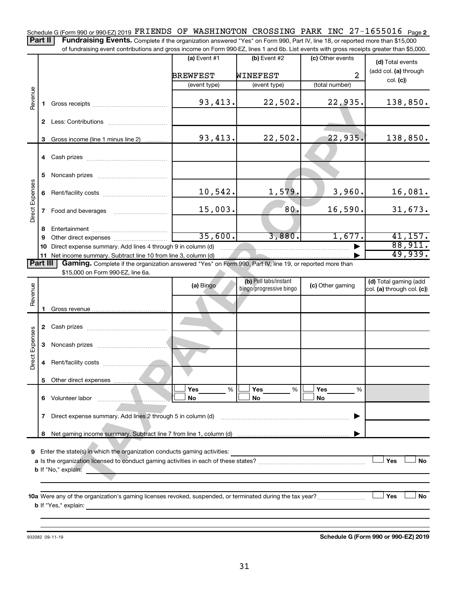Schedule G (Form 990 or 990-EZ) 2019  $\verb|FRIENDS|$  OF WASHINGTON CROSSING PARK INC 27-1655016  $\parallel$  page 2 Part II | Fundraising Events. Complete if the organization answered "Yes" on Form 990, Part IV, line 18, or reported more than \$15,000

of fundraising event contributions and gross income on Form 990-EZ, lines 1 and 6b. List events with gross receipts greater than \$5,000.

|                 |              |                                                                                                                                                                             | (a) Event #1    | (b) Event #2                                     | (c) Other events | (d) Total events                                    |
|-----------------|--------------|-----------------------------------------------------------------------------------------------------------------------------------------------------------------------------|-----------------|--------------------------------------------------|------------------|-----------------------------------------------------|
|                 |              |                                                                                                                                                                             | <b>BREWFEST</b> | WINEFEST                                         | $\overline{a}$   | (add col. (a) through                               |
|                 |              |                                                                                                                                                                             | (event type)    | (event type)                                     | (total number)   | col. (c)                                            |
| Revenue         | 1.           |                                                                                                                                                                             | 93, 413.        | 22,502.                                          | 22,935.          | 138,850.                                            |
|                 | $\mathbf{2}$ |                                                                                                                                                                             |                 |                                                  |                  |                                                     |
|                 |              | 3 Gross income (line 1 minus line 2)                                                                                                                                        | 93,413.         | 22,502.                                          | 22,935.          | 138,850.                                            |
|                 |              |                                                                                                                                                                             |                 |                                                  |                  |                                                     |
|                 | 5            |                                                                                                                                                                             |                 |                                                  |                  |                                                     |
|                 |              |                                                                                                                                                                             | 10,542.         | 1,579.                                           | 3,960.           | 16,081.                                             |
| Direct Expenses | $\mathbf{7}$ | Food and beverages                                                                                                                                                          | 15,003.         | 80.                                              | 16,590.          | 31,673.                                             |
|                 | 8            |                                                                                                                                                                             |                 |                                                  |                  |                                                     |
|                 | 9            |                                                                                                                                                                             | 35,600.         | 3,880.                                           | 1,677.           | 41,157.                                             |
|                 | 10           | Direct expense summary. Add lines 4 through 9 in column (d)                                                                                                                 |                 |                                                  |                  | 88,911.<br>49,939.                                  |
| <b>Part III</b> |              | 11 Net income summary. Subtract line 10 from line 3, column (d)<br>Gaming. Complete if the organization answered "Yes" on Form 990, Part IV, line 19, or reported more than |                 |                                                  |                  |                                                     |
|                 |              | \$15,000 on Form 990-EZ, line 6a.                                                                                                                                           |                 |                                                  |                  |                                                     |
|                 |              |                                                                                                                                                                             | (a) Bingo       | (b) Pull tabs/instant<br>bingo/progressive bingo | (c) Other gaming | (d) Total gaming (add<br>col. (a) through col. (c)) |
| Revenue         |              |                                                                                                                                                                             |                 |                                                  |                  |                                                     |
|                 |              |                                                                                                                                                                             |                 |                                                  |                  |                                                     |
|                 |              |                                                                                                                                                                             |                 |                                                  |                  |                                                     |
| Direct Expenses |              |                                                                                                                                                                             |                 |                                                  |                  |                                                     |
|                 |              |                                                                                                                                                                             |                 |                                                  |                  |                                                     |
|                 |              |                                                                                                                                                                             |                 |                                                  |                  |                                                     |
|                 | 6.           | Volunteer labor                                                                                                                                                             | Yes<br>%<br>No  | Yes<br>%<br>No                                   | Yes<br>%<br>No   |                                                     |
|                 | 7            | Direct expense summary. Add lines 2 through 5 in column (d)                                                                                                                 |                 |                                                  |                  |                                                     |
|                 | 8            |                                                                                                                                                                             |                 |                                                  |                  |                                                     |
| 9               |              | Enter the state(s) in which the organization conducts gaming activities:<br><b>b</b> If "No," explain:                                                                      |                 |                                                  |                  | Yes<br>No                                           |
|                 |              | <b>b</b> If "Yes," explain:                                                                                                                                                 |                 |                                                  |                  | Yes<br>No                                           |

932082 09-11-19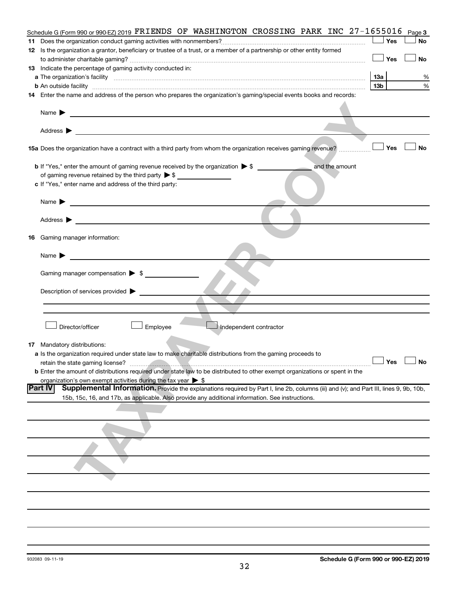|     | Schedule G (Form 990 or 990-EZ) 2019 FRIENDS OF WASHINGTON CROSSING PARK INC 27-1655016                                                                                                                                                        |                      | Page 3    |
|-----|------------------------------------------------------------------------------------------------------------------------------------------------------------------------------------------------------------------------------------------------|----------------------|-----------|
|     |                                                                                                                                                                                                                                                | Yes                  | No        |
|     | 12 Is the organization a grantor, beneficiary or trustee of a trust, or a member of a partnership or other entity formed                                                                                                                       |                      |           |
|     |                                                                                                                                                                                                                                                | Yes                  | No        |
|     | 13 Indicate the percentage of gaming activity conducted in:                                                                                                                                                                                    |                      |           |
|     |                                                                                                                                                                                                                                                | 1За                  | %         |
|     | <b>b</b> An outside facility <i>[11]</i> [20] <b>https://www.filesco.com/intervention.com/intervention.com/intervention.com/intervention.com/intervention.com/intervention.com/intervention.com/intervention.com/intervention.com/interven</b> | 13 <sub>b</sub>      | %         |
|     | 14 Enter the name and address of the person who prepares the organization's gaming/special events books and records:                                                                                                                           |                      |           |
|     |                                                                                                                                                                                                                                                |                      |           |
|     | Name $\blacktriangleright$<br><u> 1989 - Johann Stoff, deutscher Stoffen und der Stoffen und der Stoffen und der Stoffen und der Stoffen und de</u>                                                                                            |                      |           |
|     |                                                                                                                                                                                                                                                |                      |           |
|     | Address $\blacktriangleright$                                                                                                                                                                                                                  |                      |           |
|     |                                                                                                                                                                                                                                                |                      |           |
|     | 15a Does the organization have a contract with a third party from whom the organization receives gaming revenue?                                                                                                                               | Yes                  | <b>No</b> |
|     |                                                                                                                                                                                                                                                |                      |           |
|     | <b>b</b> If "Yes," enter the amount of gaming revenue received by the organization $\triangleright$ \$<br>and the amount                                                                                                                       |                      |           |
|     | of gaming revenue retained by the third party $\triangleright$ \$                                                                                                                                                                              |                      |           |
|     | c If "Yes," enter name and address of the third party:                                                                                                                                                                                         |                      |           |
|     |                                                                                                                                                                                                                                                |                      |           |
|     | Name $\blacktriangleright$<br><u> 1989 - Johann John Stein, mars an deus Amerikaansk kommunister (</u>                                                                                                                                         |                      |           |
|     |                                                                                                                                                                                                                                                |                      |           |
|     | Address $\blacktriangleright$                                                                                                                                                                                                                  |                      |           |
|     | the control of the control of the control of the control of the control of the control of                                                                                                                                                      |                      |           |
| 16. | Gaming manager information:                                                                                                                                                                                                                    |                      |           |
|     |                                                                                                                                                                                                                                                |                      |           |
|     | Name $\blacktriangleright$                                                                                                                                                                                                                     |                      |           |
|     |                                                                                                                                                                                                                                                |                      |           |
|     | Gaming manager compensation > \$                                                                                                                                                                                                               |                      |           |
|     |                                                                                                                                                                                                                                                |                      |           |
|     | Description of services provided >                                                                                                                                                                                                             |                      |           |
|     |                                                                                                                                                                                                                                                |                      |           |
|     |                                                                                                                                                                                                                                                |                      |           |
|     |                                                                                                                                                                                                                                                |                      |           |
|     | Director/officer<br>Employee<br>Independent contractor                                                                                                                                                                                         |                      |           |
|     |                                                                                                                                                                                                                                                |                      |           |
|     | 17 Mandatory distributions:                                                                                                                                                                                                                    |                      |           |
|     | a Is the organization required under state law to make charitable distributions from the gaming proceeds to                                                                                                                                    |                      |           |
|     |                                                                                                                                                                                                                                                | $\Box$ Yes $\Box$ No |           |
|     | <b>b</b> Enter the amount of distributions required under state law to be distributed to other exempt organizations or spent in the                                                                                                            |                      |           |
|     | organization's own exempt activities during the tax year $\triangleright$ \$                                                                                                                                                                   |                      |           |
|     | Supplemental Information. Provide the explanations required by Part I, line 2b, columns (iii) and (v); and Part III, lines 9, 9b, 10b,<br><b>Part IV</b>                                                                                       |                      |           |
|     | 15b, 15c, 16, and 17b, as applicable. Also provide any additional information. See instructions.                                                                                                                                               |                      |           |
|     |                                                                                                                                                                                                                                                |                      |           |
|     |                                                                                                                                                                                                                                                |                      |           |
|     |                                                                                                                                                                                                                                                |                      |           |
|     |                                                                                                                                                                                                                                                |                      |           |
|     |                                                                                                                                                                                                                                                |                      |           |
|     |                                                                                                                                                                                                                                                |                      |           |
|     |                                                                                                                                                                                                                                                |                      |           |
|     |                                                                                                                                                                                                                                                |                      |           |
|     |                                                                                                                                                                                                                                                |                      |           |
|     |                                                                                                                                                                                                                                                |                      |           |
|     |                                                                                                                                                                                                                                                |                      |           |
|     |                                                                                                                                                                                                                                                |                      |           |
|     |                                                                                                                                                                                                                                                |                      |           |
|     |                                                                                                                                                                                                                                                |                      |           |
|     |                                                                                                                                                                                                                                                |                      |           |
|     |                                                                                                                                                                                                                                                |                      |           |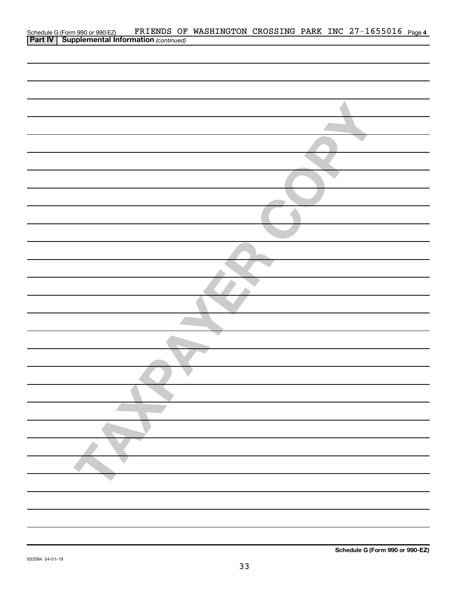| FRIENDS OF WASHINGTON CROSSING PARK INC 27-1655016 Page 4<br>Schedule G (Form 990 or 990-EZ) FRIENDS OF<br><b>Part IV   Supplemental Information</b> (continued) |
|------------------------------------------------------------------------------------------------------------------------------------------------------------------|
|                                                                                                                                                                  |
|                                                                                                                                                                  |
|                                                                                                                                                                  |
|                                                                                                                                                                  |
|                                                                                                                                                                  |
|                                                                                                                                                                  |
|                                                                                                                                                                  |
|                                                                                                                                                                  |
|                                                                                                                                                                  |
|                                                                                                                                                                  |
|                                                                                                                                                                  |
|                                                                                                                                                                  |
|                                                                                                                                                                  |
|                                                                                                                                                                  |
|                                                                                                                                                                  |
|                                                                                                                                                                  |
|                                                                                                                                                                  |
|                                                                                                                                                                  |
|                                                                                                                                                                  |
|                                                                                                                                                                  |
|                                                                                                                                                                  |
|                                                                                                                                                                  |
|                                                                                                                                                                  |
|                                                                                                                                                                  |
|                                                                                                                                                                  |
|                                                                                                                                                                  |
|                                                                                                                                                                  |
|                                                                                                                                                                  |
|                                                                                                                                                                  |
|                                                                                                                                                                  |
|                                                                                                                                                                  |
|                                                                                                                                                                  |
|                                                                                                                                                                  |
|                                                                                                                                                                  |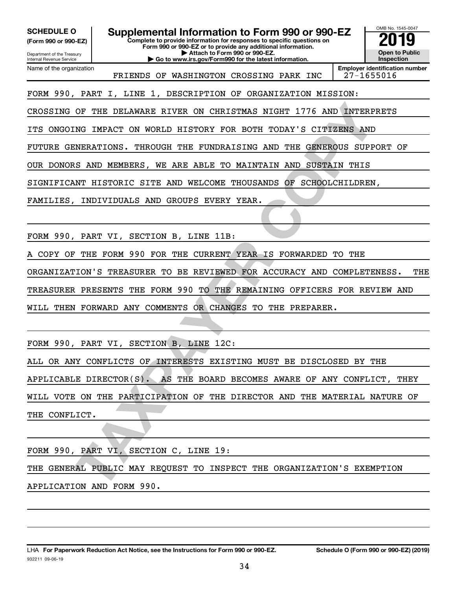**(Form 990 or 990-EZ)**

SCHEDULE O **Supplemental Information to Form 990 or 990-EZ** 2019<br>(Form 990 or 990-EZ) **2019** 

**Complete to provide information for responses to specific questions on Form 990 or 990-EZ or to provide any additional information.**

**| Attach to Form 990 or 990-EZ. | Go to www.irs.gov/Form990 for the latest information.**

Department of the Treasury Internal Revenue Service Name of the organization

FRIENDS OF WASHINGTON CROSSING PARK INC | 27-1655016

**Employer identification number**

OMB No. 1545-0047

**Open to Public Inspection**

FORM 990, PART I, LINE 1, DESCRIPTION OF ORGANIZATION MISSION:

CROSSING OF THE DELAWARE RIVER ON CHRISTMAS NIGHT 1776 AND INTERPRETS

ITS ONGOING IMPACT ON WORLD HISTORY FOR BOTH TODAY'S CITIZENS AND

FUTURE GENERATIONS. THROUGH THE FUNDRAISING AND THE GENEROUS SUPPORT OF

OUR DONORS AND MEMBERS, WE ARE ABLE TO MAINTAIN AND SUSTAIN THIS

SIGNIFICANT HISTORIC SITE AND WELCOME THOUSANDS OF SCHOOLCHILDREN,

FAMILIES, INDIVIDUALS AND GROUPS EVERY YEAR.

FORM 990, PART VI, SECTION B, LINE 11B:

COPY OF THE FORM 990 FOR THE CURRENT YEAR IS FORWARDED TO THE

ORGANIZATION'S TREASURER TO BE REVIEWED FOR ACCURACY AND COMPLETENESS. THE TREASURER PRESENTS THE FORM 990 TO THE REMAINING OFFICERS FOR REVIEW AND

WILL THEN FORWARD ANY COMMENTS OR CHANGES TO THE PREPARER.

FORM 990, PART VI, SECTION B, LINE 12C:

OF THE DELAWARE RIVER ON CHRISTMAS NIGHT 1776 AND INTERPRETS INC IMPERDATIONS. THROUGH HISTORY FOR BOTH TODAY'S CITIZERS AND MEMBERS, WE ARE ABLE TO MAINTAIN AND SUSTAIN THIS UNIVERSE SUPPORT OF SAMPLE MISTORIC STTE AND WE ALL OR ANY CONFLICTS OF INTERESTS EXISTING MUST BE DISCLOSED BY THE APPLICABLE DIRECTOR(S). AS THE BOARD BECOMES AWARE OF ANY CONFLICT, THEY WILL VOTE ON THE PARTICIPATION OF THE DIRECTOR AND THE MATERIAL NATURE OF THE CONFLICT.

FORM 990, PART VI, SECTION C, LINE 19: THE GENERAL PUBLIC MAY REQUEST TO INSPECT THE ORGANIZATION'S EXEMPTION APPLICATION AND FORM 990.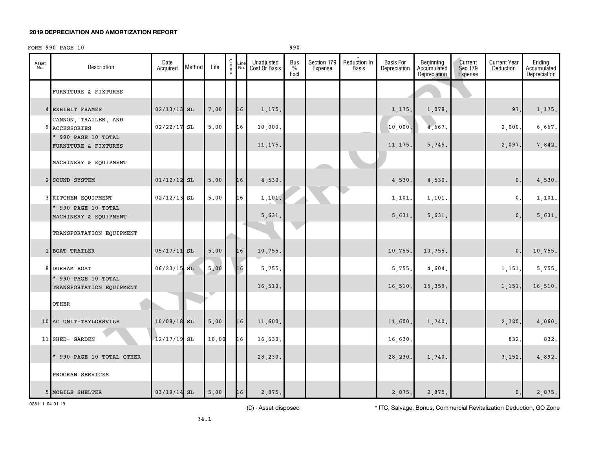#### **2019 DEPRECIATION AND AMORTIZATION REPORT**

#### FORM 990 PAGE 10 990

| Asset<br>No. | Description                                     | Date<br>Acquired | Method | Life                   | $\begin{matrix} 0 \\ 0 \\ n \end{matrix}$<br>$\mathsf{v}$ | Line<br>No. | Unadjusted<br>Cost Or Basis | Bus<br>$\%$<br>Excl | Section 179<br>Expense | <b>Reduction In</b><br>Basis | <b>Basis For</b><br>Depreciation | Beginning<br>Accumulated<br>Depreciation | Current<br>Sec 179<br>Expense | <b>Current Year</b><br>Deduction | Ending<br>Accumulated<br>Depreciation |
|--------------|-------------------------------------------------|------------------|--------|------------------------|-----------------------------------------------------------|-------------|-----------------------------|---------------------|------------------------|------------------------------|----------------------------------|------------------------------------------|-------------------------------|----------------------------------|---------------------------------------|
|              | FURNITURE & FIXTURES                            |                  |        |                        |                                                           |             |                             |                     |                        |                              |                                  |                                          |                               |                                  |                                       |
|              | 4 EXHIBIT FRAMES                                | 02/13/13         | SL     | 7.00                   |                                                           | 16          | 1,175.                      |                     |                        |                              | 1,175.                           | 1,078.                                   |                               | 97.                              | 1,175.                                |
|              | CANNON, TRAILER, AND<br>9 ACCESSORIES           | 02/22/17         | SL     | 5.00                   |                                                           | 16          | 10,000.                     |                     |                        |                              | 10,000                           | 4,667.                                   |                               | 2,000.                           | 6,667.                                |
|              | * 990 PAGE 10 TOTAL<br>FURNITURE & FIXTURES     |                  |        |                        |                                                           |             | 11, 175.                    |                     |                        |                              | 11, 175                          | 5,745.                                   |                               | 2,097.                           | 7,842.                                |
|              | MACHINERY & EQUIPMENT                           |                  |        |                        |                                                           |             |                             |                     |                        |                              |                                  |                                          |                               |                                  |                                       |
|              | 2 SOUND SYSTEM                                  | $01/12/12$ SL    |        | 5.00                   |                                                           | 16          | 4,530.                      |                     |                        |                              | 4,530.                           | 4,530.                                   |                               | $\mathbf{0}$ .                   | 4,530.                                |
|              | 3 KITCHEN EQUIPMENT                             | 02/12/13         | SL     | 5.00                   |                                                           | 16          | 1,101.                      |                     |                        |                              | 1,101.                           | 1,101.                                   |                               | 0.                               | 1,101.                                |
|              | * 990 PAGE 10 TOTAL<br>MACHINERY & EQUIPMENT    |                  |        |                        |                                                           |             | 5,631.                      |                     |                        |                              | 5,631.                           | 5,631.                                   |                               | $\mathbf 0$ .                    | 5,631.                                |
|              | TRANSPORTATION EQUIPMENT                        |                  |        |                        |                                                           |             |                             |                     |                        |                              |                                  |                                          |                               |                                  |                                       |
|              | 1 BOAT TRAILER                                  | $05/17/11$ SL    |        | 5.00                   |                                                           | 16          | 10,755.                     |                     |                        |                              | 10,755.                          | 10,755.                                  |                               | 0.                               | 10,755.                               |
|              | 8 DURHAM BOAT                                   | $06/23/15$ SL    |        | 5.00                   |                                                           | 16          | 5,755.                      |                     |                        |                              | 5,755.                           | 4,604.                                   |                               | 1,151.                           | 5,755.                                |
|              | * 990 PAGE 10 TOTAL<br>TRANSPORTATION EQUIPMENT |                  |        |                        |                                                           |             | 16,510.                     |                     |                        |                              | 16,510.                          | 15,359.                                  |                               | 1,151.                           | 16,510.                               |
|              | OTHER                                           |                  |        |                        |                                                           |             |                             |                     |                        |                              |                                  |                                          |                               |                                  |                                       |
|              | 10 AC UNIT-TAYLORSVILE                          | $10/08/18$ SL    |        | 5.00                   |                                                           | 16          | 11,600.                     |                     |                        |                              | 11,600.                          | 1,740.                                   |                               | 2,320.                           | 4,060.                                |
|              | 11 SHED- GARDEN                                 | $12/17/19$ SL    |        | 10.00                  |                                                           | 16          | 16,630.                     |                     |                        |                              | 16,630                           |                                          |                               | 832.                             | 832.                                  |
|              | * 990 PAGE 10 TOTAL OTHER                       |                  |        |                        |                                                           |             | 28,230.                     |                     |                        |                              | 28,230                           | 1,740.                                   |                               | 3,152.                           | 4,892.                                |
|              | PROGRAM SERVICES                                |                  |        |                        |                                                           |             |                             |                     |                        |                              |                                  |                                          |                               |                                  |                                       |
|              | 5 MOBILE SHELTER                                | $03/19/14$ SL    |        | ${\bf 5}$ , ${\bf 00}$ |                                                           | 16          | 2,875.                      |                     |                        |                              | 2,875.                           | 2,875.                                   |                               | $\mathbf 0$ .                    | 2,875.                                |

928111 04-01-19

(D) - Asset disposed \* ITC, Salvage, Bonus, Commercial Revitalization Deduction, GO Zone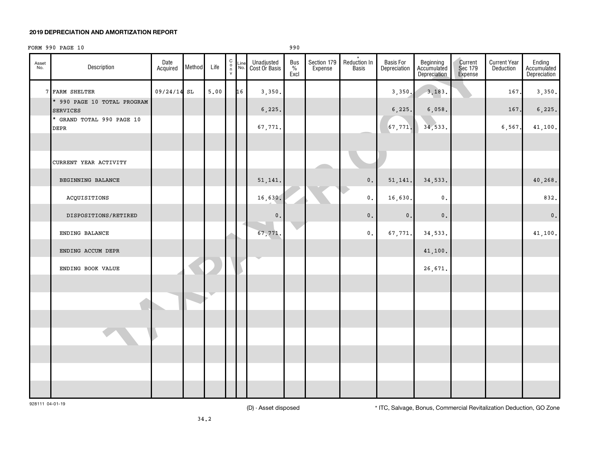#### **2019 DEPRECIATION AND AMORTIZATION REPORT**

#### $FORM 990 PAGE 10$

| Asset<br>No. | Description                                    | Date<br>Acquired | Method        | Life | $\begin{matrix} 0 \\ 0 \\ n \end{matrix}$<br>$\mathsf{v}$ | Line<br>No. | Unadjusted<br>Cost Or Basis | Bus $\frac{9}{6}$<br>Excl | Section 179<br>Expense | $\star$<br>Reduction In<br>Basis | Basis For<br>Depreciation | Beginning<br>Accumulated<br>Depreciation | Current<br>Sec 179<br>Expense | <b>Current Year</b><br>Deduction | Ending<br>Accumulated<br>Depreciation |
|--------------|------------------------------------------------|------------------|---------------|------|-----------------------------------------------------------|-------------|-----------------------------|---------------------------|------------------------|----------------------------------|---------------------------|------------------------------------------|-------------------------------|----------------------------------|---------------------------------------|
|              | 7 FARM SHELTER                                 | 09/24/14         | $\mathtt{SL}$ | 5.00 |                                                           | 16          | 3,350.                      |                           |                        |                                  | 3,350,                    | 3,183.                                   |                               | 167.                             | 3,350.                                |
|              | * 990 PAGE 10 TOTAL PROGRAM<br><b>SERVICES</b> |                  |               |      |                                                           |             | 6, 225.                     |                           |                        |                                  | 6, 225.                   | 6,058.                                   |                               | 167.                             | 6, 225.                               |
|              | * GRAND TOTAL 990 PAGE 10<br>$\tt DEPR$        |                  |               |      |                                                           |             | 67,771.                     |                           |                        |                                  | 67,771.                   | 34,533.                                  |                               | 6,567                            | 41,100.                               |
|              |                                                |                  |               |      |                                                           |             |                             |                           |                        |                                  |                           |                                          |                               |                                  |                                       |
|              | CURRENT YEAR ACTIVITY                          |                  |               |      |                                                           |             |                             |                           |                        |                                  |                           |                                          |                               |                                  |                                       |
|              | BEGINNING BALANCE                              |                  |               |      |                                                           |             | 51, 141.                    |                           |                        | $\mathbf 0$ .                    | 51, 141.                  | 34,533.                                  |                               |                                  | 40,268.                               |
|              | ACQUISITIONS                                   |                  |               |      |                                                           |             | 16,630.                     |                           |                        | $\mathsf{0}\,.$                  | 16,630.                   | $\mathfrak o$ .                          |                               |                                  | 832.                                  |
|              | DISPOSITIONS/RETIRED                           |                  |               |      |                                                           |             | $\mathbf 0$ .               |                           |                        | $\mathbf 0$ .                    | $\mathfrak o$ .           | $\mathbf 0$ .                            |                               |                                  | $\mathbf 0$ .                         |
|              | ENDING BALANCE                                 |                  |               |      |                                                           |             | 67,771.                     |                           |                        | $\mathbf{0}$ .                   | 67,771.                   | 34,533.                                  |                               |                                  | 41,100.                               |
|              | ENDING ACCUM DEPR                              |                  |               |      |                                                           |             |                             |                           |                        |                                  |                           | 41,100.                                  |                               |                                  |                                       |
|              | ENDING BOOK VALUE                              |                  |               |      |                                                           |             |                             |                           |                        |                                  |                           | 26,671.                                  |                               |                                  |                                       |
|              |                                                |                  |               |      |                                                           |             |                             |                           |                        |                                  |                           |                                          |                               |                                  |                                       |
|              |                                                |                  |               |      |                                                           |             |                             |                           |                        |                                  |                           |                                          |                               |                                  |                                       |
|              |                                                |                  |               |      |                                                           |             |                             |                           |                        |                                  |                           |                                          |                               |                                  |                                       |
|              |                                                |                  |               |      |                                                           |             |                             |                           |                        |                                  |                           |                                          |                               |                                  |                                       |
|              |                                                |                  |               |      |                                                           |             |                             |                           |                        |                                  |                           |                                          |                               |                                  |                                       |
|              |                                                |                  |               |      |                                                           |             |                             |                           |                        |                                  |                           |                                          |                               |                                  |                                       |
|              |                                                |                  |               |      |                                                           |             |                             |                           |                        |                                  |                           |                                          |                               |                                  |                                       |

928111 04-01-19

(D) - Asset disposed \* ITC, Salvage, Bonus, Commercial Revitalization Deduction, GO Zone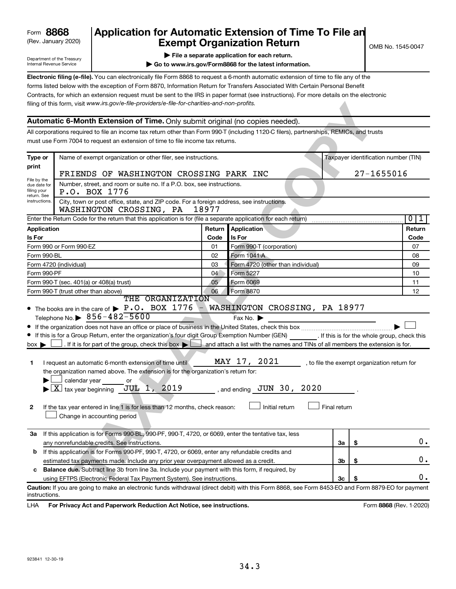# (Rev. January 2020) **Cxempt Organization Return** Manuary 2020) and the settern **Canadian Exempt Organization Return 8868 Application for Automatic Extension of Time To File an**

Department of the Treasury Internal Revenue Service

**| File a separate application for each return.**

**| Go to www.irs.gov/Form8868 for the latest information.**

**Electronic filing (e-file).** You can electronically file Form 8868 to request a 6-month automatic extension of time to file any of the filing of this form, visit www.irs.gov/e-file-providers/e-file-for-charities-and-non-profits. forms listed below with the exception of Form 8870, Information Return for Transfers Associated With Certain Personal Benefit Contracts, for which an extension request must be sent to the IRS in paper format (see instructions). For more details on the electronic

### **Automatic 6-Month Extension of Time.** Only submit original (no copies needed).

|                             | filing of this form, visit www.irs.gov/e-file-providers/e-file-for-charities-and-non-profits.                                                                               |                                                                                                       |                                   |              |                                              |                             |  |  |  |
|-----------------------------|-----------------------------------------------------------------------------------------------------------------------------------------------------------------------------|-------------------------------------------------------------------------------------------------------|-----------------------------------|--------------|----------------------------------------------|-----------------------------|--|--|--|
|                             | Automatic 6-Month Extension of Time. Only submit original (no copies needed).                                                                                               |                                                                                                       |                                   |              |                                              |                             |  |  |  |
|                             | All corporations required to file an income tax return other than Form 990-T (including 1120-C filers), partnerships, REMICs, and trusts                                    |                                                                                                       |                                   |              |                                              |                             |  |  |  |
|                             | must use Form 7004 to request an extension of time to file income tax returns.                                                                                              |                                                                                                       |                                   |              |                                              |                             |  |  |  |
|                             |                                                                                                                                                                             |                                                                                                       |                                   |              |                                              |                             |  |  |  |
| Type or<br>print            |                                                                                                                                                                             | Name of exempt organization or other filer, see instructions.<br>Taxpayer identification number (TIN) |                                   |              |                                              |                             |  |  |  |
|                             | FRIENDS OF WASHINGTON CROSSING PARK INC                                                                                                                                     | 27-1655016                                                                                            |                                   |              |                                              |                             |  |  |  |
| File by the<br>due date for | Number, street, and room or suite no. If a P.O. box, see instructions.                                                                                                      |                                                                                                       |                                   |              |                                              |                             |  |  |  |
| filing your<br>return. See  | P.O. BOX 1776                                                                                                                                                               |                                                                                                       |                                   |              |                                              |                             |  |  |  |
| instructions.               |                                                                                                                                                                             |                                                                                                       |                                   |              |                                              |                             |  |  |  |
|                             | Enter the Return Code for the return that this application is for (file a separate application for each return)                                                             |                                                                                                       |                                   |              |                                              | $\mathbf{0}$<br>$\mathbf 1$ |  |  |  |
| Application                 |                                                                                                                                                                             | Return                                                                                                | Application                       |              |                                              | Return                      |  |  |  |
| Is For                      |                                                                                                                                                                             | Code                                                                                                  | Is For                            |              |                                              | Code                        |  |  |  |
|                             | Form 990 or Form 990-EZ                                                                                                                                                     | 01                                                                                                    | Form 990-T (corporation)          |              |                                              | 07                          |  |  |  |
| Form 990-BL                 |                                                                                                                                                                             | 02                                                                                                    | Form 1041-A                       |              |                                              | 08                          |  |  |  |
|                             | Form 4720 (individual)                                                                                                                                                      | 03                                                                                                    | Form 4720 (other than individual) |              | 09                                           |                             |  |  |  |
| Form 990-PF                 |                                                                                                                                                                             | 04                                                                                                    | Form 5227                         | 10           |                                              |                             |  |  |  |
|                             | Form 990-T (sec. 401(a) or 408(a) trust)                                                                                                                                    | Form 6069                                                                                             |                                   | 11           |                                              |                             |  |  |  |
|                             | Form 990-T (trust other than above)                                                                                                                                         | 06                                                                                                    | Form 8870                         |              |                                              | 12                          |  |  |  |
|                             | THE ORGANIZATION<br>• The books are in the care of $\blacktriangleright$ P.O. BOX 1776                                                                                      |                                                                                                       | WASHINGTON CROSSING, PA 18977     |              |                                              |                             |  |  |  |
|                             | Telephone No. $\triangleright$ 856-482-5600                                                                                                                                 |                                                                                                       | Fax No.                           |              |                                              |                             |  |  |  |
|                             |                                                                                                                                                                             |                                                                                                       |                                   |              |                                              |                             |  |  |  |
|                             | If this is for a Group Return, enter the organization's four digit Group Exemption Number (GEN) [16] If this is for the whole group, check this                             |                                                                                                       |                                   |              |                                              |                             |  |  |  |
| $box \blacktriangleright$   | . If it is for part of the group, check this box $\blacktriangleright$ $\blacktriangleright$ and attach a list with the names and TINs of all members the extension is for. |                                                                                                       |                                   |              |                                              |                             |  |  |  |
|                             |                                                                                                                                                                             |                                                                                                       |                                   |              |                                              |                             |  |  |  |
| 1.                          | I request an automatic 6-month extension of time until                                                                                                                      |                                                                                                       | MAY 17, 2021                      |              | , to file the exempt organization return for |                             |  |  |  |
|                             | the organization named above. The extension is for the organization's return for:                                                                                           |                                                                                                       |                                   |              |                                              |                             |  |  |  |
|                             | calendar year<br>or                                                                                                                                                         |                                                                                                       |                                   |              |                                              |                             |  |  |  |
|                             | $ \underline{X} $ tax year beginning $JUL$ 1, 2019                                                                                                                          |                                                                                                       | , and ending $JUN$ 30, 2020       |              |                                              |                             |  |  |  |
|                             |                                                                                                                                                                             |                                                                                                       |                                   |              |                                              |                             |  |  |  |
| 2                           | If the tax year entered in line 1 is for less than 12 months, check reason:                                                                                                 |                                                                                                       | Initial return                    | Final return |                                              |                             |  |  |  |
|                             | Change in accounting period                                                                                                                                                 |                                                                                                       |                                   |              |                                              |                             |  |  |  |
|                             |                                                                                                                                                                             |                                                                                                       |                                   |              |                                              |                             |  |  |  |
| За                          | If this application is for Forms 990-BL, 990-PF, 990-T, 4720, or 6069, enter the tentative tax, less                                                                        |                                                                                                       |                                   |              |                                              |                             |  |  |  |
|                             | any nonrefundable credits. See instructions.                                                                                                                                |                                                                                                       |                                   | За           | \$                                           | 0.                          |  |  |  |
| b                           | If this application is for Forms 990-PF, 990-T, 4720, or 6069, enter any refundable credits and                                                                             |                                                                                                       |                                   |              |                                              |                             |  |  |  |
|                             | estimated tax payments made. Include any prior year overpayment allowed as a credit.                                                                                        |                                                                                                       |                                   | 3b           | \$                                           | 0.                          |  |  |  |
| с                           | Balance due. Subtract line 3b from line 3a. Include your payment with this form, if required, by                                                                            |                                                                                                       |                                   |              |                                              |                             |  |  |  |
|                             | using EFTPS (Electronic Federal Tax Payment System). See instructions.                                                                                                      |                                                                                                       |                                   | Зс           | S                                            | 0.                          |  |  |  |
| instructions.               | Caution: If you are going to make an electronic funds withdrawal (direct debit) with this Form 8868, see Form 8453-EO and Form 8879-EO for payment                          |                                                                                                       |                                   |              |                                              |                             |  |  |  |
| LHA                         | For Privacy Act and Paperwork Reduction Act Notice, see instructions.                                                                                                       |                                                                                                       |                                   |              | Form 8868 (Rev. 1-2020)                      |                             |  |  |  |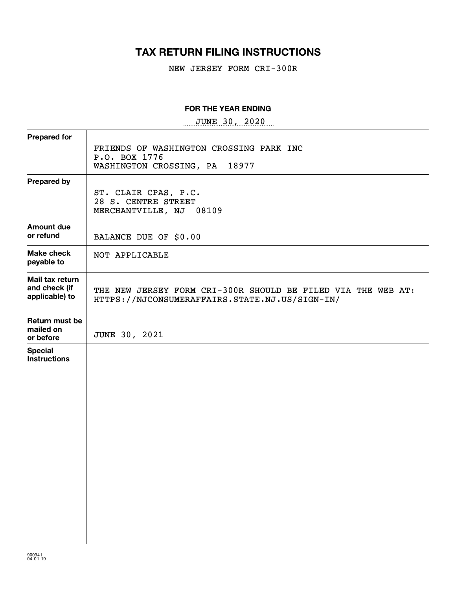# **TAX RETURN FILING INSTRUCTIONS**

NEW JERSEY FORM CRI-300R

#### **FOR THE YEAR ENDING**

 $~\texttt{JUNE}~~~30$ ,  $~2020$ 

| <b>Prepared for</b>                                |                                                                                                                |
|----------------------------------------------------|----------------------------------------------------------------------------------------------------------------|
|                                                    | FRIENDS OF WASHINGTON CROSSING PARK INC<br>P.O. BOX 1776                                                       |
|                                                    | 18977<br>WASHINGTON CROSSING, PA                                                                               |
| <b>Prepared by</b>                                 |                                                                                                                |
|                                                    | ST. CLAIR CPAS, P.C.<br>28 S. CENTRE STREET<br>MERCHANTVILLE, NJ 08109                                         |
| <b>Amount due</b><br>or refund                     | BALANCE DUE OF \$0.00                                                                                          |
| <b>Make check</b><br>payable to                    | NOT APPLICABLE                                                                                                 |
| Mail tax return<br>and check (if<br>applicable) to | THE NEW JERSEY FORM CRI-300R SHOULD BE FILED VIA THE WEB AT:<br>HTTPS://NJCONSUMERAFFAIRS.STATE.NJ.US/SIGN-IN/ |
| Return must be<br>mailed on<br>or before           | JUNE 30, 2021                                                                                                  |
| <b>Special</b><br><b>Instructions</b>              |                                                                                                                |
|                                                    |                                                                                                                |
|                                                    |                                                                                                                |
|                                                    |                                                                                                                |
|                                                    |                                                                                                                |
|                                                    |                                                                                                                |
|                                                    |                                                                                                                |
|                                                    |                                                                                                                |
|                                                    |                                                                                                                |
|                                                    |                                                                                                                |
|                                                    |                                                                                                                |
|                                                    |                                                                                                                |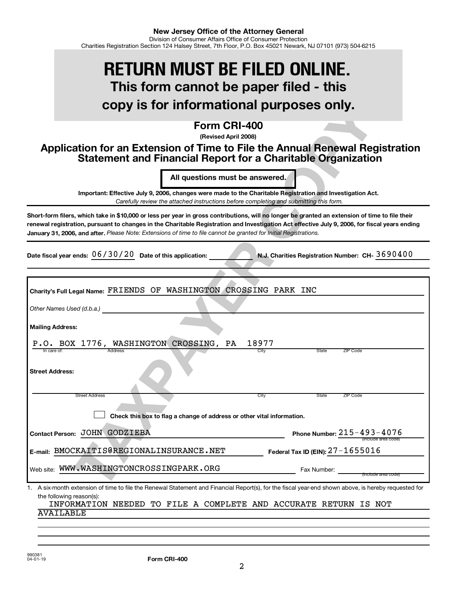# **This form cannot be paper filed - this copy is for informational purposes only. RETURN MUST BE FILED ONLINE.**

# **Form CRI-400**

# **Application for an Extension of Time to File the Annual Renewal Registration Statement and Financial Report for a Charitable Organization**

| copy is for informational purposes only.                                                                                                                                                                                                                                                                                                                                                                               |
|------------------------------------------------------------------------------------------------------------------------------------------------------------------------------------------------------------------------------------------------------------------------------------------------------------------------------------------------------------------------------------------------------------------------|
| Form CRI-400<br>(Revised April 2008)<br>Application for an Extension of Time to File the Annual Renewal Registration<br><b>Statement and Financial Report for a Charitable Organization</b>                                                                                                                                                                                                                            |
| All questions must be answered.                                                                                                                                                                                                                                                                                                                                                                                        |
| Important: Effective July 9, 2006, changes were made to the Charitable Registration and Investigation Act.<br>Carefully review the attached instructions before completing and submitting this form.                                                                                                                                                                                                                   |
| Short-form filers, which take in \$10,000 or less per year in gross contributions, will no longer be granted an extension of time to file their<br>renewal registration, pursuant to changes in the Charitable Registration and Investigation Act effective July 9, 2006, for fiscal years ending<br>January 31, 2006, and after. Please Note: Extensions of time to file cannot be granted for Initial Registrations. |
| Date fiscal year ends: $06/30/20$ Date of this application:<br>N.J. Charities Registration Number: CH- 3690400                                                                                                                                                                                                                                                                                                         |
|                                                                                                                                                                                                                                                                                                                                                                                                                        |
| Charity's Full Legal Name: FRIENDS OF WASHINGTON CROSSING PARK INC<br>Other Names Used (d.b.a.)                                                                                                                                                                                                                                                                                                                        |
| <b>Mailing Address:</b>                                                                                                                                                                                                                                                                                                                                                                                                |
| P.O. BOX 1776, WASHINGTON CROSSING, PA<br>18977                                                                                                                                                                                                                                                                                                                                                                        |
| In care of:<br><b>Address</b><br>City<br>State<br>ZIP Code<br><b>Street Address:</b>                                                                                                                                                                                                                                                                                                                                   |
| City<br>State<br><b>Street Address</b><br>ZIP Code                                                                                                                                                                                                                                                                                                                                                                     |
| Check this box to flag a change of address or other vital information.                                                                                                                                                                                                                                                                                                                                                 |
| Phone Number: $215 - 493 - 4076$<br>Contact Person: JOHN GODZIEBA<br>(include area code)                                                                                                                                                                                                                                                                                                                               |
| E-mail: BMOCKAITIS@REGIONALINSURANCE.NET<br>Federal Tax ID (EIN): 27-1655016                                                                                                                                                                                                                                                                                                                                           |
| Web site: WWW.WASHINGTONCROSSINGPARK.ORG<br>Fax Number:                                                                                                                                                                                                                                                                                                                                                                |
| A six-month extension of time to file the Renewal Statement and Financial Report(s), for the fiscal year-end shown above, is hereby requested for<br>1.                                                                                                                                                                                                                                                                |
| the following reason(s):<br>INFORMATION NEEDED TO FILE A COMPLETE AND ACCURATE RETURN IS NOT                                                                                                                                                                                                                                                                                                                           |
| AVAILABLE                                                                                                                                                                                                                                                                                                                                                                                                              |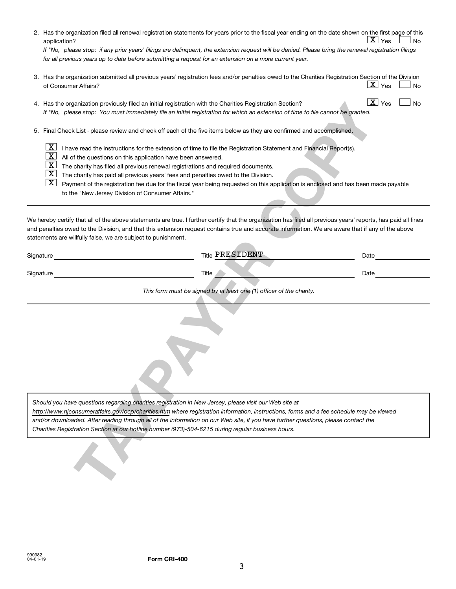|           | 2. Has the organization filed all renewal registration statements for years prior to the fiscal year ending on the date shown on the first page of this<br>$\lfloor \texttt{X} \rfloor$ Yes<br><b>No</b><br>application?<br>If "No," please stop: if any prior years' filings are delinquent, the extension request will be denied. Please bring the renewal registration filings<br>for all previous years up to date before submitting a request for an extension on a more current year.                                                                                                                                                       |
|-----------|---------------------------------------------------------------------------------------------------------------------------------------------------------------------------------------------------------------------------------------------------------------------------------------------------------------------------------------------------------------------------------------------------------------------------------------------------------------------------------------------------------------------------------------------------------------------------------------------------------------------------------------------------|
|           | 3. Has the organization submitted all previous years' registration fees and/or penalties owed to the Charities Registration Section of the Division<br>$\lfloor \texttt{X} \rfloor$ Yes<br>No<br>of Consumer Affairs?                                                                                                                                                                                                                                                                                                                                                                                                                             |
|           | $\boxed{\text{X}}$ Yes<br><b>No</b><br>4. Has the organization previously filed an initial registration with the Charities Registration Section?<br>If "No," please stop: You must immediately file an initial registration for which an extension of time to file cannot be granted.                                                                                                                                                                                                                                                                                                                                                             |
|           | 5. Final Check List - please review and check off each of the five items below as they are confirmed and accomplished.                                                                                                                                                                                                                                                                                                                                                                                                                                                                                                                            |
|           | $\mathbf{X}$<br>I have read the instructions for the extension of time to file the Registration Statement and Financial Report(s).<br>$\overline{\text{X}}$<br>All of the questions on this application have been answered.<br>$\overline{\text{X}}$<br>The charity has filed all previous renewal registrations and required documents.<br><u>x</u><br>The charity has paid all previous years' fees and penalties owed to the Division.<br><u>X  </u><br>Payment of the registration fee due for the fiscal year being requested on this application is enclosed and has been made payable<br>to the "New Jersey Division of Consumer Affairs." |
|           | We hereby certify that all of the above statements are true. I further certify that the organization has filed all previous years' reports, has paid all fines<br>and penalties owed to the Division, and that this extension request contains true and accurate information. We are aware that if any of the above<br>statements are willfully false, we are subject to punishment.<br><b>Title PRESIDENT</b>                                                                                                                                                                                                                                    |
| Signature | Date                                                                                                                                                                                                                                                                                                                                                                                                                                                                                                                                                                                                                                              |
| Signature | Title<br>Date<br>This form must be signed by at least one (1) officer of the charity.<br>Should you have questions regarding charities registration in New Jersey, please visit our Web site at                                                                                                                                                                                                                                                                                                                                                                                                                                                   |
|           | http://www.njconsumeraffairs.gov/ocp/charities.htm where registration information, instructions, forms and a fee schedule may be viewed<br>and/or downloaded. After reading through all of the information on our Web site, if you have further questions, please contact the<br>Charities Registration Section at our hotline number (973)-504-6215 during regular business hours.                                                                                                                                                                                                                                                               |
|           |                                                                                                                                                                                                                                                                                                                                                                                                                                                                                                                                                                                                                                                   |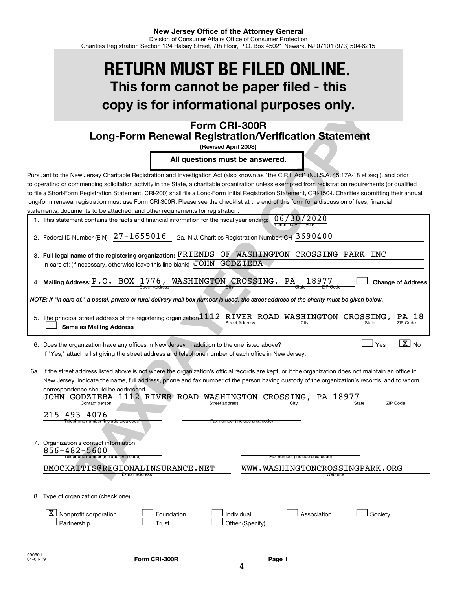# **This form cannot be paper filed - this copy is for informational purposes only. RETURN MUST BE FILED ONLINE.**

# **Form CRI-300R Long-Form Renewal Registration/Verification Statement**

| 1. This statement contains the facts and financial information for the fiscal year ending: $06/30/2020$ |                   |
|---------------------------------------------------------------------------------------------------------|-------------------|
|                                                                                                         | month day<br>year |

|  | 2. Federal ID Number (EIN) $27 - 1655016$ 2a. N.J. Charities Registration Number: CH- $3690400$ |
|--|-------------------------------------------------------------------------------------------------|
|--|-------------------------------------------------------------------------------------------------|

| 3. Full legal name of the registering organization: FRIENDS OF WASHINGTON CROSSING PARK INC                 |  |  |  |
|-------------------------------------------------------------------------------------------------------------|--|--|--|
| In care of: (if necessary, otherwise leave this line blank) $\overline{\rm JOHN}$ $\overline{\rm GODZIEBA}$ |  |  |  |
|                                                                                                             |  |  |  |

| 4. Mailing Address: P.O. BOX 1776, WASHINGTON CROSSING, PA 18977 |  |                       |  |       |          |  |
|------------------------------------------------------------------|--|-----------------------|--|-------|----------|--|
|                                                                  |  | <b>Street Address</b> |  | State | ZIP Code |  |

| 5. The principal street address of the registering organization 1112 RTVER ROAD WASHINGTON CROSSING, PA 18 |                |  |       |          |
|------------------------------------------------------------------------------------------------------------|----------------|--|-------|----------|
| Same as Mailing Address                                                                                    | Street Address |  | state | ZIP Code |

**Mailing Address: Change of Address**

|                |  | JOHN GODZIEBA 1112 RIVER ROAD WASHINGTON CROSSING, |    | PA | 8     |          |
|----------------|--|----------------------------------------------------|----|----|-------|----------|
| Contact person |  | Street address                                     | UR |    | state | ZIP COQE |

| copy is for informational purposes only.                                                                                                                                                                                                                                                                                                                                                                                                                                                                                                                                                                                                                                                         |
|--------------------------------------------------------------------------------------------------------------------------------------------------------------------------------------------------------------------------------------------------------------------------------------------------------------------------------------------------------------------------------------------------------------------------------------------------------------------------------------------------------------------------------------------------------------------------------------------------------------------------------------------------------------------------------------------------|
| Form CRI-300R<br><b>Long-Form Renewal Registration/Verification Statement</b><br>(Revised April 2008)                                                                                                                                                                                                                                                                                                                                                                                                                                                                                                                                                                                            |
| All questions must be answered.                                                                                                                                                                                                                                                                                                                                                                                                                                                                                                                                                                                                                                                                  |
| ursuant to the New Jersey Charitable Registration and Investigation Act (also known as "the C.R.I. Act" (N.J.S.A. 45:17A-18 et seq.), and prior<br>o operating or commencing solicitation activity in the State, a charitable organization unless exempted from registration requirements (or qualified<br>o file a Short-Form Registration Statement, CRI-200) shall file a Long-Form Initial Registration Statement, CRI-150-I. Charities submitting their annua<br>ng-form renewal registration must use Form CRI-300R. Please see the checklist at the end of this form for a discussion of fees, financial<br>tatements, documents to be attached, and other requirements for registration. |
| 06/30/2020<br>1. This statement contains the facts and financial information for the fiscal year ending:<br>month                                                                                                                                                                                                                                                                                                                                                                                                                                                                                                                                                                                |
| 2. Federal ID Number (EIN) $27 - 1655016$<br>2a. N.J. Charities Registration Number: CH- 3690400                                                                                                                                                                                                                                                                                                                                                                                                                                                                                                                                                                                                 |
| 3. Full legal name of the registering organization: FRIENDS OF WASHINGTON CROSSING PARK INC<br>In care of: (if necessary, otherwise leave this line blank) JOHN GODZIEBA                                                                                                                                                                                                                                                                                                                                                                                                                                                                                                                         |
| 4. Mailing Address: P.O. BOX 1776, WASHINGTON CROSSING,<br>PA<br><b>Change of Addre</b>                                                                                                                                                                                                                                                                                                                                                                                                                                                                                                                                                                                                          |
| NOTE: If "in care of," a postal, private or rural delivery mail box number is used, the street address of the charity must be given below.                                                                                                                                                                                                                                                                                                                                                                                                                                                                                                                                                       |
| 5. The principal street address of the registering organization 1112 RIVER ROAD WASHINGTON<br>CROSSING,<br>РA<br><b>Same as Mailing Address</b>                                                                                                                                                                                                                                                                                                                                                                                                                                                                                                                                                  |
| $X_{N0}$<br>Yes<br>6. Does the organization have any offices in New Jersey in addition to the one listed above?<br>If "Yes," attach a list giving the street address and telephone number of each office in New Jersey.                                                                                                                                                                                                                                                                                                                                                                                                                                                                          |
| 6a. If the street address listed above is not where the organization's official records are kept, or if the organization does not maintain an office in<br>New Jersey, indicate the name, full address, phone and fax number of the person having custody of the organization's records, and to whom<br>correspondence should be addressed.<br>1112 RIVER ROAD<br>CROSSING,<br>WASHINGTON<br>PA 18977<br>JOHN GODZIEBA<br>Contact person<br>State<br>ZIP Code                                                                                                                                                                                                                                    |
| 215-493-4076<br>Telephone number (include area code)<br>Fax number (include area code)                                                                                                                                                                                                                                                                                                                                                                                                                                                                                                                                                                                                           |
| 7. Organization's contact information:<br>$856 - 482 - 5600$<br>Telephone number (include area code)<br>Fax number (include area code)                                                                                                                                                                                                                                                                                                                                                                                                                                                                                                                                                           |
| BMOCKAITIS@REGIONALINSURANCE.NET<br>WWW.WASHINGTONCROSSINGPARK.ORG<br>Web site                                                                                                                                                                                                                                                                                                                                                                                                                                                                                                                                                                                                                   |
| 8. Type of organization (check one):                                                                                                                                                                                                                                                                                                                                                                                                                                                                                                                                                                                                                                                             |
| х<br>Nonprofit corporation<br>Foundation<br>Association<br>Individual<br>Society<br>Other (Specify)<br>Partnership<br>Trust                                                                                                                                                                                                                                                                                                                                                                                                                                                                                                                                                                      |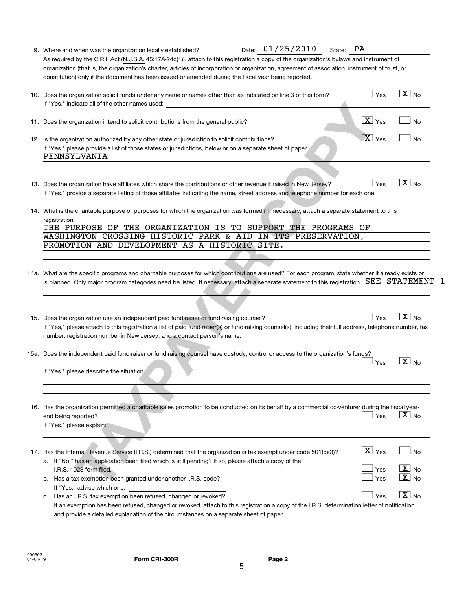| 9. Where and when was the organization legally established?                                                                                                                                                                                                                                                                                                                                          | State: PA                                     |                                                                                                                                                                                                                                                                                                                                                                                                                                                                                                                                                                                                                                                                                                                                                                                                                                                                                                                                                                                                                                                                                                                                                                      |
|------------------------------------------------------------------------------------------------------------------------------------------------------------------------------------------------------------------------------------------------------------------------------------------------------------------------------------------------------------------------------------------------------|-----------------------------------------------|----------------------------------------------------------------------------------------------------------------------------------------------------------------------------------------------------------------------------------------------------------------------------------------------------------------------------------------------------------------------------------------------------------------------------------------------------------------------------------------------------------------------------------------------------------------------------------------------------------------------------------------------------------------------------------------------------------------------------------------------------------------------------------------------------------------------------------------------------------------------------------------------------------------------------------------------------------------------------------------------------------------------------------------------------------------------------------------------------------------------------------------------------------------------|
| As required by the C.R.I. Act (N.J.S.A. 45:17A-24c(1)), attach to this registration a copy of the organization's bylaws and instrument of<br>organization (that is, the organization's charter, articles of incorporation or organization, agreement of association, instrument of trust, or<br>constitution) only if the document has been issued or amended during the fiscal year being reported. |                                               |                                                                                                                                                                                                                                                                                                                                                                                                                                                                                                                                                                                                                                                                                                                                                                                                                                                                                                                                                                                                                                                                                                                                                                      |
| 10. Does the organization solicit funds under any name or names other than as indicated on line 3 of this form?<br>If "Yes," indicate all of the other names used:                                                                                                                                                                                                                                   | Yes                                           | $X_{N0}$                                                                                                                                                                                                                                                                                                                                                                                                                                                                                                                                                                                                                                                                                                                                                                                                                                                                                                                                                                                                                                                                                                                                                             |
| 11. Does the organization intend to solicit contributions from the general public?                                                                                                                                                                                                                                                                                                                   | $\boxed{\text{X}}$ Yes                        | <b>No</b>                                                                                                                                                                                                                                                                                                                                                                                                                                                                                                                                                                                                                                                                                                                                                                                                                                                                                                                                                                                                                                                                                                                                                            |
| 12. Is the organization authorized by any other state or jurisdiction to solicit contributions?<br>If "Yes," please provide a list of those states or jurisdictions, below or on a separate sheet of paper.<br>PENNSYLVANIA                                                                                                                                                                          | $\boxed{\text{X}}$ Yes                        | <b>No</b>                                                                                                                                                                                                                                                                                                                                                                                                                                                                                                                                                                                                                                                                                                                                                                                                                                                                                                                                                                                                                                                                                                                                                            |
| 13. Does the organization have affiliates which share the contributions or other revenue it raised in New Jersey?                                                                                                                                                                                                                                                                                    | Yes                                           | $X _{\text{No}}$                                                                                                                                                                                                                                                                                                                                                                                                                                                                                                                                                                                                                                                                                                                                                                                                                                                                                                                                                                                                                                                                                                                                                     |
| registration.<br>PROMOTION AND DEVELOPMENT AS A HISTORIC SITE.                                                                                                                                                                                                                                                                                                                                       |                                               |                                                                                                                                                                                                                                                                                                                                                                                                                                                                                                                                                                                                                                                                                                                                                                                                                                                                                                                                                                                                                                                                                                                                                                      |
|                                                                                                                                                                                                                                                                                                                                                                                                      |                                               |                                                                                                                                                                                                                                                                                                                                                                                                                                                                                                                                                                                                                                                                                                                                                                                                                                                                                                                                                                                                                                                                                                                                                                      |
| 15. Does the organization use an independent paid fund-raiser or fund-raising counsel?<br>number, registration number in New Jersey, and a contact person's name.                                                                                                                                                                                                                                    | Yes                                           | $X_{\text{No}}$                                                                                                                                                                                                                                                                                                                                                                                                                                                                                                                                                                                                                                                                                                                                                                                                                                                                                                                                                                                                                                                                                                                                                      |
| If "Yes." please describe the situation.                                                                                                                                                                                                                                                                                                                                                             | Yes                                           | $X _{\text{No}}$                                                                                                                                                                                                                                                                                                                                                                                                                                                                                                                                                                                                                                                                                                                                                                                                                                                                                                                                                                                                                                                                                                                                                     |
| end being reported?<br>If "Yes," please explain:                                                                                                                                                                                                                                                                                                                                                     | Yes                                           | $\boxed{\text{X}}$ No                                                                                                                                                                                                                                                                                                                                                                                                                                                                                                                                                                                                                                                                                                                                                                                                                                                                                                                                                                                                                                                                                                                                                |
| 17. Has the Internal Revenue Service (I.R.S.) determined that the organization is tax exempt under code 501(c)(3)?<br>a. If "No," has an application been filed which is still pending? If so, please attach a copy of the<br>I.R.S. 1023 form filed.<br>b. Has a tax exemption been granted under another I.R.S. code?                                                                              | $\boxed{\mathbf{X}}$ Yes<br>Yes<br><b>Yes</b> | <b>No</b><br>$\boxed{\text{X}}$ No<br>$\boxed{\text{X}}$ No                                                                                                                                                                                                                                                                                                                                                                                                                                                                                                                                                                                                                                                                                                                                                                                                                                                                                                                                                                                                                                                                                                          |
|                                                                                                                                                                                                                                                                                                                                                                                                      |                                               | If "Yes," provide a separate listing of those affiliates indicating the name, street address and telephone number for each one.<br>14. What is the charitable purpose or purposes for which the organization was formed? If necessary, attach a separate statement to this<br>THE PURPOSE OF THE ORGANIZATION IS TO SUPPORT THE PROGRAMS OF<br>WASHINGTON CROSSING HISTORIC PARK & AID IN ITS PRESERVATION,<br>14a. What are the specific programs and charitable purposes for which contributions are used? For each program, state whether it already exists or<br>is planned. Only major program categories need be listed. If necessary, attach a separate statement to this registration. SEE STATEMENT 1<br>If "Yes," please attach to this registration a list of paid fund-raiser(s) or fund-raising counsel(s), including their full address, telephone number, fax<br>15a. Does the independent paid fund-raiser or fund-raising counsel have custody, control or access to the organization's funds?<br>16. Has the organization permitted a charitable sales promotion to be conducted on its behalf by a commercial co-venturer during the fiscal year- |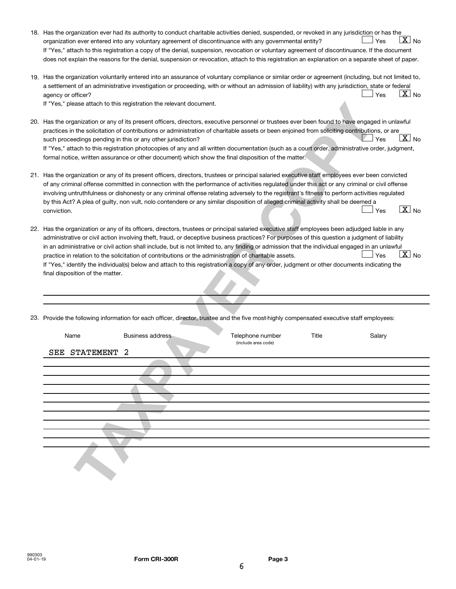| 18. Has the organization ever had its authority to conduct charitable activities denied, suspended, or revoked in any jurisdiction or has the<br>$\overline{X}$ No<br>Yes<br>organization ever entered into any voluntary agreement of discontinuance with any governmental entity?<br>If "Yes," attach to this registration a copy of the denial, suspension, revocation or voluntary agreement of discontinuance. If the document<br>does not explain the reasons for the denial, suspension or revocation, attach to this registration an explanation on a separate sheet of paper.                                                                                                                                                                                         |
|--------------------------------------------------------------------------------------------------------------------------------------------------------------------------------------------------------------------------------------------------------------------------------------------------------------------------------------------------------------------------------------------------------------------------------------------------------------------------------------------------------------------------------------------------------------------------------------------------------------------------------------------------------------------------------------------------------------------------------------------------------------------------------|
| 19. Has the organization voluntarily entered into an assurance of voluntary compliance or similar order or agreement (including, but not limited to,<br>a settlement of an administrative investigation or proceeding, with or without an admission of liability) with any jurisdiction, state or federal<br>$X$ No<br>Yes<br>agency or officer?<br>If "Yes," please attach to this registration the relevant document.                                                                                                                                                                                                                                                                                                                                                        |
| 20. Has the organization or any of its present officers, directors, executive personnel or trustees ever been found to have engaged in unlawful<br>practices in the solicitation of contributions or administration of charitable assets or been enjoined from soliciting contributions, or are<br>$\lceil \underline{\text{X}} \rceil$ No<br>Yes<br>such proceedings pending in this or any other jurisdiction?<br>If "Yes," attach to this registration photocopies of any and all written documentation (such as a court order, administrative order, judgment,<br>formal notice, written assurance or other document) which show the final disposition of the matter.                                                                                                      |
| 21. Has the organization or any of its present officers, directors, trustees or principal salaried executive staff employees ever been convicted<br>of any criminal offense committed in connection with the performance of activities regulated under this act or any criminal or civil offense<br>involving untruthfulness or dishonesty or any criminal offense relating adversely to the registrant's fitness to perform activities regulated<br>by this Act? A plea of guilty, non vult, nolo contendere or any similar disposition of alleged criminal activity shall be deemed a<br>$\boxed{\text{X}}$ No<br>conviction.<br>Yes                                                                                                                                         |
| 22. Has the organization or any of its officers, directors, trustees or principal salaried executive staff employees been adjudged liable in any<br>administrative or civil action involving theft, fraud, or deceptive business practices? For purposes of this question a judgment of liability<br>in an administrative or civil action shall include, but is not limited to, any finding or admission that the individual engaged in an unlawful<br>$\boxed{\text{X}}$ No<br>practice in relation to the solicitation of contributions or the administration of charitable assets.<br>Yes<br>If "Yes," identify the individual(s) below and attach to this registration a copy of any order, judgment or other documents indicating the<br>final disposition of the matter. |
| 23. Provide the following information for each officer, director, trustee and the five most-highly compensated executive staff employees:                                                                                                                                                                                                                                                                                                                                                                                                                                                                                                                                                                                                                                      |
| Title<br>Name<br><b>Business address</b><br>Telephone number<br>Salary<br>(include area code)<br>2<br>STATEMENT<br>SEE                                                                                                                                                                                                                                                                                                                                                                                                                                                                                                                                                                                                                                                         |
|                                                                                                                                                                                                                                                                                                                                                                                                                                                                                                                                                                                                                                                                                                                                                                                |
|                                                                                                                                                                                                                                                                                                                                                                                                                                                                                                                                                                                                                                                                                                                                                                                |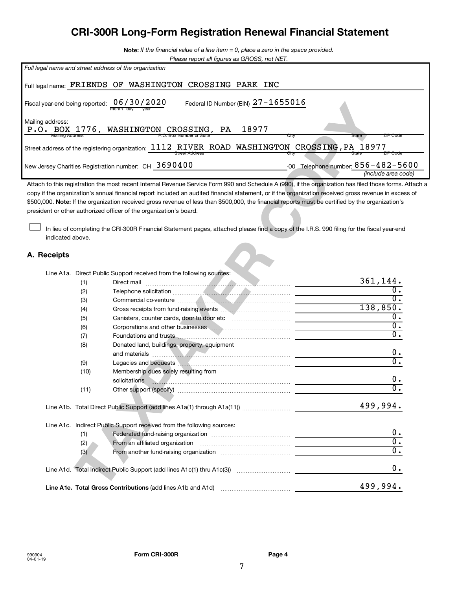# **CRI-300R Long-Form Registration Renewal Financial Statement**

**Note:**  *If the financial value of a line item = 0, place a zero in the space provided.*

| Please report all figures as GROSS, not NET. |  |
|----------------------------------------------|--|
|                                              |  |

\$500,000. Note: If the organization received gross revenue of less than \$500,000, the financial reports must be certified by the organization's Attach to this registration the most recent Internal Revenue Service Form 990 and Schedule A (990), if the organization has filed those forms. Attach a copy if the organization's annual financial report included an audited financial statement, or if the organization received gross revenue in excess of president or other authorized officer of the organization's board.

#### **A. Receipts**

†

|                                    |                                                                             | Federal ID Number (EIN) $27 - 1699016$<br>month day vear                                                                                                                                                                                                                                                                                                                                                                                                                                                                                                                                                                                         |               |                                        |                                                                                                                                                                |
|------------------------------------|-----------------------------------------------------------------------------|--------------------------------------------------------------------------------------------------------------------------------------------------------------------------------------------------------------------------------------------------------------------------------------------------------------------------------------------------------------------------------------------------------------------------------------------------------------------------------------------------------------------------------------------------------------------------------------------------------------------------------------------------|---------------|----------------------------------------|----------------------------------------------------------------------------------------------------------------------------------------------------------------|
| address:<br><b>Mailing Address</b> |                                                                             | BOX 1776, WASHINGTON CROSSING, PA                                                                                                                                                                                                                                                                                                                                                                                                                                                                                                                                                                                                                | 18977<br>City | State                                  | ZIP Code                                                                                                                                                       |
|                                    |                                                                             | ddress of the registering organization: $1112$ RIVER ROAD WASHINGTON CROSSING, PA 18977<br><b>Street Address</b>                                                                                                                                                                                                                                                                                                                                                                                                                                                                                                                                 | City          |                                        | ZIP Code                                                                                                                                                       |
|                                    |                                                                             | sey Charities Registration number: $\,$ CH $\,$ $\,3\,6\,9\,0\,4\,0\,0$                                                                                                                                                                                                                                                                                                                                                                                                                                                                                                                                                                          |               | -00 Telephone number: $856 - 482 - 56$ | <i>(include area comercient)</i>                                                                                                                               |
|                                    |                                                                             | to this registration the most recent Internal Revenue Service Form 990 and Schedule A (990), if the organization has filed those forms.<br>the organization's annual financial report included an audited financial statement, or if the organization received gross revenue in exce<br>00. Note: If the organization received gross revenue of less than \$500,000, the financial reports must be certified by the organization's<br>Int or other authorized officer of the organization's board.<br>In lieu of completing the CRI-300R Financial Statement pages, attached please find a copy of the I.R.S. 990 filing for the fiscal year-end |               |                                        |                                                                                                                                                                |
| indicated above.<br>ceipts:        |                                                                             |                                                                                                                                                                                                                                                                                                                                                                                                                                                                                                                                                                                                                                                  |               |                                        |                                                                                                                                                                |
|                                    | (1)<br>(2)<br>(3)<br>(4)<br>(5)<br>(6)<br>(7)<br>(8)<br>(9)<br>(10)<br>(11) | Line A1a. Direct Public Support received from the following sources:<br><u> Estados de la contrada de la contrada de la contrada de la contrada de la contrada de la contrada de la contrad</u><br>Direct mail<br>Donated land, buildings, property, equipment<br>Legacies and bequests <b>Manual Communities</b> and contract and contract of the contract of the contract of the contract of the contract of the contract of the contract of the contract of the contract of the contract of the co<br>Membership dues solely resulting from                                                                                                   |               |                                        | 361,144.<br>$\overline{0}$ .<br>$\overline{0}$ .<br>138,850.<br>σ.<br>$\overline{0}$ .<br>$\overline{0}$ .<br>0.<br>$\overline{0}$ .<br>0.<br>$\overline{0}$ . |
|                                    |                                                                             |                                                                                                                                                                                                                                                                                                                                                                                                                                                                                                                                                                                                                                                  |               |                                        | 499,994.                                                                                                                                                       |
|                                    | (1)<br>(2)<br>(3)                                                           | Line A1c. Indirect Public Support received from the following sources:<br>Federated fund-raising organization<br>From an affiliated organization                                                                                                                                                                                                                                                                                                                                                                                                                                                                                                 |               |                                        | 0.<br>$\overline{0}$ .<br>$\overline{0}$ .                                                                                                                     |
|                                    |                                                                             | Line A1d. Total Indirect Public Support (add lines A1c(1) thru A1c(3))                                                                                                                                                                                                                                                                                                                                                                                                                                                                                                                                                                           |               |                                        | $\mathbf 0$ .                                                                                                                                                  |
|                                    |                                                                             | Line A1e. Total Gross Contributions (add lines A1b and A1d)                                                                                                                                                                                                                                                                                                                                                                                                                                                                                                                                                                                      |               |                                        | 499,994.                                                                                                                                                       |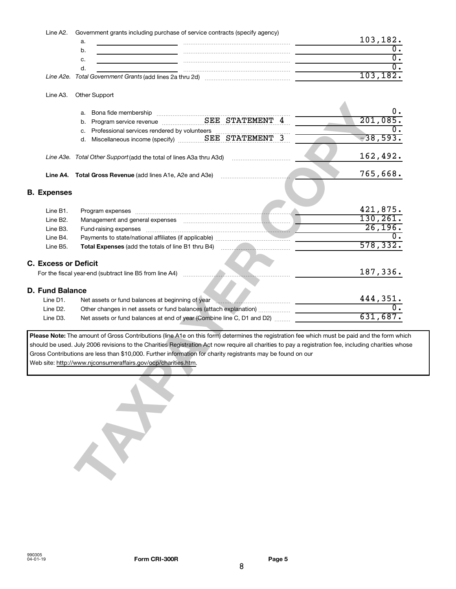| Line A2.                          | Government grants including purchase of service contracts (specify agency)                                                                         |                             |
|-----------------------------------|----------------------------------------------------------------------------------------------------------------------------------------------------|-----------------------------|
|                                   | a.                                                                                                                                                 | 103,182.                    |
|                                   | b.                                                                                                                                                 | $\overline{0}$ .            |
|                                   | c.                                                                                                                                                 | $\overline{0}$ .            |
|                                   | d.                                                                                                                                                 | $\overline{0}$ .            |
|                                   |                                                                                                                                                    | 103, 182.                   |
| Line A3.                          | Other Support                                                                                                                                      |                             |
|                                   |                                                                                                                                                    | 0.                          |
|                                   |                                                                                                                                                    | 201,085.                    |
|                                   |                                                                                                                                                    |                             |
|                                   |                                                                                                                                                    | $-38,593.$                  |
|                                   |                                                                                                                                                    |                             |
|                                   | Line A3e. Total Other Support (add the total of lines A3a thru A3d) manual contraction of the A3e.                                                 | 162,492.                    |
|                                   |                                                                                                                                                    |                             |
|                                   |                                                                                                                                                    | 765,668.                    |
|                                   |                                                                                                                                                    |                             |
| <b>B.</b> Expenses                |                                                                                                                                                    |                             |
|                                   |                                                                                                                                                    |                             |
| Line B1.<br>Line B <sub>2</sub> . | Program expenses examination and a strategy of the strategy of the strategy of the strategy of the strategy of                                     | $\frac{421,875.}{130,261.}$ |
| Line B3.                          |                                                                                                                                                    | 26, 196.                    |
| Line B4.                          |                                                                                                                                                    |                             |
| Line B5.                          |                                                                                                                                                    | 578, 332.                   |
|                                   |                                                                                                                                                    |                             |
| <b>C. Excess or Deficit</b>       |                                                                                                                                                    |                             |
|                                   |                                                                                                                                                    | 187,336.                    |
|                                   |                                                                                                                                                    |                             |
| <b>D. Fund Balance</b>            |                                                                                                                                                    |                             |
| Line D1.                          | Net assets or fund balances at beginning of year                                                                                                   | $\frac{444,351}{2}$         |
| Line D <sub>2</sub> .             |                                                                                                                                                    |                             |
| Line D3.                          | Net assets or fund balances at end of year (Combine line C, D1 and D2)                                                                             | 631,687.                    |
|                                   |                                                                                                                                                    |                             |
|                                   | Please Note: The amount of Gross Contributions (line A1e on this form) determines the registration fee which must be paid and the form whi         |                             |
|                                   | should be used. July 2006 revisions to the Charities Registration Act now require all charities to pay a registration fee, including charities who |                             |
|                                   | Gross Contributions are less than \$10,000. Further information for charity registrants may be found on our                                        |                             |
|                                   | Web site: http://www.njconsumeraffairs.gov/ocp/charities.htm.                                                                                      |                             |
|                                   |                                                                                                                                                    |                             |
|                                   |                                                                                                                                                    |                             |
|                                   |                                                                                                                                                    |                             |
|                                   |                                                                                                                                                    |                             |
|                                   |                                                                                                                                                    |                             |
|                                   |                                                                                                                                                    |                             |
|                                   |                                                                                                                                                    |                             |
|                                   |                                                                                                                                                    |                             |
|                                   |                                                                                                                                                    |                             |
|                                   |                                                                                                                                                    |                             |
|                                   |                                                                                                                                                    |                             |
|                                   |                                                                                                                                                    |                             |
|                                   |                                                                                                                                                    |                             |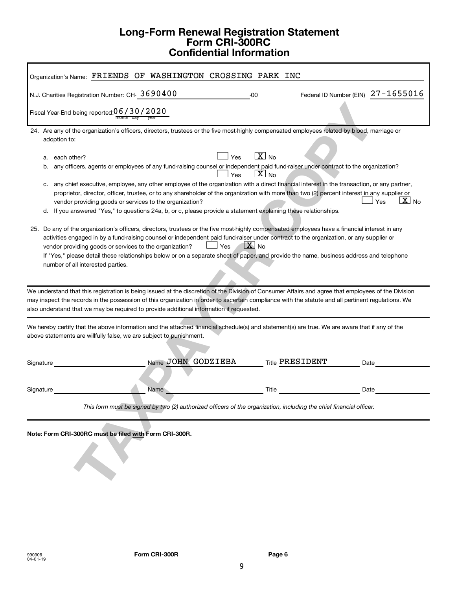## **Long-Form Renewal Registration Statement Form CRI-300RC Confidential Information**

| Organization's Name: FRIENDS OF WASHINGTON CROSSING PARK INC                                                                                                                                                                                                                                                                                                                                                                                                                                                                                                                                                          |                                                              |                                    |  |  |
|-----------------------------------------------------------------------------------------------------------------------------------------------------------------------------------------------------------------------------------------------------------------------------------------------------------------------------------------------------------------------------------------------------------------------------------------------------------------------------------------------------------------------------------------------------------------------------------------------------------------------|--------------------------------------------------------------|------------------------------------|--|--|
| N.J. Charities Registration Number: CH-3690400                                                                                                                                                                                                                                                                                                                                                                                                                                                                                                                                                                        | -00                                                          | Federal ID Number (EIN) 27-1655016 |  |  |
| Fiscal Year-End being reported: 06 / 30 / 2020                                                                                                                                                                                                                                                                                                                                                                                                                                                                                                                                                                        |                                                              |                                    |  |  |
| 24. Are any of the organization's officers, directors, trustees or the five most-highly compensated employees related by blood, marriage or<br>adoption to:<br>each other?<br>a.<br>any officers, agents or employees of any fund-raising counsel or independent paid fund-raiser under contract to the organization?<br>b.<br>any chief executive, employee, any other employee of the organization with a direct financial interest in the transaction, or any partner,<br>c.                                                                                                                                       | $\overline{\mathbf{X}}$ No<br>Yes<br>$X _{\text{No}}$<br>Yes |                                    |  |  |
| proprietor, director, officer, trustee, or to any shareholder of the organization with more than two (2) percent interest in any supplier or<br>vendor providing goods or services to the organization?<br>d. If you answered "Yes," to questions 24a, b, or c, please provide a statement explaining these relationships.<br>25. Do any of the organization's officers, directors, trustees or the five most-highly compensated employees have a financial interest in any<br>activities engaged in by a fund-raising counsel or independent paid fund-raiser under contract to the organization, or any supplier or |                                                              | $\overline{X}$ No<br>Yes           |  |  |
| Yes<br>vendor providing goods or services to the organization?<br>If "Yes," please detail these relationships below or on a separate sheet of paper, and provide the name, business address and telephone<br>number of all interested parties.                                                                                                                                                                                                                                                                                                                                                                        | $\mathbf{X}$ No                                              |                                    |  |  |
| We understand that this registration is being issued at the discretion of the Division of Consumer Affairs and agree that employees of the Division<br>may inspect the records in the possession of this organization in order to ascertain compliance with the statute and all pertinent regulations. We<br>also understand that we may be required to provide additional information if requested.                                                                                                                                                                                                                  |                                                              |                                    |  |  |
| We hereby certify that the above information and the attached financial schedule(s) and statement(s) are true. We are aware that if any of the<br>above statements are willfully false, we are subject to punishment.                                                                                                                                                                                                                                                                                                                                                                                                 |                                                              |                                    |  |  |
| Name JOHN GODZIEBA<br>Signature                                                                                                                                                                                                                                                                                                                                                                                                                                                                                                                                                                                       | <b>Title PRESIDENT</b>                                       | Date                               |  |  |
| Name<br>Signature                                                                                                                                                                                                                                                                                                                                                                                                                                                                                                                                                                                                     | Title                                                        | Date                               |  |  |
| This form must be signed by two (2) authorized officers of the organization, including the chief financial officer.                                                                                                                                                                                                                                                                                                                                                                                                                                                                                                   |                                                              |                                    |  |  |
| Note: Form CRI-300RC must be filed with Form CRI-300R.                                                                                                                                                                                                                                                                                                                                                                                                                                                                                                                                                                |                                                              |                                    |  |  |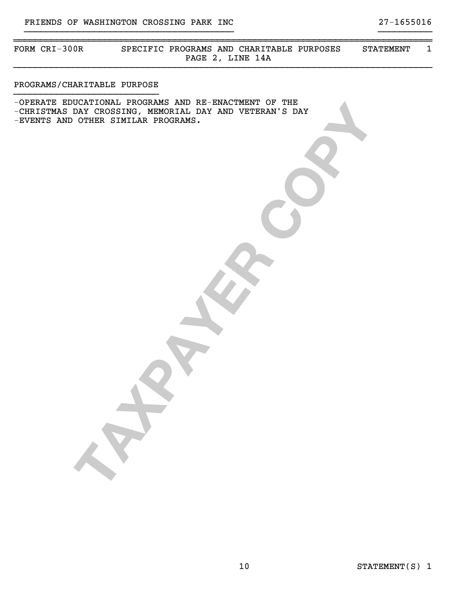~~~~~~~~~~~~~~~~~~~~~~~~~~~~~~~~~~~~~~~~~~~~~~~~~~~~~~~~~~~~~~~~~~~~~~~~~~~~~~ FORM CRI-300R SPECIFIC PROGRAMS AND CHARITABLE PURPOSES STATEMENT 1 PAGE 2, LINE 14A }}}}}}}}}}}}}}}}}}}}}}}}}}}}}}}}}}}}}}}}}}}}}}}}}}}}}}}}}}}}}}}}}}}}}}}}}}}}}}

}}}}}}}}}}}}}}}}}}}}}}}}}}}}}}}}}}}}}}} }}}}}}}}}}

#### PROGRAMS/CHARITABLE PURPOSE }}}}}}}}}}}}}}}}}}}}}}}}}}}

DESIRE A REGINAL BAY AND VETERAR STATILIZE PROGRAMS. -OPERATE EDUCATIONAL PROGRAMS AND RE-ENACTMENT OF THE -CHRISTMAS DAY CROSSING, MEMORIAL DAY AND VETERAN'S DAY -EVENTS AND OTHER SIMILAR PROGRAMS.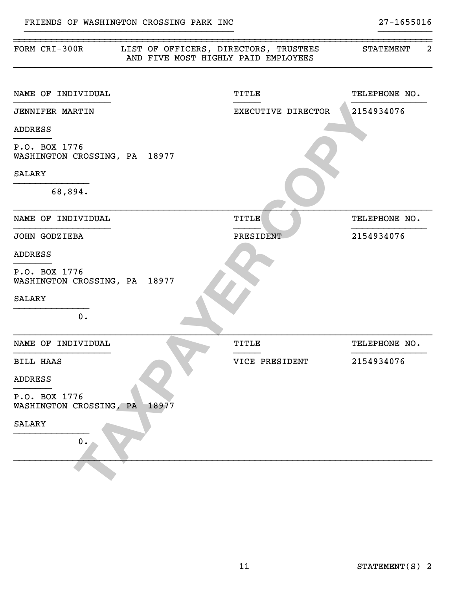| FORM CRI-300R                                  |       | LIST OF OFFICERS, DIRECTORS, TRUSTEES<br>AND FIVE MOST HIGHLY PAID EMPLOYEES | $\overline{2}$<br><b>STATEMENT</b> |
|------------------------------------------------|-------|------------------------------------------------------------------------------|------------------------------------|
| NAME OF INDIVIDUAL                             |       | <b>TITLE</b>                                                                 | TELEPHONE NO.                      |
| <b>JENNIFER MARTIN</b>                         |       | EXECUTIVE DIRECTOR                                                           | 2154934076                         |
| <b>ADDRESS</b>                                 |       |                                                                              |                                    |
| P.O. BOX 1776<br>WASHINGTON CROSSING, PA 18977 |       |                                                                              |                                    |
| <b>SALARY</b>                                  |       |                                                                              |                                    |
| 68,894.                                        |       |                                                                              |                                    |
| NAME OF INDIVIDUAL                             |       | TITLE                                                                        | TELEPHONE NO.                      |
| JOHN GODZIEBA                                  |       | PRESIDENT                                                                    | 2154934076                         |
| <b>ADDRESS</b>                                 |       |                                                                              |                                    |
| P.O. BOX 1776<br>WASHINGTON CROSSING, PA 18977 |       |                                                                              |                                    |
| <b>SALARY</b>                                  |       |                                                                              |                                    |
| 0.                                             |       |                                                                              |                                    |
| NAME OF INDIVIDUAL                             |       | TITLE                                                                        | TELEPHONE NO.                      |
| <b>BILL HAAS</b>                               |       | VICE PRESIDENT                                                               | 2154934076                         |
| ADDRESS                                        |       |                                                                              |                                    |
| P.O. BOX 1776<br>WASHINGTON CROSSING, PA       | 18977 |                                                                              |                                    |
| <b>SALARY</b><br>0.                            |       |                                                                              |                                    |
|                                                |       |                                                                              |                                    |
|                                                |       |                                                                              |                                    |

~~~~~~~~~~~~~~~~~~~~~~~~~~~~~~~~~~~~~~~~~~~~~~~~~~~~~~~~~~~~~~~~~~~~~~~~~~~~~~

}}}}}}}}}}}}}}}}}}}}}}}}}}}}}}}}}}}}}}} }}}}}}}}}}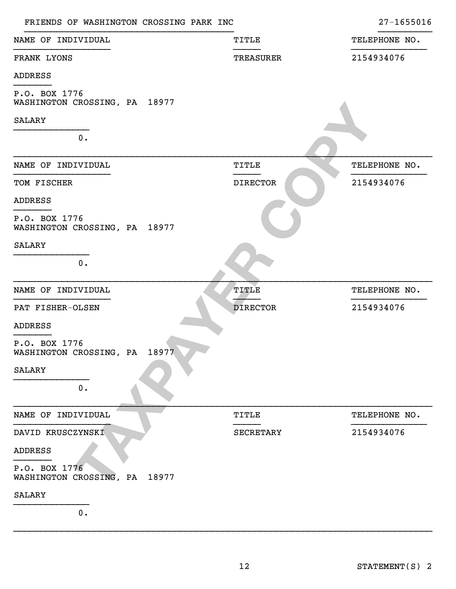| FRIENDS OF WASHINGTON CROSSING PARK INC           |                  | $27 - 1655016$ |
|---------------------------------------------------|------------------|----------------|
| NAME OF INDIVIDUAL                                | TITLE            | TELEPHONE NO.  |
| FRANK LYONS                                       | TREASURER        | 2154934076     |
| <b>ADDRESS</b>                                    |                  |                |
| P.O. BOX 1776<br>WASHINGTON CROSSING, PA 18977    |                  |                |
| <b>SALARY</b>                                     |                  |                |
| 0.                                                |                  |                |
| NAME OF INDIVIDUAL                                | TITLE            | TELEPHONE NO.  |
| TOM FISCHER                                       | <b>DIRECTOR</b>  | 2154934076     |
| <b>ADDRESS</b>                                    |                  |                |
| P.O. BOX 1776<br>WASHINGTON CROSSING, PA 18977    |                  |                |
| <b>SALARY</b>                                     |                  |                |
| 0.                                                |                  |                |
| NAME OF INDIVIDUAL                                | TITLE            | TELEPHONE NO.  |
| PAT FISHER-OLSEN                                  | <b>DIRECTOR</b>  | 2154934076     |
| <b>ADDRESS</b>                                    |                  |                |
| P.O. BOX 1776<br>WASHINGTON CROSSING, PA 18977    |                  |                |
| <b>SALARY</b>                                     |                  |                |
| 0.                                                |                  |                |
| NAME OF INDIVIDUAL                                | <b>TITLE</b>     | TELEPHONE NO.  |
| DAVID KRUSCZYNSKI                                 | <b>SECRETARY</b> | 2154934076     |
| <b>ADDRESS</b>                                    |                  |                |
| P.O. BOX 1776<br>WASHINGTON CROSSING, PA<br>18977 |                  |                |
| <b>SALARY</b>                                     |                  |                |
| 0.                                                |                  |                |

}}}}}}}}}}}}}}}}}}}}}}}}}}}}}}}}}}}}}}}}}}}}}}}}}}}}}}}}}}}}}}}}}}}}}}}}}}}}}}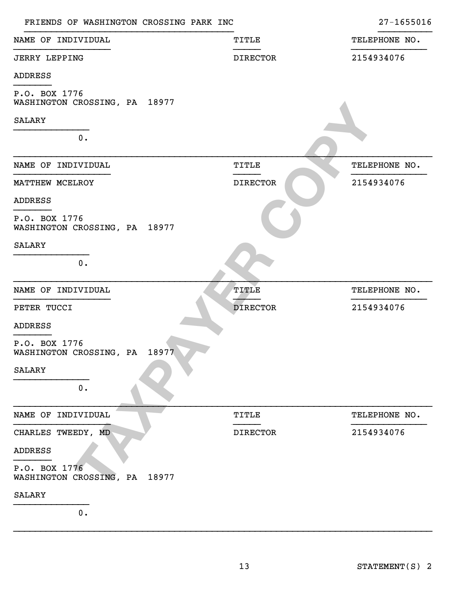| FRIENDS OF WASHINGTON CROSSING PARK INC        |                 | 27-1655016    |
|------------------------------------------------|-----------------|---------------|
| NAME OF INDIVIDUAL                             | TITLE           | TELEPHONE NO. |
| <b>JERRY LEPPING</b>                           | <b>DIRECTOR</b> | 2154934076    |
| <b>ADDRESS</b>                                 |                 |               |
| P.O. BOX 1776<br>WASHINGTON CROSSING, PA 18977 |                 |               |
| <b>SALARY</b>                                  |                 |               |
| 0.                                             |                 |               |
| NAME OF INDIVIDUAL                             | <b>TITLE</b>    | TELEPHONE NO. |
| MATTHEW MCELROY                                | <b>DIRECTOR</b> | 2154934076    |
| <b>ADDRESS</b>                                 |                 |               |
| P.O. BOX 1776<br>WASHINGTON CROSSING, PA 18977 |                 |               |
| <b>SALARY</b>                                  |                 |               |
| 0.                                             |                 |               |
| NAME OF INDIVIDUAL                             | TITLE           | TELEPHONE NO. |
| PETER TUCCI                                    | <b>DIRECTOR</b> | 2154934076    |
| ADDRESS                                        |                 |               |
| P.O. BOX 1776<br>WASHINGTON CROSSING, PA 18977 |                 |               |
| <b>SALARY</b>                                  |                 |               |
| $0$ .                                          |                 |               |
| NAME OF INDIVIDUAL                             | TITLE           | TELEPHONE NO. |
| CHARLES TWEEDY, MD                             | <b>DIRECTOR</b> | 2154934076    |
| <b>ADDRESS</b>                                 |                 |               |
| P.O. BOX 1776<br>WASHINGTON CROSSING, PA 18977 |                 |               |
| <b>SALARY</b>                                  |                 |               |
| 0.                                             |                 |               |

}}}}}}}}}}}}}}}}}}}}}}}}}}}}}}}}}}}}}}}}}}}}}}}}}}}}}}}}}}}}}}}}}}}}}}}}}}}}}}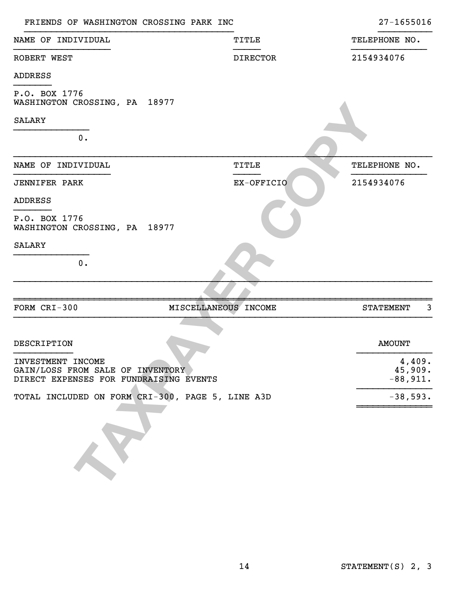| FRIENDS OF WASHINGTON CROSSING PARK INC                                                         |                      | 27-1655016                      |
|-------------------------------------------------------------------------------------------------|----------------------|---------------------------------|
| NAME OF INDIVIDUAL                                                                              | TITLE                | TELEPHONE NO.                   |
| ROBERT WEST                                                                                     | <b>DIRECTOR</b>      | 2154934076                      |
| <b>ADDRESS</b>                                                                                  |                      |                                 |
| P.O. BOX 1776<br>WASHINGTON CROSSING, PA 18977                                                  |                      |                                 |
| <b>SALARY</b>                                                                                   |                      |                                 |
| 0.                                                                                              |                      |                                 |
| NAME OF INDIVIDUAL                                                                              | <b>TITLE</b>         | TELEPHONE NO.                   |
| <b>JENNIFER PARK</b>                                                                            | EX-OFFICIO           | 2154934076                      |
| <b>ADDRESS</b>                                                                                  |                      |                                 |
| P.O. BOX 1776<br>WASHINGTON CROSSING, PA 18977                                                  |                      |                                 |
| <b>SALARY</b>                                                                                   |                      |                                 |
| $0$ .                                                                                           |                      |                                 |
|                                                                                                 |                      |                                 |
| FORM CRI-300                                                                                    | MISCELLANEOUS INCOME | 3<br><b>STATEMENT</b>           |
|                                                                                                 |                      |                                 |
| DESCRIPTION                                                                                     |                      | <b>AMOUNT</b>                   |
| INVESTMENT INCOME<br>GAIN/LOSS FROM SALE OF INVENTORY<br>DIRECT EXPENSES FOR FUNDRAISING EVENTS |                      | 4,409.<br>45,909.<br>$-88,911.$ |
| TOTAL INCLUDED ON FORM CRI-300, PAGE 5, LINE A3D                                                |                      | $-38,593.$                      |
|                                                                                                 |                      |                                 |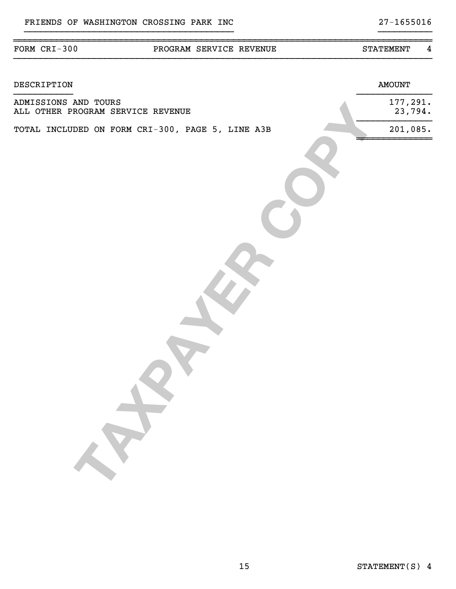| DESCRIPTION                                               | <b>AMOUNT</b>          |
|-----------------------------------------------------------|------------------------|
| ADMISSIONS AND TOURS<br>ALL OTHER PROGRAM SERVICE REVENUE | $177,291$ .<br>23,794. |
| TOTAL INCLUDED ON FORM CRI-300, PAGE 5, LINE A3B          | 201,085.               |
| $\sigma$                                                  |                        |
|                                                           |                        |
|                                                           |                        |

}}}}}}}}}}}}}}}}}}}}}}}}}}}}}}}}}}}}}}}}}}}}}}}}}}}}}}}}}}}}}}}}}}}}}}}}}}}}}}

}}}}}}}}}}}}}}}}}}}}}}}}}}}}}}}}}}}}}}} }}}}}}}}}}

#### ~~~~~~~~~~~~~~~~~~~~~~~~~~~~~~~~~~~~~~~~~~~~~~~~~~~~~~~~~~~~~~~~~~~~~~~~~~~~~~ FORM CRI-300 PROGRAM SERVICE REVENUE STATEMENT 4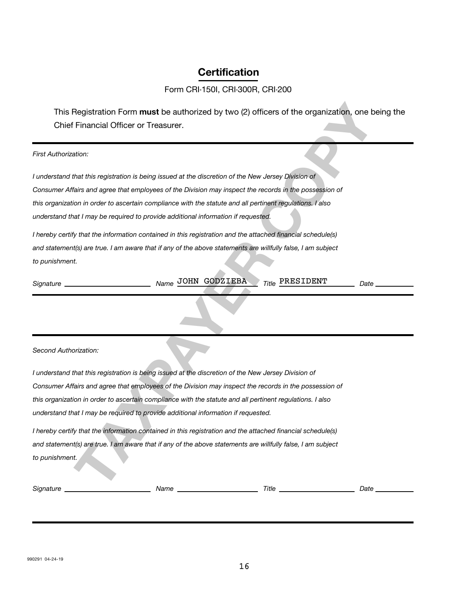# **Certification**

### Form CRI-150I, CRI-300R, CRI-200

This Registration Form **must** be authorized by two (2) officers of the organization, one being the Chief Financial Officer or Treasurer.

*First Authorization:*

*I understand that this registration is being issued at the discretion of the New Jersey Division of Consumer Affairs and agree that employees of the Division may inspect the records in the possession of this organization in order to ascertain compliance with the statute and all pertinent regulations. I also understand that I may be required to provide additional information if requested.*

*I hereby certify that the information contained in this registration and the attached financial schedule(s) and statement(s) are true. I am aware that if any of the above statements are willfully false, I am subject to punishment.*

*Signature Name Title Date* JOHN GODZIEBA PRESIDENT

*Second Authorization:*

**Registration Form must be authorized by two (2) officers of the organization, one being the Financial Officer or Treasurer.**<br> **That this registration is being issued at the discretion of the New Jersey Dispicar or that th** *I understand that this registration is being issued at the discretion of the New Jersey Division of Consumer Affairs and agree that employees of the Division may inspect the records in the possession of this organization in order to ascertain compliance with the statute and all pertinent regulations. I also understand that I may be required to provide additional information if requested.*

*I hereby certify that the information contained in this registration and the attached financial schedule(s) and statement(s) are true. I am aware that if any of the above statements are willfully false, I am subject to punishment.*

*Signature Name Title Date*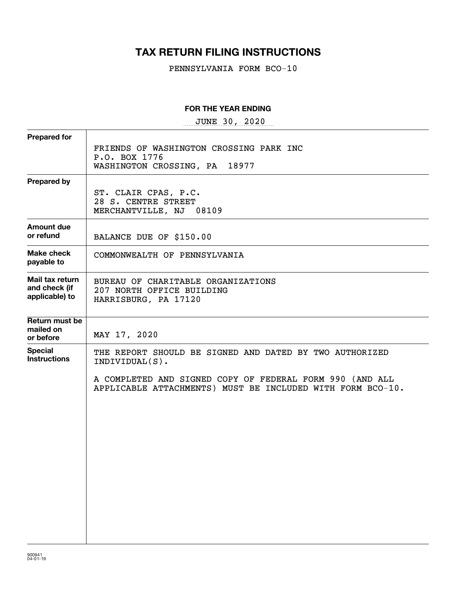# **TAX RETURN FILING INSTRUCTIONS**

PENNSYLVANIA FORM BCO-10

#### **FOR THE YEAR ENDING**

 $~\texttt{JUNE}~~~30$ ,  $~2020$ 

| <b>Prepared for</b>                                |                                                                                                                        |
|----------------------------------------------------|------------------------------------------------------------------------------------------------------------------------|
|                                                    | FRIENDS OF WASHINGTON CROSSING PARK INC<br>P.O. BOX 1776<br>WASHINGTON CROSSING, PA 18977                              |
| <b>Prepared by</b>                                 |                                                                                                                        |
|                                                    | ST. CLAIR CPAS, P.C.<br>28 S. CENTRE STREET<br>MERCHANTVILLE, NJ 08109                                                 |
| <b>Amount due</b><br>or refund                     | BALANCE DUE OF \$150.00                                                                                                |
| Make check<br>payable to                           | COMMONWEALTH OF PENNSYLVANIA                                                                                           |
| Mail tax return<br>and check (if<br>applicable) to | BUREAU OF CHARITABLE ORGANIZATIONS<br>207 NORTH OFFICE BUILDING<br>HARRISBURG, PA 17120                                |
| Return must be<br>mailed on<br>or before           | MAY 17, 2020                                                                                                           |
| <b>Special</b><br><b>Instructions</b>              | THE REPORT SHOULD BE SIGNED AND DATED BY TWO AUTHORIZED<br>$INDIVIDUAL(S)$ .                                           |
|                                                    | A COMPLETED AND SIGNED COPY OF FEDERAL FORM 990 (AND ALL<br>APPLICABLE ATTACHMENTS) MUST BE INCLUDED WITH FORM BCO-10. |
|                                                    |                                                                                                                        |
|                                                    |                                                                                                                        |
|                                                    |                                                                                                                        |
|                                                    |                                                                                                                        |
|                                                    |                                                                                                                        |
|                                                    |                                                                                                                        |
|                                                    |                                                                                                                        |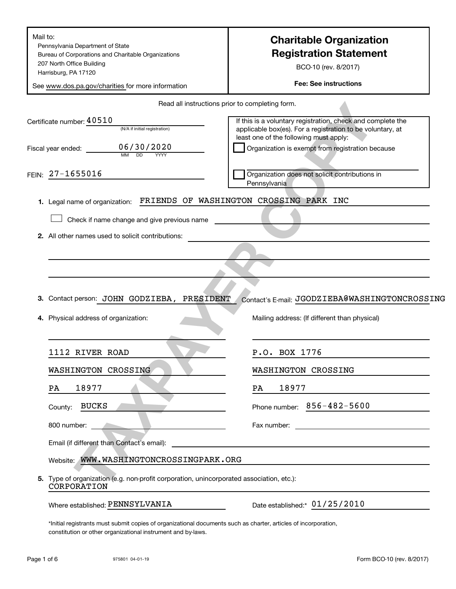| Pennsylvania Department of State<br>Bureau of Corporations and Charitable Organizations<br>207 North Office Building<br>Harrisburg, PA 17120<br>See www.dos.pa.gov/charities for more information | <b>Charitable Organization</b><br><b>Registration Statement</b><br>BCO-10 (rev. 8/2017)<br><b>Fee: See instructions</b>                                             |  |  |
|---------------------------------------------------------------------------------------------------------------------------------------------------------------------------------------------------|---------------------------------------------------------------------------------------------------------------------------------------------------------------------|--|--|
|                                                                                                                                                                                                   | Read all instructions prior to completing form.                                                                                                                     |  |  |
| Certificate number: 40510<br>(N/A if initial registration)                                                                                                                                        | If this is a voluntary registration, check and complete the<br>applicable box(es). For a registration to be voluntary, at<br>least one of the following must apply: |  |  |
| 06/30/2020<br>Fiscal year ended: __________                                                                                                                                                       | Organization is exempt from registration because                                                                                                                    |  |  |
| FEIN: 27-1655016                                                                                                                                                                                  | Organization does not solicit contributions in<br>Pennsylvania                                                                                                      |  |  |
| 1. Legal name of organization:                                                                                                                                                                    | FRIENDS OF WASHINGTON CROSSING PARK INC                                                                                                                             |  |  |
| Check if name change and give previous name                                                                                                                                                       |                                                                                                                                                                     |  |  |
| 2. All other names used to solicit contributions:                                                                                                                                                 |                                                                                                                                                                     |  |  |
|                                                                                                                                                                                                   |                                                                                                                                                                     |  |  |
|                                                                                                                                                                                                   |                                                                                                                                                                     |  |  |
|                                                                                                                                                                                                   |                                                                                                                                                                     |  |  |
|                                                                                                                                                                                                   | Contact's E-mail: JGODZIEBA@WASHINGTONCROSSING<br>3. Contact person: JOHN GODZIEBA, PRESIDENT                                                                       |  |  |
|                                                                                                                                                                                                   |                                                                                                                                                                     |  |  |
| 4. Physical address of organization:                                                                                                                                                              | Mailing address: (If different than physical)                                                                                                                       |  |  |
| 1112 RIVER ROAD                                                                                                                                                                                   | P.O. BOX 1776                                                                                                                                                       |  |  |
| WASHINGTON CROSSING                                                                                                                                                                               | WASHINGTON CROSSING                                                                                                                                                 |  |  |
| 18977<br>PA                                                                                                                                                                                       | 18977<br>PA                                                                                                                                                         |  |  |
| <b>BUCKS</b><br>County:                                                                                                                                                                           | Phone number: 856-482-5600                                                                                                                                          |  |  |
| 800 number:<br>$\mathcal{L}^{\mathcal{L}}(\mathcal{L}^{\mathcal{L}})$ and $\mathcal{L}^{\mathcal{L}}(\mathcal{L}^{\mathcal{L}})$ and $\mathcal{L}^{\mathcal{L}}(\mathcal{L}^{\mathcal{L}})$       |                                                                                                                                                                     |  |  |
| Email (if different than Contact's email):                                                                                                                                                        | <u> 1989 - Johann John Stone, markin film ar yn y brenin y brenin y brenin y brenin y brenin y brenin y brenin y</u>                                                |  |  |
| Website: WWW.WASHINGTONCROSSINGPARK.ORG                                                                                                                                                           |                                                                                                                                                                     |  |  |
| 5. Type of organization (e.g. non-profit corporation, unincorporated association, etc.):<br>CORPORATION                                                                                           |                                                                                                                                                                     |  |  |

\*Initial registrants must submit copies of organizational documents such as charter, articles of incorporation, constitution or other organizational instrument and by-laws.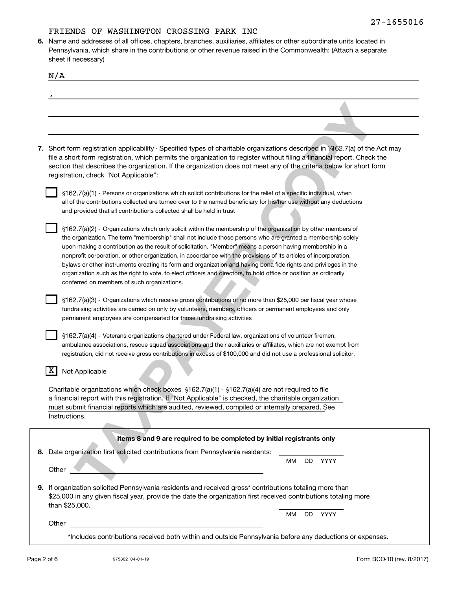**6.** Name and addresses of all offices, chapters, branches, auxiliaries, affiliates or other subordinate units located in Pennsylvania, which share in the contributions or other revenue raised in the Commonwealth: (Attach a separate sheet if necessary)

| N/A   |                                                                                                                                                                                                                                                                                                                                                                                                                                                                                                                                                                                                                                                                                                                                                       |
|-------|-------------------------------------------------------------------------------------------------------------------------------------------------------------------------------------------------------------------------------------------------------------------------------------------------------------------------------------------------------------------------------------------------------------------------------------------------------------------------------------------------------------------------------------------------------------------------------------------------------------------------------------------------------------------------------------------------------------------------------------------------------|
|       |                                                                                                                                                                                                                                                                                                                                                                                                                                                                                                                                                                                                                                                                                                                                                       |
|       |                                                                                                                                                                                                                                                                                                                                                                                                                                                                                                                                                                                                                                                                                                                                                       |
|       |                                                                                                                                                                                                                                                                                                                                                                                                                                                                                                                                                                                                                                                                                                                                                       |
|       | 7. Short form registration applicability - Specified types of charitable organizations described in 1/462.7(a) of the Act may<br>file a short form registration, which permits the organization to register without filing a financial report. Check the<br>section that describes the organization. If the organization does not meet any of the criteria below for short form<br>registration, check "Not Applicable":                                                                                                                                                                                                                                                                                                                              |
|       | §162.7(a)(1) - Persons or organizations which solicit contributions for the relief of a specific individual, when<br>all of the contributions collected are turned over to the named beneficiary for his/her use without any deductions<br>and provided that all contributions collected shall be held in trust                                                                                                                                                                                                                                                                                                                                                                                                                                       |
|       | §162.7(a)(2) - Organizations which only solicit within the membership of the organization by other members of<br>the organization. The term "membership" shall not include those persons who are granted a membership solely<br>upon making a contribution as the result of solicitation. "Member" means a person having membership in a<br>nonprofit corporation, or other organization, in accordance with the provisions of its articles of incorporation,<br>bylaws or other instruments creating its form and organization and having bona fide rights and privileges in the<br>organization such as the right to vote, to elect officers and directors, to hold office or position as ordinarily<br>conferred on members of such organizations. |
|       | §162.7(a)(3) - Organizations which receive gross contributions of no more than \$25,000 per fiscal year whose<br>fundraising activities are carried on only by volunteers, members, officers or permanent employees and only<br>permanent employees are compensated for those fundraising activities                                                                                                                                                                                                                                                                                                                                                                                                                                                  |
|       | §162.7(a)(4) - Veterans organizations chartered under Federal law, organizations of volunteer firemen,<br>ambulance associations, rescue squad associations and their auxiliaries or affiliates, which are not exempt from<br>registration, did not receive gross contributions in excess of \$100,000 and did not use a professional solicitor.                                                                                                                                                                                                                                                                                                                                                                                                      |
| X.    | Not Applicable                                                                                                                                                                                                                                                                                                                                                                                                                                                                                                                                                                                                                                                                                                                                        |
|       | Charitable organizations which check boxes $$162.7(a)(1) \cdot $162.7(a)(4)$ are not required to file<br>a financial report with this registration. If "Not Applicable" is checked, the charitable organization<br>must submit financial reports which are audited, reviewed, compiled or internally prepared. See<br>Instructions.                                                                                                                                                                                                                                                                                                                                                                                                                   |
|       | Items 8 and 9 are required to be completed by initial registrants only                                                                                                                                                                                                                                                                                                                                                                                                                                                                                                                                                                                                                                                                                |
|       | 8. Date organization first solicited contributions from Pennsylvania residents:<br><b>YYYY</b><br>MМ<br>DD                                                                                                                                                                                                                                                                                                                                                                                                                                                                                                                                                                                                                                            |
| Other | 9. If organization solicited Pennsylvania residents and received gross* contributions totaling more than<br>\$25,000 in any given fiscal year, provide the date the organization first received contributions totaling more<br>than \$25,000.                                                                                                                                                                                                                                                                                                                                                                                                                                                                                                         |
|       | MМ<br>DD.<br>YYYY<br>Other                                                                                                                                                                                                                                                                                                                                                                                                                                                                                                                                                                                                                                                                                                                            |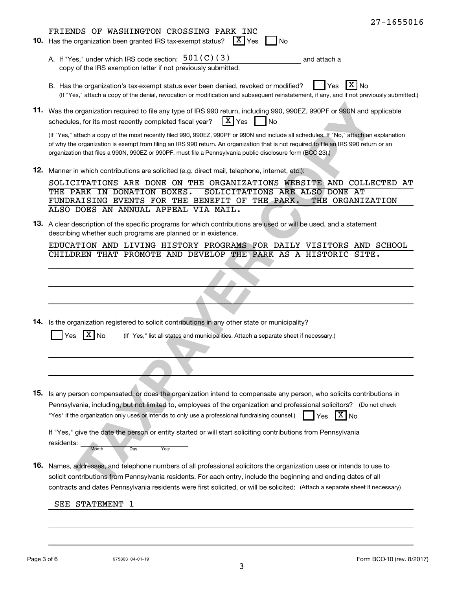|     | $27 - 1655016$                                                                                                                                                                                                                                                                                                                                                                                 |
|-----|------------------------------------------------------------------------------------------------------------------------------------------------------------------------------------------------------------------------------------------------------------------------------------------------------------------------------------------------------------------------------------------------|
|     | FRIENDS OF WASHINGTON CROSSING PARK INC                                                                                                                                                                                                                                                                                                                                                        |
|     | 10. Has the organization been granted IRS tax-exempt status?<br>$ X $ Yes<br>No                                                                                                                                                                                                                                                                                                                |
|     | A. If "Yes," under which IRS code section: 501 (C) (3)<br>and attach a<br>copy of the IRS exemption letter if not previously submitted.                                                                                                                                                                                                                                                        |
|     | B. Has the organization's tax-exempt status ever been denied, revoked or modified?<br>No<br>Yes<br>(If "Yes," attach a copy of the denial, revocation or modification and subsequent reinstatement, if any, and if not previously submitted.)                                                                                                                                                  |
|     | 11. Was the organization required to file any type of IRS 990 return, including 990, 990EZ, 990PF or 990N and applicable<br>$\lceil \texttt{X} \rceil$ Yes<br>schedules, for its most recently completed fiscal year?<br><b>No</b>                                                                                                                                                             |
|     | (If "Yes," attach a copy of the most recently filed 990, 990EZ, 990PF or 990N and include all schedules. If "No," attach an explanation<br>of why the organization is exempt from filing an IRS 990 return. An organization that is not required to file an IRS 990 return or an<br>organization that files a 990N, 990EZ or 990PF, must file a Pennsylvania public disclosure form (BCO-23).) |
|     | 12. Manner in which contributions are solicited (e.g. direct mail, telephone, internet, etc.):                                                                                                                                                                                                                                                                                                 |
|     | SOLICITATIONS ARE DONE ON THE ORGANIZATIONS WEBSITE AND COLLECTED AT<br>THE PARK IN DONATION BOXES.<br>SOLICITATIONS ARE ALSO DONE AT<br>FUNDRAISING EVENTS FOR THE BENEFIT OF THE PARK.<br>THE ORGANIZATION<br>ALSO DOES AN ANNUAL APPEAL VIA MAIL.                                                                                                                                           |
|     | 13. A clear description of the specific programs for which contributions are used or will be used, and a statement<br>describing whether such programs are planned or in existence.                                                                                                                                                                                                            |
|     | EDUCATION AND LIVING HISTORY PROGRAMS FOR DAILY VISITORS AND SCHOOL<br>CHILDREN THAT PROMOTE AND DEVELOP THE PARK AS A HISTORIC SITE.                                                                                                                                                                                                                                                          |
|     |                                                                                                                                                                                                                                                                                                                                                                                                |
|     |                                                                                                                                                                                                                                                                                                                                                                                                |
|     |                                                                                                                                                                                                                                                                                                                                                                                                |
|     | 14. Is the organization registered to solicit contributions in any other state or municipality?                                                                                                                                                                                                                                                                                                |
|     | ΧI<br>(If "Yes," list all states and municipalities. Attach a separate sheet if necessary.)<br>No<br>Yes                                                                                                                                                                                                                                                                                       |
|     |                                                                                                                                                                                                                                                                                                                                                                                                |
|     |                                                                                                                                                                                                                                                                                                                                                                                                |
|     |                                                                                                                                                                                                                                                                                                                                                                                                |
|     |                                                                                                                                                                                                                                                                                                                                                                                                |
| 15. | Is any person compensated, or does the organization intend to compensate any person, who solicits contributions in<br>Pennsylvania, including, but not limited to, employees of the organization and professional solicitors? (Do not check                                                                                                                                                    |
|     | "Yes" if the organization only uses or intends to only use a professional fundraising counsel.)<br>$ X _{\text{No}}$<br>Yes                                                                                                                                                                                                                                                                    |
|     | If "Yes," give the date the person or entity started or will start soliciting contributions from Pennsylvania                                                                                                                                                                                                                                                                                  |
|     | residents:<br>Month<br>Day<br>Year                                                                                                                                                                                                                                                                                                                                                             |
| 16. | Names, addresses, and telephone numbers of all professional solicitors the organization uses or intends to use to                                                                                                                                                                                                                                                                              |
|     | solicit contributions from Pennsylvania residents. For each entry, include the beginning and ending dates of all                                                                                                                                                                                                                                                                               |
|     | contracts and dates Pennsylvania residents were first solicited, or will be solicited: (Attach a separate sheet if necessary)                                                                                                                                                                                                                                                                  |
|     | SEE STATEMENT<br>1                                                                                                                                                                                                                                                                                                                                                                             |
|     |                                                                                                                                                                                                                                                                                                                                                                                                |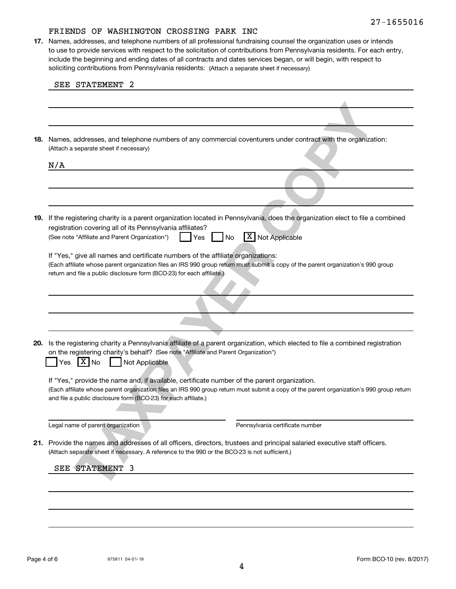soliciting contributions from Pennsylvania residents: (Attach a separate sheet if necessary) **17.** Names, addresses, and telephone numbers of all professional fundraising counsel the organization uses or intends to use to provide services with respect to the solicitation of contributions from Pennsylvania residents. For each entry, include the beginning and ending dates of all contracts and dates services began, or will begin, with respect to

|     | SEE STATEMENT<br>2                                                                                                                                                                                                                                                                                          |
|-----|-------------------------------------------------------------------------------------------------------------------------------------------------------------------------------------------------------------------------------------------------------------------------------------------------------------|
|     |                                                                                                                                                                                                                                                                                                             |
|     |                                                                                                                                                                                                                                                                                                             |
| 18. | Names, addresses, and telephone numbers of any commercial coventurers under contract with the organization:<br>(Attach a separate sheet if necessary)                                                                                                                                                       |
|     | N/A                                                                                                                                                                                                                                                                                                         |
|     |                                                                                                                                                                                                                                                                                                             |
|     |                                                                                                                                                                                                                                                                                                             |
| 19. | If the registering charity is a parent organization located in Pennsylvania, does the organization elect to file a combined<br>registration covering all of its Pennsylvania affiliates?<br>X Not Applicable<br>(See note "Affiliate and Parent Organization")<br>No<br>Yes                                 |
|     | If "Yes," give all names and certificate numbers of the affiliate organizations:<br>(Each affiliate whose parent organization files an IRS 990 group return must submit a copy of the parent organization's 990 group<br>return and file a public disclosure form (BCO-23) for each affiliate.)             |
|     |                                                                                                                                                                                                                                                                                                             |
|     |                                                                                                                                                                                                                                                                                                             |
| 20. | Is the registering charity a Pennsylvania affiliate of a parent organization, which elected to file a combined registration<br>on the registering charity's behalf? (See note "Affiliate and Parent Organization")<br>$ X _{\text{No}}$<br>Not Applicable<br>Yes                                            |
|     |                                                                                                                                                                                                                                                                                                             |
|     | If "Yes," provide the name and, if available, certificate number of the parent organization.<br>(Each affiliate whose parent organization files an IRS 990 group return must submit a copy of the parent organization's 990 group return<br>and file a public disclosure form (BCO-23) for each affiliate.) |
|     | Legal name of parent organization<br>Pennsylvania certificate number                                                                                                                                                                                                                                        |
|     | 21. Provide the names and addresses of all officers, directors, trustees and principal salaried executive staff officers.<br>(Attach separate sheet if necessary. A reference to the 990 or the BCO-23 is not sufficient.)                                                                                  |
|     | SEE STATEMENT 3                                                                                                                                                                                                                                                                                             |
|     |                                                                                                                                                                                                                                                                                                             |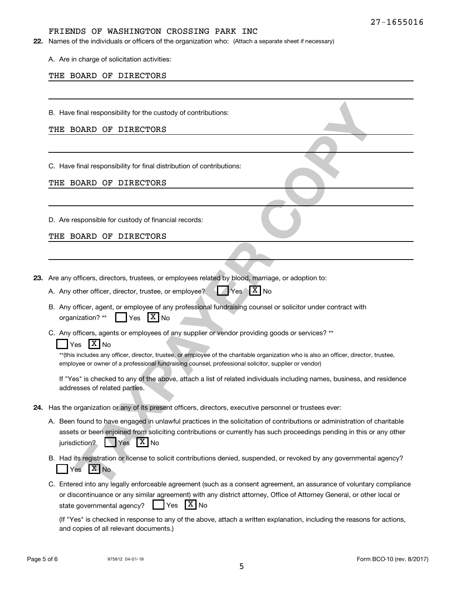22. Names of the individuals or officers of the organization who: (Attach a separate sheet if necessary)

A. Are in charge of solicitation activities:

#### THE BOARD OF DIRECTORS

B. Have final responsibility for the custody of contributions:

#### THE BOARD OF DIRECTORS

C. Have final responsibility for final distribution of contributions:

#### THE BOARD OF DIRECTORS

D. Are responsible for custody of financial records:

THE BOARD OF DIRECTORS

**23.** Are any officers, directors, trustees, or employees related by blood, marriage, or adoption to:

- A. Any other officer, director, trustee, or employee?  $\sqrt{X}$  Yes  $\sqrt{X}$  No
- B. Any officer, agent, or employee of any professional fundraising counsel or solicitor under contract with organization? \*\*  $\parallel \cdot \parallel$  Yes  $|X|_{\text{No}}$
- C. Any officers, agents or employees of any supplier or vendor providing goods or services? \*\*

### Yes  $X$  No

\*\*(this includes any officer, director, trustee, or employee of the charitable organization who is also an officer, director, trustee, employee or owner of a professional fundraising counsel, professional solicitor, supplier or vendor)

If "Yes" is checked to any of the above, attach a list of related individuals including names, business, and residence addresses of related parties.

- **24.** Has the organization or any of its present officers, directors, executive personnel or trustees ever:
- **Final responsibility for the custody of contributions:**<br> **TAXPAYER CONSIDENT OF THE SECTORS**<br> **THE final responsibility for final distribution of contributions:**<br> **THE final responsibility for final distribution of contri** A. Been found to have engaged in unlawful practices in the solicitation of contributions or administration of charitable assets or been enjoined from soliciting contributions or currently has such proceedings pending in this or any other jurisdiction?  $\Box$  Yes  $\Box$  No
	- B. Had its registration or license to solicit contributions denied, suspended, or revoked by any governmental agency? Yes X No
	- C. Entered into any legally enforceable agreement (such as a consent agreement, an assurance of voluntary compliance or discontinuance or any similar agreement) with any district attorney, Office of Attorney General, or other local or state governmental agency?  $\Box$  Yes  $|X|_{\text{No}}$

(If "Yes" is checked in response to any of the above, attach a written explanation, including the reasons for actions, and copies of all relevant documents.)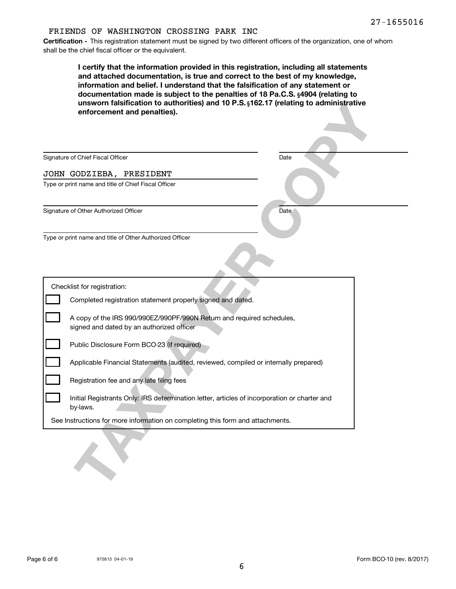**Certification -** This registration statement must be signed by two different officers of the organization, one of whom shall be the chief fiscal officer or the equivalent.

| I certify that the information provided in this registration, including all statements<br>and attached documentation, is true and correct to the best of my knowledge,<br>information and belief. I understand that the falsification of any statement or<br>documentation made is subject to the penalties of 18 Pa.C.S. §4904 (relating to<br>unsworn falsification to authorities) and 10 P.S. §162.17 (relating to administrative<br>enforcement and penalties). |      |  |
|----------------------------------------------------------------------------------------------------------------------------------------------------------------------------------------------------------------------------------------------------------------------------------------------------------------------------------------------------------------------------------------------------------------------------------------------------------------------|------|--|
| Signature of Chief Fiscal Officer                                                                                                                                                                                                                                                                                                                                                                                                                                    | Date |  |
| JOHN GODZIEBA, PRESIDENT                                                                                                                                                                                                                                                                                                                                                                                                                                             |      |  |
| Type or print name and title of Chief Fiscal Officer                                                                                                                                                                                                                                                                                                                                                                                                                 |      |  |
| Signature of Other Authorized Officer                                                                                                                                                                                                                                                                                                                                                                                                                                | Date |  |
| Checklist for registration:                                                                                                                                                                                                                                                                                                                                                                                                                                          |      |  |
| Completed registration statement properly signed and dated.                                                                                                                                                                                                                                                                                                                                                                                                          |      |  |
| A copy of the IRS 990/990EZ/990PF/990N Return and required schedules,<br>signed and dated by an authorized officer                                                                                                                                                                                                                                                                                                                                                   |      |  |
| Public Disclosure Form BCO-23 (if required)                                                                                                                                                                                                                                                                                                                                                                                                                          |      |  |
| Applicable Financial Statements (audited, reviewed, compiled or internally prepared)                                                                                                                                                                                                                                                                                                                                                                                 |      |  |
| Registration fee and any late filing fees                                                                                                                                                                                                                                                                                                                                                                                                                            |      |  |
| Initial Registrants Only: IRS determination letter, articles of incorporation or charter and<br>by-laws.                                                                                                                                                                                                                                                                                                                                                             |      |  |
| See Instructions for more information on completing this form and attachments.                                                                                                                                                                                                                                                                                                                                                                                       |      |  |
|                                                                                                                                                                                                                                                                                                                                                                                                                                                                      |      |  |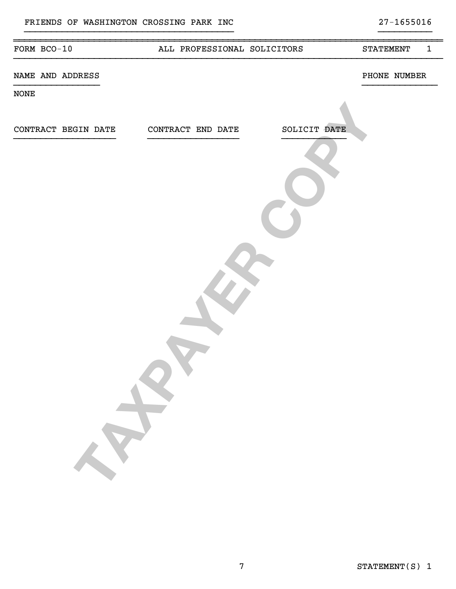| FORM BCO-10      |                     | ALL PROFESSIONAL SOLICITORS       | <b>STATEMENT</b> | $\mathbf{1}$ |
|------------------|---------------------|-----------------------------------|------------------|--------------|
| NAME AND ADDRESS |                     |                                   | PHONE NUMBER     |              |
| <b>NONE</b>      |                     |                                   |                  |              |
|                  |                     |                                   |                  |              |
|                  | CONTRACT BEGIN DATE | SOLICIT DATE<br>CONTRACT END DATE |                  |              |
|                  |                     |                                   |                  |              |
|                  |                     |                                   |                  |              |
|                  |                     |                                   |                  |              |

}}}}}}}}}}}}}}}}}}}}}}}}}}}}}}}}}}}}}}} }}}}}}}}}}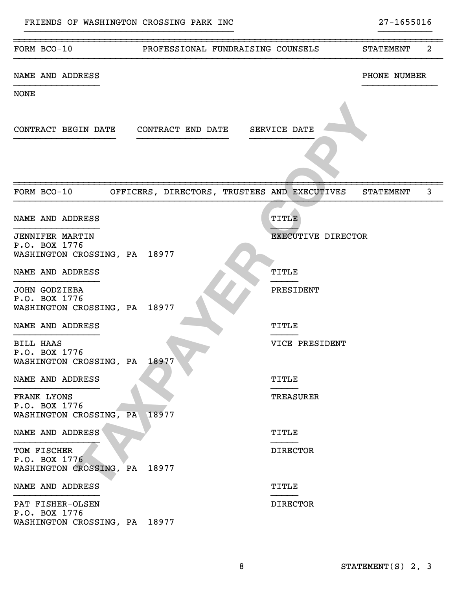| FORM BCO-10                                    | PROFESSIONAL FUNDRAISING COUNSELS                    |                    | 2<br><b>STATEMENT</b> |
|------------------------------------------------|------------------------------------------------------|--------------------|-----------------------|
| NAME AND ADDRESS                               |                                                      |                    | PHONE NUMBER          |
| <b>NONE</b>                                    |                                                      |                    |                       |
|                                                |                                                      |                    |                       |
|                                                | CONTRACT BEGIN DATE  CONTRACT END DATE  SERVICE DATE |                    |                       |
|                                                |                                                      |                    |                       |
|                                                |                                                      |                    |                       |
|                                                |                                                      |                    |                       |
| FORM BCO-10                                    | OFFICERS, DIRECTORS, TRUSTEES AND EXECUTIVES         |                    | 3<br><b>STATEMENT</b> |
| NAME AND ADDRESS                               |                                                      | TITLE              |                       |
|                                                |                                                      |                    |                       |
| <b>JENNIFER MARTIN</b><br>P.O. BOX 1776        |                                                      | EXECUTIVE DIRECTOR |                       |
| WASHINGTON CROSSING, PA 18977                  |                                                      |                    |                       |
| NAME AND ADDRESS                               |                                                      | TITLE              |                       |
| <b>JOHN GODZIEBA</b>                           |                                                      | PRESIDENT          |                       |
| P.O. BOX 1776<br>WASHINGTON CROSSING, PA       | 18977                                                |                    |                       |
| NAME AND ADDRESS                               |                                                      | TITLE              |                       |
|                                                |                                                      |                    |                       |
| <b>BILL HAAS</b><br>P.O. BOX 1776              |                                                      | VICE PRESIDENT     |                       |
| WASHINGTON CROSSING, PA                        | 18977                                                |                    |                       |
| NAME AND ADDRESS                               |                                                      | TITLE              |                       |
| FRANK LYONS                                    |                                                      | <b>TREASURER</b>   |                       |
| P.O. BOX 1776<br>WASHINGTON CROSSING, PA 18977 |                                                      |                    |                       |
|                                                |                                                      |                    |                       |
| NAME AND ADDRESS                               |                                                      | TITLE              |                       |
| TOM FISCHER<br>P.O. BOX 1776                   |                                                      | <b>DIRECTOR</b>    |                       |
| WASHINGTON CROSSING, PA                        | 18977                                                |                    |                       |
| NAME AND ADDRESS                               |                                                      | TITLE              |                       |
| PAT FISHER-OLSEN                               |                                                      | <b>DIRECTOR</b>    |                       |
| P.O. BOX 1776                                  |                                                      |                    |                       |
| WASHINGTON CROSSING, PA 18977                  |                                                      |                    |                       |

}}}}}}}}}}}}}}}}}}}}}}}}}}}}}}}}}}}}}}} }}}}}}}}}}